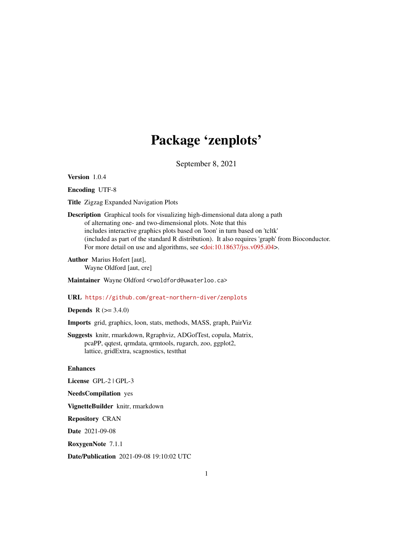# Package 'zenplots'

September 8, 2021

<span id="page-0-0"></span>Version 1.0.4

Encoding UTF-8

Title Zigzag Expanded Navigation Plots

Description Graphical tools for visualizing high-dimensional data along a path of alternating one- and two-dimensional plots. Note that this includes interactive graphics plots based on 'loon' in turn based on 'tcltk' (included as part of the standard R distribution). It also requires 'graph' from Bioconductor. For more detail on use and algorithms, see [<doi:10.18637/jss.v095.i04>](https://doi.org/10.18637/jss.v095.i04).

Author Marius Hofert [aut], Wayne Oldford [aut, cre]

Maintainer Wayne Oldford <rwoldford@uwaterloo.ca>

# URL <https://github.com/great-northern-diver/zenplots>

# **Depends**  $R$  ( $> = 3.4.0$ )

Imports grid, graphics, loon, stats, methods, MASS, graph, PairViz

Suggests knitr, rmarkdown, Rgraphviz, ADGofTest, copula, Matrix, pcaPP, qqtest, qrmdata, qrmtools, rugarch, zoo, ggplot2, lattice, gridExtra, scagnostics, testthat

#### Enhances

License GPL-2 | GPL-3

NeedsCompilation yes

VignetteBuilder knitr, rmarkdown

Repository CRAN

Date 2021-09-08

RoxygenNote 7.1.1

Date/Publication 2021-09-08 19:10:02 UTC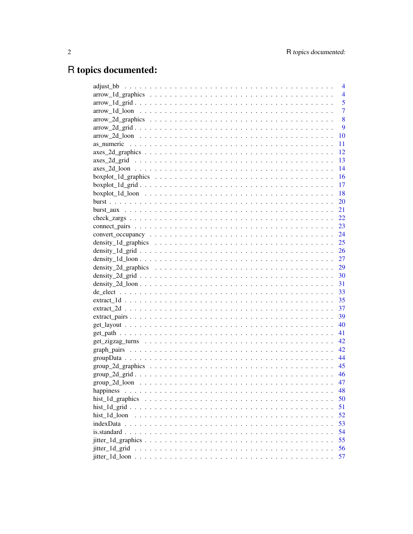# R topics documented:

|                                                                                                                   | $\overline{4}$ |
|-------------------------------------------------------------------------------------------------------------------|----------------|
|                                                                                                                   | $\overline{4}$ |
|                                                                                                                   | 5              |
|                                                                                                                   | $\overline{7}$ |
|                                                                                                                   | 8              |
|                                                                                                                   | 9              |
|                                                                                                                   | 10             |
|                                                                                                                   | 11             |
|                                                                                                                   | 12             |
|                                                                                                                   | 13             |
|                                                                                                                   | 14             |
|                                                                                                                   | 16             |
|                                                                                                                   | -17            |
|                                                                                                                   | <sup>18</sup>  |
|                                                                                                                   |                |
|                                                                                                                   |                |
|                                                                                                                   |                |
|                                                                                                                   |                |
|                                                                                                                   |                |
|                                                                                                                   |                |
|                                                                                                                   |                |
|                                                                                                                   |                |
|                                                                                                                   |                |
|                                                                                                                   |                |
|                                                                                                                   |                |
|                                                                                                                   |                |
|                                                                                                                   |                |
|                                                                                                                   |                |
|                                                                                                                   |                |
|                                                                                                                   |                |
|                                                                                                                   |                |
|                                                                                                                   |                |
|                                                                                                                   |                |
| $groupData \dots \dots \dots \dots \dots \dots \dots \dots \dots \dots \dots \dots \dots \dots \dots \dots \dots$ | 44             |
|                                                                                                                   |                |
|                                                                                                                   |                |
|                                                                                                                   | 47             |
| happiness                                                                                                         | 48             |
| hist_1d_graphics                                                                                                  | 50             |
|                                                                                                                   | 51             |
| hist 1d loon                                                                                                      | 52             |
|                                                                                                                   | 53             |
|                                                                                                                   | 54             |
|                                                                                                                   | 55             |
| jitter_1d_grid                                                                                                    | 56             |
|                                                                                                                   | 57             |
|                                                                                                                   |                |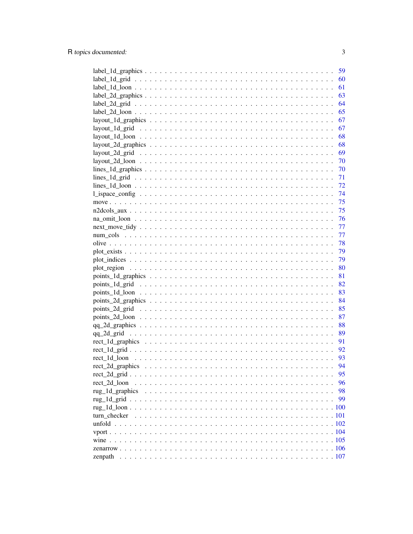|                                                                                                                      | 59   |
|----------------------------------------------------------------------------------------------------------------------|------|
|                                                                                                                      | 60   |
|                                                                                                                      | 61   |
|                                                                                                                      | 63   |
|                                                                                                                      | 64   |
|                                                                                                                      | 65   |
|                                                                                                                      | 67   |
|                                                                                                                      | 67   |
|                                                                                                                      | 68   |
| $layout_2d_graphics \ldots \ldots \ldots \ldots \ldots \ldots \ldots \ldots \ldots \ldots \ldots \ldots \ldots$      | 68   |
|                                                                                                                      | 69   |
|                                                                                                                      | - 70 |
|                                                                                                                      |      |
|                                                                                                                      |      |
|                                                                                                                      |      |
|                                                                                                                      |      |
|                                                                                                                      |      |
|                                                                                                                      | 75   |
|                                                                                                                      | 75   |
|                                                                                                                      | 76   |
|                                                                                                                      | 77   |
|                                                                                                                      | 77   |
|                                                                                                                      | 78   |
| $plot\_exists \dots \dots \dots \dots \dots \dots \dots \dots \dots \dots \dots \dots \dots \dots \dots \dots \dots$ | 79   |
|                                                                                                                      | 79   |
|                                                                                                                      | 80   |
|                                                                                                                      | 81   |
|                                                                                                                      | 82   |
|                                                                                                                      | 83   |
|                                                                                                                      |      |
|                                                                                                                      |      |
|                                                                                                                      | 87   |
|                                                                                                                      | 88   |
|                                                                                                                      | 89   |
|                                                                                                                      | 91   |
|                                                                                                                      | 92   |
|                                                                                                                      | 93   |
|                                                                                                                      | 94   |
|                                                                                                                      | 95   |
|                                                                                                                      | 96   |
| rect 2d loon                                                                                                         |      |
| rug_1d_graphics                                                                                                      | 98   |
|                                                                                                                      | 99   |
|                                                                                                                      |      |
| turn checker                                                                                                         |      |
|                                                                                                                      |      |
|                                                                                                                      |      |
|                                                                                                                      |      |
|                                                                                                                      |      |
| zenpath                                                                                                              |      |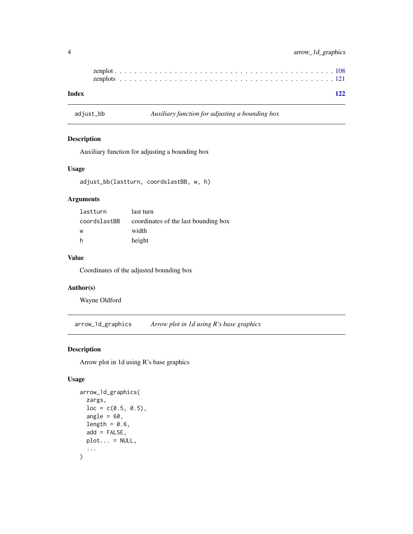| Index |  |  |  |  |  |  |  |  |  |  |  |  |  |  |  |  |  |  | 122 |
|-------|--|--|--|--|--|--|--|--|--|--|--|--|--|--|--|--|--|--|-----|

adjust\_bb *Auxiliary function for adjusting a bounding box*

# Description

Auxiliary function for adjusting a bounding box

#### Usage

```
adjust_bb(lastturn, coordslastBB, w, h)
```
#### Arguments

| lastturn     | last turn                            |
|--------------|--------------------------------------|
| coordslastBB | coordinates of the last bounding box |
| W            | width                                |
| h            | height                               |

### Value

Coordinates of the adjusted bounding box

# Author(s)

Wayne Oldford

<span id="page-3-1"></span>arrow\_1d\_graphics *Arrow plot in 1d using R's base graphics*

# Description

Arrow plot in 1d using R's base graphics

```
arrow_1d_graphics(
  zargs,
  loc = c(0.5, 0.5),angle = 60,
  length = 0.6,
  add = FALSE,plot... = NULL,...
\mathcal{E}
```
<span id="page-3-0"></span>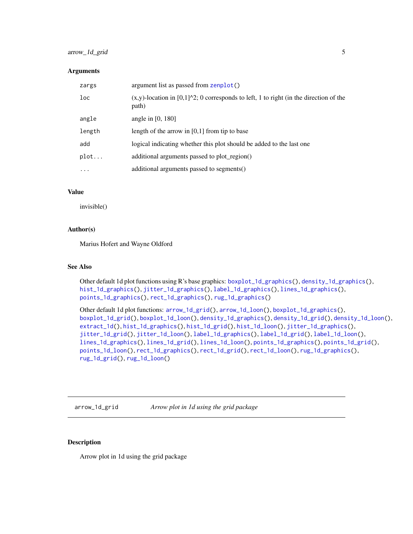# <span id="page-4-0"></span>arrow\_1d\_grid 5

#### **Arguments**

| zargs           | argument list as passed from zenplot()                                                                          |
|-----------------|-----------------------------------------------------------------------------------------------------------------|
| 1 <sub>oc</sub> | $(x,y)$ -location in [0,1] $\textdegree$ 2; 0 corresponds to left, 1 to right (in the direction of the<br>path) |
| angle           | angle in $[0, 180]$                                                                                             |
| length          | length of the arrow in $[0,1]$ from tip to base                                                                 |
| add             | logical indicating whether this plot should be added to the last one                                            |
| plot            | additional arguments passed to plot_region()                                                                    |
| $\ddotsc$       | additional arguments passed to segments()                                                                       |

#### Value

invisible()

### Author(s)

Marius Hofert and Wayne Oldford

# See Also

Other default 1d plot functions using R's base graphics: [boxplot\\_1d\\_graphics\(](#page-15-1)), [density\\_1d\\_graphics\(](#page-24-1)), [hist\\_1d\\_graphics\(](#page-49-1)), [jitter\\_1d\\_graphics\(](#page-54-1)), [label\\_1d\\_graphics\(](#page-58-1)), [lines\\_1d\\_graphics\(](#page-69-1)), [points\\_1d\\_graphics\(](#page-80-1)), [rect\\_1d\\_graphics\(](#page-90-1)), [rug\\_1d\\_graphics\(](#page-97-1))

Other default 1d plot functions: [arrow\\_1d\\_grid\(](#page-4-1)), [arrow\\_1d\\_loon\(](#page-6-1)), [boxplot\\_1d\\_graphics\(](#page-15-1)), [boxplot\\_1d\\_grid\(](#page-16-1)), [boxplot\\_1d\\_loon\(](#page-17-1)), [density\\_1d\\_graphics\(](#page-24-1)), [density\\_1d\\_grid\(](#page-25-1)), [density\\_1d\\_loon\(](#page-26-1)), [extract\\_1d\(](#page-34-1)), [hist\\_1d\\_graphics\(](#page-49-1)), [hist\\_1d\\_grid\(](#page-50-1)), [hist\\_1d\\_loon\(](#page-51-1)), [jitter\\_1d\\_graphics\(](#page-54-1)), [jitter\\_1d\\_grid\(](#page-55-1)), [jitter\\_1d\\_loon\(](#page-56-1)), [label\\_1d\\_graphics\(](#page-58-1)), [label\\_1d\\_grid\(](#page-59-1)), [label\\_1d\\_loon\(](#page-60-1)), [lines\\_1d\\_graphics\(](#page-69-1)), [lines\\_1d\\_grid\(](#page-70-1)), [lines\\_1d\\_loon\(](#page-71-1)), [points\\_1d\\_graphics\(](#page-80-1)), [points\\_1d\\_grid\(](#page-81-1)), [points\\_1d\\_loon\(](#page-82-1)), [rect\\_1d\\_graphics\(](#page-90-1)), [rect\\_1d\\_grid\(](#page-91-1)), [rect\\_1d\\_loon\(](#page-92-1)), [rug\\_1d\\_graphics\(](#page-97-1)), [rug\\_1d\\_grid\(](#page-98-1)), [rug\\_1d\\_loon\(](#page-99-1))

<span id="page-4-1"></span>arrow\_1d\_grid *Arrow plot in 1d using the grid package*

# Description

Arrow plot in 1d using the grid package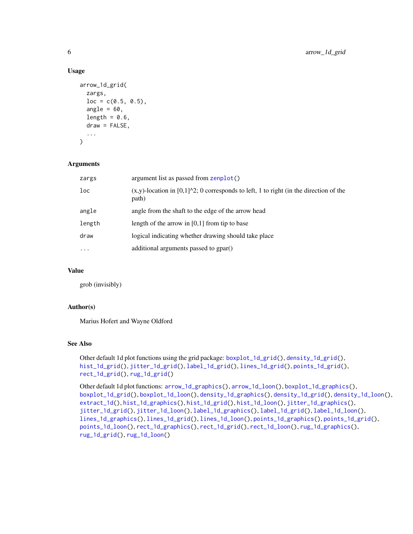### Usage

```
arrow_1d_grid(
  zargs,
  loc = c(0.5, 0.5),
  angle = 60,
  length = 0.6,
  draw = FALSE,...
)
```
## **Arguments**

| zargs     | argument list as passed from zenplot()                                                                      |
|-----------|-------------------------------------------------------------------------------------------------------------|
| loc       | $(x,y)$ -location in [0,1] $\text{2}$ ; 0 corresponds to left, 1 to right (in the direction of the<br>path) |
| angle     | angle from the shaft to the edge of the arrow head                                                          |
| length    | length of the arrow in $[0,1]$ from tip to base                                                             |
| draw      | logical indicating whether drawing should take place                                                        |
| $\ddotsc$ | additional arguments passed to gpar()                                                                       |

# Value

grob (invisibly)

# Author(s)

Marius Hofert and Wayne Oldford

# See Also

Other default 1d plot functions using the grid package: [boxplot\\_1d\\_grid\(](#page-16-1)), [density\\_1d\\_grid\(](#page-25-1)), [hist\\_1d\\_grid\(](#page-50-1)), [jitter\\_1d\\_grid\(](#page-55-1)), [label\\_1d\\_grid\(](#page-59-1)), [lines\\_1d\\_grid\(](#page-70-1)), [points\\_1d\\_grid\(](#page-81-1)), [rect\\_1d\\_grid\(](#page-91-1)), [rug\\_1d\\_grid\(](#page-98-1))

```
Other default 1d plot functions: arrow_1d_graphics(), arrow_1d_loon(), boxplot_1d_graphics(),
boxplot_1d_grid(), boxplot_1d_loon(), density_1d_graphics(), density_1d_grid(), density_1d_loon(),
extract_1d(), hist_1d_graphics(), hist_1d_grid(), hist_1d_loon(), jitter_1d_graphics(),
jitter_1d_grid(), jitter_1d_loon(), label_1d_graphics(), label_1d_grid(), label_1d_loon(),
lines_1d_graphics(), lines_1d_grid(), lines_1d_loon(), points_1d_graphics(), points_1d_grid(),
points_1d_loon(), rect_1d_graphics(), rect_1d_grid(), rect_1d_loon(), rug_1d_graphics(),
rug_1d_grid(), rug_1d_loon()
```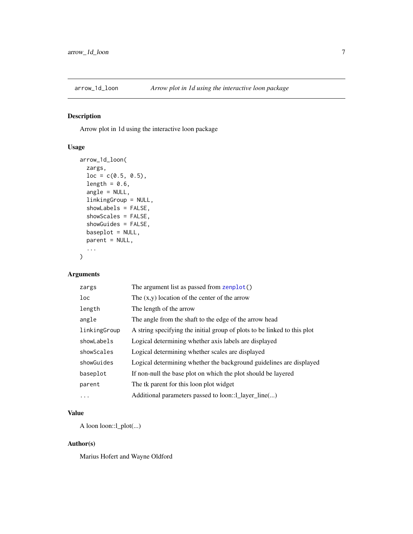<span id="page-6-1"></span><span id="page-6-0"></span>

# Description

Arrow plot in 1d using the interactive loon package

# Usage

```
arrow_1d_loon(
 zargs,
  loc = c(0.5, 0.5),length = 0.6,
  angle = NULL,
  linkingGroup = NULL,
  showLabels = FALSE,
  showScales = FALSE,
  showGuides = FALSE,
 baseplot = NULL,
 parent = NULL,
  ...
)
```
# Arguments

| The argument list as passed from zenplot()                               |
|--------------------------------------------------------------------------|
| The $(x,y)$ location of the center of the arrow                          |
| The length of the arrow                                                  |
| The angle from the shaft to the edge of the arrow head                   |
| A string specifying the initial group of plots to be linked to this plot |
| Logical determining whether axis labels are displayed                    |
| Logical determining whether scales are displayed                         |
| Logical determining whether the background guidelines are displayed      |
| If non-null the base plot on which the plot should be layered            |
| The tk parent for this loon plot widget                                  |
| Additional parameters passed to loon::1_layer_line()                     |
|                                                                          |

# Value

A loon loon::l\_plot(...)

# Author(s)

Marius Hofert and Wayne Oldford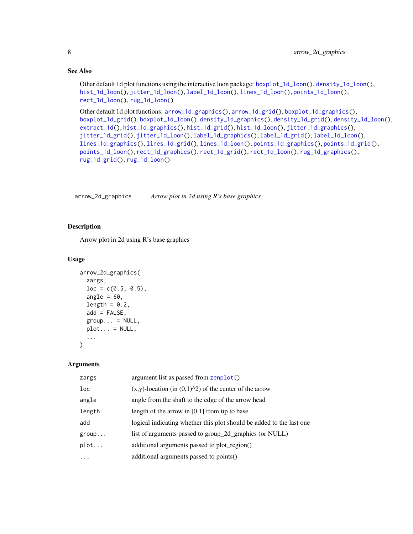# See Also

Other default 1d plot functions using the interactive loon package: [boxplot\\_1d\\_loon\(](#page-17-1)), [density\\_1d\\_loon\(](#page-26-1)), [hist\\_1d\\_loon\(](#page-51-1)), [jitter\\_1d\\_loon\(](#page-56-1)), [label\\_1d\\_loon\(](#page-60-1)), [lines\\_1d\\_loon\(](#page-71-1)), [points\\_1d\\_loon\(](#page-82-1)), [rect\\_1d\\_loon\(](#page-92-1)), [rug\\_1d\\_loon\(](#page-99-1))

```
Other default 1d plot functions: arrow_1d_graphics(), arrow_1d_grid(), boxplot_1d_graphics(),
boxplot_1d_grid(), boxplot_1d_loon(), density_1d_graphics(), density_1d_grid(), density_1d_loon(),
extract_1d(), hist_1d_graphics(), hist_1d_grid(), hist_1d_loon(), jitter_1d_graphics(),
jitter_1d_grid(), jitter_1d_loon(), label_1d_graphics(), label_1d_grid(), label_1d_loon(),
lines_1d_graphics(), lines_1d_grid(), lines_1d_loon(), points_1d_graphics(), points_1d_grid(),
points_1d_loon(), rect_1d_graphics(), rect_1d_grid(), rect_1d_loon(), rug_1d_graphics(),
rug_1d_grid(), rug_1d_loon()
```
<span id="page-7-1"></span>arrow\_2d\_graphics *Arrow plot in 2d using R's base graphics*

#### Description

Arrow plot in 2d using R's base graphics

#### Usage

```
arrow_2d_graphics(
  zargs,
  loc = c(0.5, 0.5),
  angle = 60,
  length = 0.2,
  add = FALSE,group... = NULL,plot... = NULL,...
)
```
#### Arguments

| zargs    | argument list as passed from zenplot()                               |
|----------|----------------------------------------------------------------------|
| loc      | $(x,y)$ -location (in $(0,1)^{2}$ ) of the center of the arrow       |
| angle    | angle from the shaft to the edge of the arrow head                   |
| length   | length of the arrow in $[0,1]$ from tip to base                      |
| add      | logical indicating whether this plot should be added to the last one |
| group    | list of arguments passed to group_2d_graphics (or NULL)              |
| plot     | additional arguments passed to plot_region()                         |
| $\cdots$ | additional arguments passed to points()                              |
|          |                                                                      |

<span id="page-7-0"></span>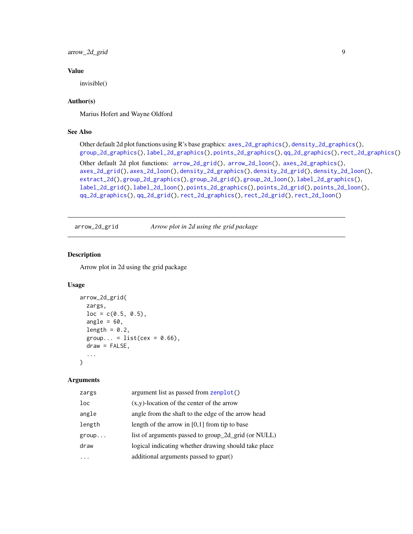<span id="page-8-0"></span>arrow\_2d\_grid 9

# Value

invisible()

# Author(s)

Marius Hofert and Wayne Oldford

# See Also

```
Other default 2d plot functions using R's base graphics: axes_2d_graphics(), density_2d_graphics(),
group_2d_graphics(), label_2d_graphics(), points_2d_graphics(), qq_2d_graphics(), rect_2d_graphics()
Other default 2d plot functions: arrow_2d_grid(), arrow_2d_loon(), axes_2d_graphics(),
axes_2d_grid(), axes_2d_loon(), density_2d_graphics(), density_2d_grid(), density_2d_loon(),
extract_2d(), group_2d_graphics(), group_2d_grid(), group_2d_loon(), label_2d_graphics(),
label_2d_grid(), label_2d_loon(), points_2d_graphics(), points_2d_grid(), points_2d_loon(),
qq_2d_graphics(), qq_2d_grid(), rect_2d_graphics(), rect_2d_grid(), rect_2d_loon()
```
<span id="page-8-1"></span>arrow\_2d\_grid *Arrow plot in 2d using the grid package*

# Description

Arrow plot in 2d using the grid package

## Usage

```
arrow_2d_grid(
  zargs,
  loc = c(0.5, 0.5),angle = 60,
  length = 0.2,
  group... = list(cex = 0.66),
  draw = FALSE,
  ...
)
```
#### Arguments

| zargs  | argument list as passed from zenplot()               |
|--------|------------------------------------------------------|
| loc    | $(x,y)$ -location of the center of the arrow         |
| angle  | angle from the shaft to the edge of the arrow head   |
| length | length of the arrow in $[0,1]$ from tip to base      |
| group  | list of arguments passed to group_2d_grid (or NULL)  |
| draw   | logical indicating whether drawing should take place |
|        | additional arguments passed to gpar()                |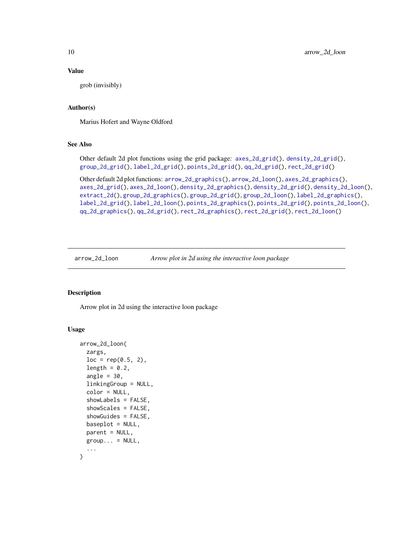# Value

grob (invisibly)

# Author(s)

Marius Hofert and Wayne Oldford

# See Also

Other default 2d plot functions using the grid package: [axes\\_2d\\_grid\(](#page-12-1)), [density\\_2d\\_grid\(](#page-29-1)), [group\\_2d\\_grid\(](#page-45-1)), [label\\_2d\\_grid\(](#page-63-1)), [points\\_2d\\_grid\(](#page-84-1)), [qq\\_2d\\_grid\(](#page-88-1)), [rect\\_2d\\_grid\(](#page-94-1))

```
Other default 2d plot functions: arrow_2d_graphics(), arrow_2d_loon(), axes_2d_graphics(),
axes_2d_grid(), axes_2d_loon(), density_2d_graphics(), density_2d_grid(), density_2d_loon(),
extract_2d(), group_2d_graphics(), group_2d_grid(), group_2d_loon(), label_2d_graphics(),
label_2d_grid(), label_2d_loon(), points_2d_graphics(), points_2d_grid(), points_2d_loon(),
qq_2d_graphics(), qq_2d_grid(), rect_2d_graphics(), rect_2d_grid(), rect_2d_loon()
```
<span id="page-9-1"></span>arrow\_2d\_loon *Arrow plot in 2d using the interactive loon package*

### Description

Arrow plot in 2d using the interactive loon package

```
arrow_2d_loon(
  zargs,
  loc = rep(0.5, 2),
  length = 0.2,
  angle = 30,
  linkingGroup = NULL,
  color = NULL,
  showLabels = FALSE,
  showScales = FALSE,
  showGuides = FALSE,
 baseplot = NULL,
 parent = NULL,
 group... = NULL,...
)
```
<span id="page-9-0"></span>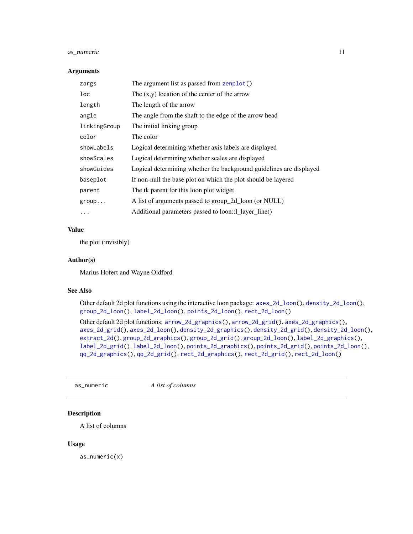# <span id="page-10-0"></span>as\_numeric 11

#### **Arguments**

| zargs        | The argument list as passed from zenplot()                          |
|--------------|---------------------------------------------------------------------|
| loc          | The $(x,y)$ location of the center of the arrow                     |
| length       | The length of the arrow                                             |
| angle        | The angle from the shaft to the edge of the arrow head              |
| linkingGroup | The initial linking group                                           |
| color        | The color                                                           |
| showLabels   | Logical determining whether axis labels are displayed               |
| showScales   | Logical determining whether scales are displayed                    |
| showGuides   | Logical determining whether the background guidelines are displayed |
| baseplot     | If non-null the base plot on which the plot should be layered       |
| parent       | The tk parent for this loon plot widget                             |
| group        | A list of arguments passed to group_2d_loon (or NULL)               |
| .            | Additional parameters passed to loon::1_layer_line()                |

### Value

the plot (invisibly)

# Author(s)

Marius Hofert and Wayne Oldford

#### See Also

Other default 2d plot functions using the interactive loon package: [axes\\_2d\\_loon\(](#page-13-1)), [density\\_2d\\_loon\(](#page-30-1)), [group\\_2d\\_loon\(](#page-46-1)), [label\\_2d\\_loon\(](#page-64-1)), [points\\_2d\\_loon\(](#page-86-1)), [rect\\_2d\\_loon\(](#page-95-1))

Other default 2d plot functions: [arrow\\_2d\\_graphics\(](#page-7-1)), [arrow\\_2d\\_grid\(](#page-8-1)), [axes\\_2d\\_graphics\(](#page-11-1)), [axes\\_2d\\_grid\(](#page-12-1)), [axes\\_2d\\_loon\(](#page-13-1)), [density\\_2d\\_graphics\(](#page-28-1)), [density\\_2d\\_grid\(](#page-29-1)), [density\\_2d\\_loon\(](#page-30-1)), [extract\\_2d\(](#page-36-1)), [group\\_2d\\_graphics\(](#page-44-1)), [group\\_2d\\_grid\(](#page-45-1)), [group\\_2d\\_loon\(](#page-46-1)), [label\\_2d\\_graphics\(](#page-62-1)), [label\\_2d\\_grid\(](#page-63-1)), [label\\_2d\\_loon\(](#page-64-1)), [points\\_2d\\_graphics\(](#page-83-1)), [points\\_2d\\_grid\(](#page-84-1)), [points\\_2d\\_loon\(](#page-86-1)), [qq\\_2d\\_graphics\(](#page-87-1)), [qq\\_2d\\_grid\(](#page-88-1)), [rect\\_2d\\_graphics\(](#page-93-1)), [rect\\_2d\\_grid\(](#page-94-1)), [rect\\_2d\\_loon\(](#page-95-1))

as\_numeric *A list of columns*

# Description

A list of columns

#### Usage

as\_numeric(x)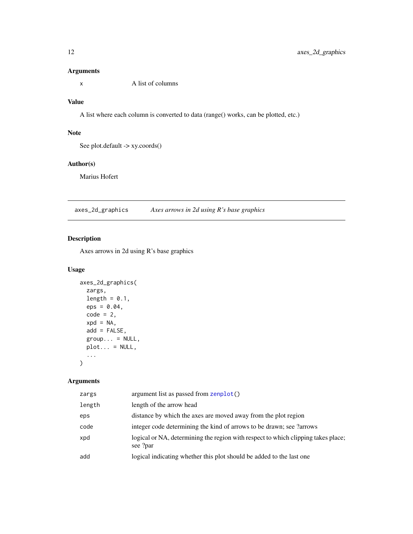<span id="page-11-0"></span>x A list of columns

### Value

A list where each column is converted to data (range() works, can be plotted, etc.)

# Note

See plot.default -> xy.coords()

# Author(s)

Marius Hofert

<span id="page-11-1"></span>axes\_2d\_graphics *Axes arrows in 2d using R's base graphics*

# Description

Axes arrows in 2d using R's base graphics

# Usage

```
axes_2d_graphics(
 zargs,
 length = 0.1,
 eps = 0.04,code = 2,
 xpd = NA,
 add = FALSE,group... = NULL,plot... = NULL,...
)
```
# Arguments

| zargs  | argument list as passed from zenplot()                                                        |
|--------|-----------------------------------------------------------------------------------------------|
| length | length of the arrow head                                                                      |
| eps    | distance by which the axes are moved away from the plot region                                |
| code   | integer code determining the kind of arrows to be drawn; see ?arrows                          |
| xpd    | logical or NA, determining the region with respect to which clipping takes place;<br>see ?par |
| add    | logical indicating whether this plot should be added to the last one                          |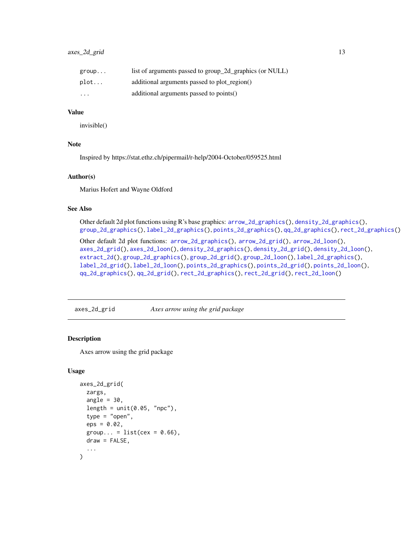<span id="page-12-0"></span>

| group    | list of arguments passed to group_2d_graphics (or NULL) |
|----------|---------------------------------------------------------|
| plot     | additional arguments passed to plot_region()            |
| $\cdots$ | additional arguments passed to points()                 |

#### Value

invisible()

# Note

Inspired by https://stat.ethz.ch/pipermail/r-help/2004-October/059525.html

#### Author(s)

Marius Hofert and Wayne Oldford

# See Also

Other default 2d plot functions using R's base graphics: [arrow\\_2d\\_graphics\(](#page-7-1)), [density\\_2d\\_graphics\(](#page-28-1)), [group\\_2d\\_graphics\(](#page-44-1)), [label\\_2d\\_graphics\(](#page-62-1)), [points\\_2d\\_graphics\(](#page-83-1)), [qq\\_2d\\_graphics\(](#page-87-1)), [rect\\_2d\\_graphics\(](#page-93-1))

Other default 2d plot functions: [arrow\\_2d\\_graphics\(](#page-7-1)), [arrow\\_2d\\_grid\(](#page-8-1)), [arrow\\_2d\\_loon\(](#page-9-1)), [axes\\_2d\\_grid\(](#page-12-1)), [axes\\_2d\\_loon\(](#page-13-1)), [density\\_2d\\_graphics\(](#page-28-1)), [density\\_2d\\_grid\(](#page-29-1)), [density\\_2d\\_loon\(](#page-30-1)), [extract\\_2d\(](#page-36-1)), [group\\_2d\\_graphics\(](#page-44-1)), [group\\_2d\\_grid\(](#page-45-1)), [group\\_2d\\_loon\(](#page-46-1)), [label\\_2d\\_graphics\(](#page-62-1)), [label\\_2d\\_grid\(](#page-63-1)), [label\\_2d\\_loon\(](#page-64-1)), [points\\_2d\\_graphics\(](#page-83-1)), [points\\_2d\\_grid\(](#page-84-1)), [points\\_2d\\_loon\(](#page-86-1)), [qq\\_2d\\_graphics\(](#page-87-1)), [qq\\_2d\\_grid\(](#page-88-1)), [rect\\_2d\\_graphics\(](#page-93-1)), [rect\\_2d\\_grid\(](#page-94-1)), [rect\\_2d\\_loon\(](#page-95-1))

<span id="page-12-1"></span>axes\_2d\_grid *Axes arrow using the grid package*

# Description

Axes arrow using the grid package

```
axes_2d_grid(
  zargs,
  angle = 30,
  length = unit(0.05, 'npc"),
  type = "open",
  eps = 0.02,
  group... = list(cex = 0.66),
  draw = FALSE,...
)
```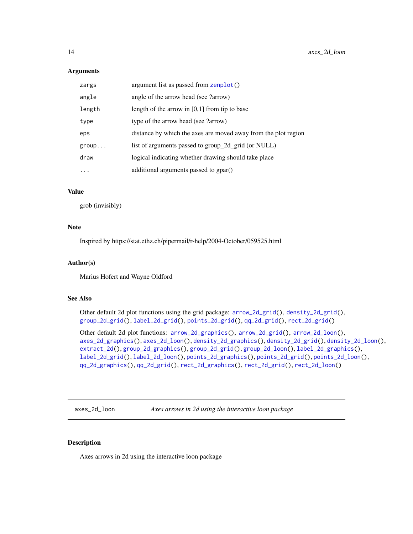<span id="page-13-0"></span>

| zargs  | argument list as passed from zenplot()                         |
|--------|----------------------------------------------------------------|
| angle  | angle of the arrow head (see ?arrow)                           |
| length | length of the arrow in $[0,1]$ from tip to base                |
| type   | type of the arrow head (see ?arrow)                            |
| eps    | distance by which the axes are moved away from the plot region |
| group  | list of arguments passed to group_2d_grid (or NULL)            |
| draw   | logical indicating whether drawing should take place           |
| .      | additional arguments passed to gpar()                          |

# Value

grob (invisibly)

# Note

Inspired by https://stat.ethz.ch/pipermail/r-help/2004-October/059525.html

# Author(s)

Marius Hofert and Wayne Oldford

#### See Also

Other default 2d plot functions using the grid package: [arrow\\_2d\\_grid\(](#page-8-1)), [density\\_2d\\_grid\(](#page-29-1)), [group\\_2d\\_grid\(](#page-45-1)), [label\\_2d\\_grid\(](#page-63-1)), [points\\_2d\\_grid\(](#page-84-1)), [qq\\_2d\\_grid\(](#page-88-1)), [rect\\_2d\\_grid\(](#page-94-1))

Other default 2d plot functions: [arrow\\_2d\\_graphics\(](#page-7-1)), [arrow\\_2d\\_grid\(](#page-8-1)), [arrow\\_2d\\_loon\(](#page-9-1)), [axes\\_2d\\_graphics\(](#page-11-1)), [axes\\_2d\\_loon\(](#page-13-1)), [density\\_2d\\_graphics\(](#page-28-1)), [density\\_2d\\_grid\(](#page-29-1)), [density\\_2d\\_loon\(](#page-30-1)), [extract\\_2d\(](#page-36-1)), [group\\_2d\\_graphics\(](#page-44-1)), [group\\_2d\\_grid\(](#page-45-1)), [group\\_2d\\_loon\(](#page-46-1)), [label\\_2d\\_graphics\(](#page-62-1)), [label\\_2d\\_grid\(](#page-63-1)), [label\\_2d\\_loon\(](#page-64-1)), [points\\_2d\\_graphics\(](#page-83-1)), [points\\_2d\\_grid\(](#page-84-1)), [points\\_2d\\_loon\(](#page-86-1)), [qq\\_2d\\_graphics\(](#page-87-1)), [qq\\_2d\\_grid\(](#page-88-1)), [rect\\_2d\\_graphics\(](#page-93-1)), [rect\\_2d\\_grid\(](#page-94-1)), [rect\\_2d\\_loon\(](#page-95-1))

<span id="page-13-1"></span>axes\_2d\_loon *Axes arrows in 2d using the interactive loon package*

## Description

Axes arrows in 2d using the interactive loon package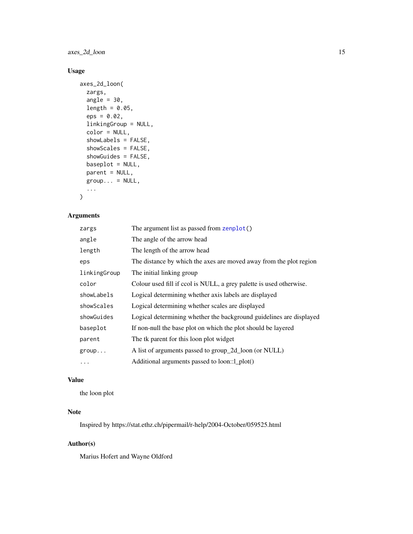axes\_2d\_loon 15

# Usage

```
axes_2d_loon(
  zargs,
  angle = 30,
  length = 0.05,
  eps = 0.02,
  linkingGroup = NULL,
  color = NULL,
  showLabels = FALSE,
  showScales = FALSE,
  showGuides = FALSE,
 baseplot = NULL,
 parent = NULL,
 group... = NULL,...
)
```
# Arguments

| zargs        | The argument list as passed from zenplot()                          |
|--------------|---------------------------------------------------------------------|
| angle        | The angle of the arrow head                                         |
| length       | The length of the arrow head                                        |
| eps          | The distance by which the axes are moved away from the plot region  |
| linkingGroup | The initial linking group                                           |
| color        | Colour used fill if ccol is NULL, a grey palette is used otherwise. |
| showLabels   | Logical determining whether axis labels are displayed               |
| showScales   | Logical determining whether scales are displayed                    |
| showGuides   | Logical determining whether the background guidelines are displayed |
| baseplot     | If non-null the base plot on which the plot should be layered       |
| parent       | The tk parent for this loon plot widget                             |
| group        | A list of arguments passed to group_2d_loon (or NULL)               |
| $\cdots$     | Additional arguments passed to loon::l_plot()                       |

# Value

the loon plot

# Note

Inspired by https://stat.ethz.ch/pipermail/r-help/2004-October/059525.html

# Author(s)

Marius Hofert and Wayne Oldford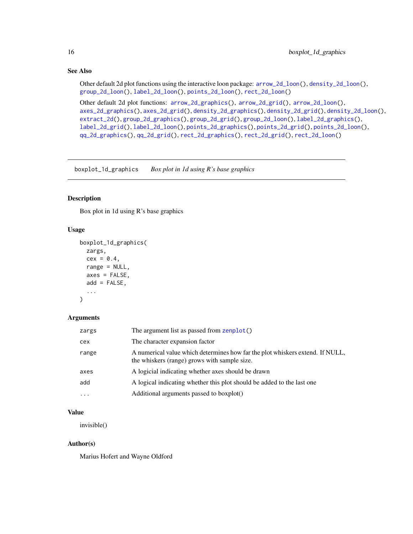# <span id="page-15-0"></span>See Also

Other default 2d plot functions using the interactive loon package: [arrow\\_2d\\_loon\(](#page-9-1)), [density\\_2d\\_loon\(](#page-30-1)), [group\\_2d\\_loon\(](#page-46-1)), [label\\_2d\\_loon\(](#page-64-1)), [points\\_2d\\_loon\(](#page-86-1)), [rect\\_2d\\_loon\(](#page-95-1))

Other default 2d plot functions: [arrow\\_2d\\_graphics\(](#page-7-1)), [arrow\\_2d\\_grid\(](#page-8-1)), [arrow\\_2d\\_loon\(](#page-9-1)), [axes\\_2d\\_graphics\(](#page-11-1)), [axes\\_2d\\_grid\(](#page-12-1)), [density\\_2d\\_graphics\(](#page-28-1)), [density\\_2d\\_grid\(](#page-29-1)), [density\\_2d\\_loon\(](#page-30-1)), [extract\\_2d\(](#page-36-1)), [group\\_2d\\_graphics\(](#page-44-1)), [group\\_2d\\_grid\(](#page-45-1)), [group\\_2d\\_loon\(](#page-46-1)), [label\\_2d\\_graphics\(](#page-62-1)), [label\\_2d\\_grid\(](#page-63-1)), [label\\_2d\\_loon\(](#page-64-1)), [points\\_2d\\_graphics\(](#page-83-1)), [points\\_2d\\_grid\(](#page-84-1)), [points\\_2d\\_loon\(](#page-86-1)), [qq\\_2d\\_graphics\(](#page-87-1)), [qq\\_2d\\_grid\(](#page-88-1)), [rect\\_2d\\_graphics\(](#page-93-1)), [rect\\_2d\\_grid\(](#page-94-1)), [rect\\_2d\\_loon\(](#page-95-1))

<span id="page-15-1"></span>boxplot\_1d\_graphics *Box plot in 1d using R's base graphics*

#### Description

Box plot in 1d using R's base graphics

# Usage

```
boxplot_1d_graphics(
  zargs,
  cex = 0.4,
  range = NULL,
  axes = FALSE,add = FALSE,...
)
```
### Arguments

| zargs     | The argument list as passed from zenplot()                                                                                    |
|-----------|-------------------------------------------------------------------------------------------------------------------------------|
| cex       | The character expansion factor                                                                                                |
| range     | A numerical value which determines how far the plot whiskers extend. If NULL,<br>the whiskers (range) grows with sample size. |
| axes      | A logicial indicating whether axes should be drawn                                                                            |
| add       | A logical indicating whether this plot should be added to the last one                                                        |
| $\ddotsc$ | Additional arguments passed to boxplot()                                                                                      |

# Value

invisible()

# Author(s)

Marius Hofert and Wayne Oldford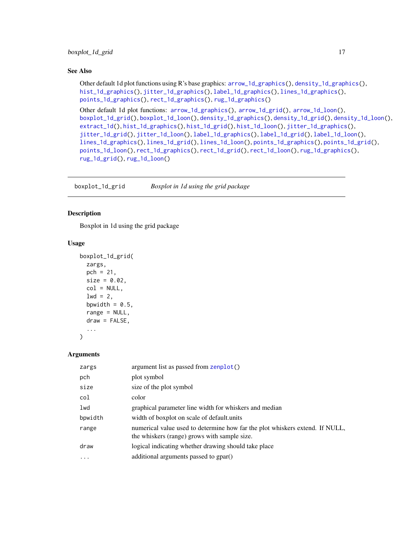# <span id="page-16-0"></span>boxplot\_1d\_grid 17

# See Also

```
Other default 1d plot functions using R's base graphics: arrow_1d_graphics(), density_1d_graphics(),
hist_1d_graphics(), jitter_1d_graphics(), label_1d_graphics(), lines_1d_graphics(),
points_1d_graphics(), rect_1d_graphics(), rug_1d_graphics()
```

```
Other default 1d plot functions: arrow_1d_graphics(), arrow_1d_grid(), arrow_1d_loon(),
boxplot_1d_grid(), boxplot_1d_loon(), density_1d_graphics(), density_1d_grid(), density_1d_loon(),
extract_1d(), hist_1d_graphics(), hist_1d_grid(), hist_1d_loon(), jitter_1d_graphics(),
jitter_1d_grid(), jitter_1d_loon(), label_1d_graphics(), label_1d_grid(), label_1d_loon(),
lines_1d_graphics(), lines_1d_grid(), lines_1d_loon(), points_1d_graphics(), points_1d_grid(),
points_1d_loon(), rect_1d_graphics(), rect_1d_grid(), rect_1d_loon(), rug_1d_graphics(),
rug_1d_grid(), rug_1d_loon()
```
<span id="page-16-1"></span>boxplot\_1d\_grid *Boxplot in 1d using the grid package*

### **Description**

Boxplot in 1d using the grid package

#### Usage

```
boxplot_1d_grid(
  zargs,
  pch = 21,
  size = 0.02,
  col = NULL,1wd = 2,
  bpwidth = 0.5,
  range = NULL,draw = FALSE,
  ...
\mathcal{L}
```
#### Arguments

| zargs    | argument list as passed from zenplot()                                                                                       |
|----------|------------------------------------------------------------------------------------------------------------------------------|
| pch      | plot symbol                                                                                                                  |
| size     | size of the plot symbol                                                                                                      |
| col      | color                                                                                                                        |
| lwd      | graphical parameter line width for whiskers and median                                                                       |
| bpwidth  | width of boxplot on scale of default.units                                                                                   |
| range    | numerical value used to determine how far the plot whiskers extend. If NULL,<br>the whiskers (range) grows with sample size. |
| draw     | logical indicating whether drawing should take place                                                                         |
| $\cdots$ | additional arguments passed to gpar()                                                                                        |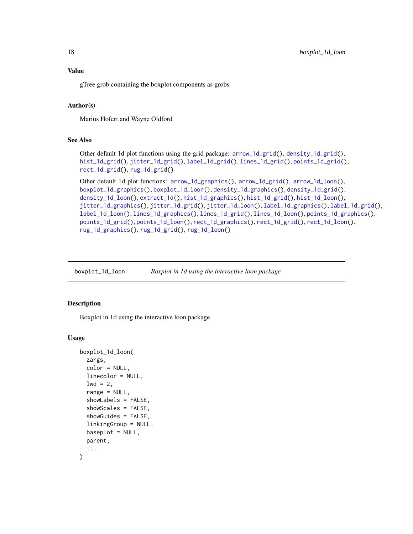<span id="page-17-0"></span>Value

gTree grob containing the boxplot components as grobs

#### Author(s)

Marius Hofert and Wayne Oldford

#### See Also

```
Other default 1d plot functions using the grid package: arrow_1d_grid(), density_1d_grid(),
hist_1d_grid(), jitter_1d_grid(), label_1d_grid(), lines_1d_grid(), points_1d_grid(),
rect_1d_grid(), rug_1d_grid()
```

```
Other default 1d plot functions: arrow_1d_graphics(), arrow_1d_grid(), arrow_1d_loon(),
boxplot_1d_graphics(), boxplot_1d_loon(), density_1d_graphics(), density_1d_grid(),
density_1d_loon(), extract_1d(), hist_1d_graphics(), hist_1d_grid(), hist_1d_loon(),
jitter_1d_graphics(), jitter_1d_grid(), jitter_1d_loon(), label_1d_graphics(), label_1d_grid(),
label_1d_loon(), lines_1d_graphics(), lines_1d_grid(), lines_1d_loon(), points_1d_graphics(),
points_1d_grid(), points_1d_loon(), rect_1d_graphics(), rect_1d_grid(), rect_1d_loon(),
rug_1d_graphics(), rug_1d_grid(), rug_1d_loon()
```
<span id="page-17-1"></span>boxplot\_1d\_loon *Boxplot in 1d using the interactive loon package*

# Description

Boxplot in 1d using the interactive loon package

```
boxplot_1d_loon(
  zargs,
  color = NULL,
  linecolor = NULL,
  1wd = 2,
  range = NULL,
  showLabels = FALSE,
  showScales = FALSE,
  showGuides = FALSE,
  linkingGroup = NULL,
 baseplot = NULL,parent,
  ...
)
```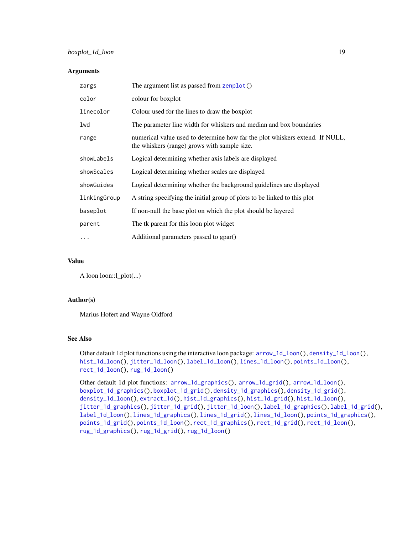# boxplot\_1d\_loon 19

#### Arguments

| zargs        | The argument list as passed from zenplot()                                                                                   |
|--------------|------------------------------------------------------------------------------------------------------------------------------|
| color        | colour for boxplot                                                                                                           |
| linecolor    | Colour used for the lines to draw the boxplot                                                                                |
| lwd          | The parameter line width for whiskers and median and box boundaries                                                          |
| range        | numerical value used to determine how far the plot whiskers extend. If NULL,<br>the whiskers (range) grows with sample size. |
| showLabels   | Logical determining whether axis labels are displayed                                                                        |
| showScales   | Logical determining whether scales are displayed                                                                             |
| showGuides   | Logical determining whether the background guidelines are displayed                                                          |
| linkingGroup | A string specifying the initial group of plots to be linked to this plot                                                     |
| baseplot     | If non-null the base plot on which the plot should be layered                                                                |
| parent       | The tk parent for this loon plot widget                                                                                      |
| $\cdots$     | Additional parameters passed to gpar()                                                                                       |

# Value

A loon loon::l\_plot(...)

#### Author(s)

Marius Hofert and Wayne Oldford

#### See Also

Other default 1d plot functions using the interactive loon package: [arrow\\_1d\\_loon\(](#page-6-1)), [density\\_1d\\_loon\(](#page-26-1)), [hist\\_1d\\_loon\(](#page-51-1)), [jitter\\_1d\\_loon\(](#page-56-1)), [label\\_1d\\_loon\(](#page-60-1)), [lines\\_1d\\_loon\(](#page-71-1)), [points\\_1d\\_loon\(](#page-82-1)), [rect\\_1d\\_loon\(](#page-92-1)), [rug\\_1d\\_loon\(](#page-99-1))

Other default 1d plot functions: [arrow\\_1d\\_graphics\(](#page-3-1)), [arrow\\_1d\\_grid\(](#page-4-1)), [arrow\\_1d\\_loon\(](#page-6-1)), [boxplot\\_1d\\_graphics\(](#page-15-1)), [boxplot\\_1d\\_grid\(](#page-16-1)), [density\\_1d\\_graphics\(](#page-24-1)), [density\\_1d\\_grid\(](#page-25-1)), [density\\_1d\\_loon\(](#page-26-1)), [extract\\_1d\(](#page-34-1)), [hist\\_1d\\_graphics\(](#page-49-1)), [hist\\_1d\\_grid\(](#page-50-1)), [hist\\_1d\\_loon\(](#page-51-1)), [jitter\\_1d\\_graphics\(](#page-54-1)), [jitter\\_1d\\_grid\(](#page-55-1)), [jitter\\_1d\\_loon\(](#page-56-1)), [label\\_1d\\_graphics\(](#page-58-1)), [label\\_1d\\_grid\(](#page-59-1)), [label\\_1d\\_loon\(](#page-60-1)), [lines\\_1d\\_graphics\(](#page-69-1)), [lines\\_1d\\_grid\(](#page-70-1)), [lines\\_1d\\_loon\(](#page-71-1)), [points\\_1d\\_graphics\(](#page-80-1)), [points\\_1d\\_grid\(](#page-81-1)), [points\\_1d\\_loon\(](#page-82-1)), [rect\\_1d\\_graphics\(](#page-90-1)), [rect\\_1d\\_grid\(](#page-91-1)), [rect\\_1d\\_loon\(](#page-92-1)), [rug\\_1d\\_graphics\(](#page-97-1)), [rug\\_1d\\_grid\(](#page-98-1)), [rug\\_1d\\_loon\(](#page-99-1))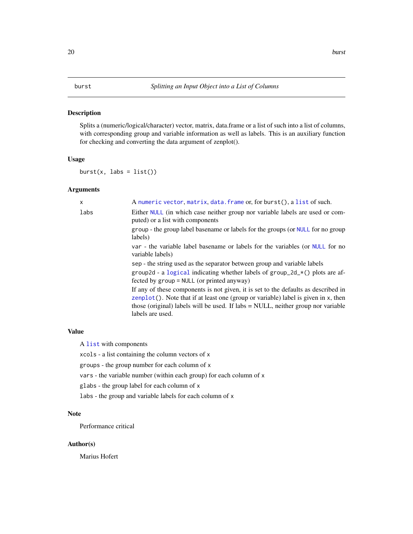#### <span id="page-19-1"></span><span id="page-19-0"></span>Description

Splits a (numeric/logical/character) vector, matrix, data.frame or a list of such into a list of columns, with corresponding group and variable information as well as labels. This is an auxiliary function for checking and converting the data argument of zenplot().

# Usage

 $burst(x, labs = list())$ 

# Arguments

| X    | A numeric vector, matrix, data. frame or, for burst(), a list of such.                                                                                                                                                                                                              |
|------|-------------------------------------------------------------------------------------------------------------------------------------------------------------------------------------------------------------------------------------------------------------------------------------|
| labs | Either NULL (in which case neither group nor variable labels are used or com-<br>puted) or a list with components                                                                                                                                                                   |
|      | group - the group label basename or labels for the groups (or NULL for no group<br>labels)                                                                                                                                                                                          |
|      | var - the variable label basename or labels for the variables (or NULL for no<br>variable labels)                                                                                                                                                                                   |
|      | sep - the string used as the separator between group and variable labels                                                                                                                                                                                                            |
|      | group2d - a logical indicating whether labels of group_2d_ $\star$ () plots are af-<br>fected by $group = NULL$ (or printed anyway)                                                                                                                                                 |
|      | If any of these components is not given, it is set to the defaults as described in<br>$zenplot()$ . Note that if at least one (group or variable) label is given in x, then<br>those (original) labels will be used. If labs = NULL, neither group nor variable<br>labels are used. |
|      |                                                                                                                                                                                                                                                                                     |

# Value

A [list](#page-0-0) with components

xcols - a list containing the column vectors of x

groups - the group number for each column of x

vars - the variable number (within each group) for each column of x

glabs - the group label for each column of x

labs - the group and variable labels for each column of x

#### Note

Performance critical

# Author(s)

Marius Hofert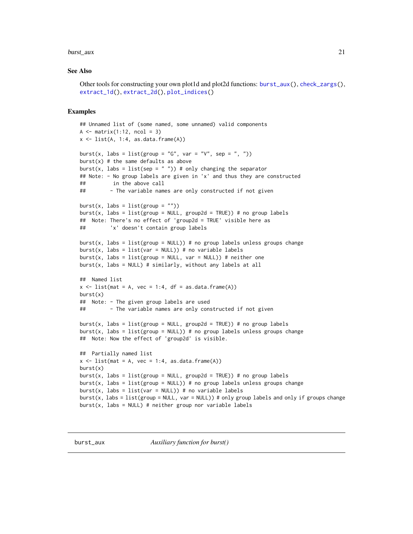#### <span id="page-20-0"></span>burst\_aux 21

#### See Also

```
Other tools for constructing your own plot1d and plot2d functions: burst_aux(), check_zargs(),
extract_1d(), extract_2d(), plot_indices()
```
#### Examples

```
## Unnamed list of (some named, some unnamed) valid components
A \leq - matrix(1:12, ncol = 3)
x \leftarrow list(A, 1:4, as.data.frame(A))
burst(x, labs = list(group = "G", var = "V", sep = ", "))
burst(x) # the same defaults as above
burst(x, labs = list(sep = ")) # only changing the separator
## Note: - No group labels are given in 'x' and thus they are constructed
## in the above call
## - The variable names are only constructed if not given
burst(x, labs = list(group = ""))
burst(x, labs = list(group = NULL, group2d = TRUE)) # no group labels
## Note: There's no effect of 'group2d = TRUE' visible here as
## 'x' doesn't contain group labels
burst(x, labs = list(group = NULL)) # no group labels unless groups change
burst(x, labs = list(var = NULL)) # no variable labels
burst(x, labs = list(group = NULL, var = NULL)) # neither one
burst(x, \text{ labs} = NULL) # similarly, without any labels at all
## Named list
x \le -\text{list}(\text{mat} = A, \text{vec} = 1:4, \text{df} = \text{as.data}.\text{frame}(A))burst(x)
## Note: - The given group labels are used
## - The variable names are only constructed if not given
burst(x, labs = list(group = NULL, group2d = TRUE)) # no group labels
burst(x, labs = list(group = NULL)) # no group labels unless groups change
## Note: Now the effect of 'group2d' is visible.
## Partially named list
x \le - list(mat = A, vec = 1:4, as.data.frame(A))
burst(x)burst(x, labs = list(group = NULL, group2d = TRUE)) # no group labels
burst(x, labs = list(group = NULL)) # no group labels unless groups change
burst(x, labs = list(var = NULL)) # no variable labels
burst(x, labs = list(group = NULL, var = NULL)) # only group labels and only if groups change
burst(x, labs = NULL) # neither group nor variable labels
```
<span id="page-20-1"></span>burst\_aux *Auxiliary function for burst()*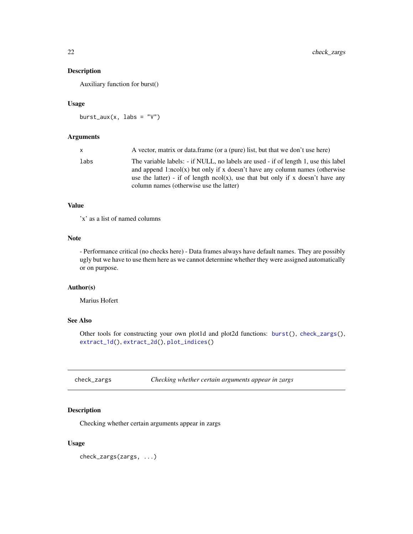# <span id="page-21-0"></span>Description

Auxiliary function for burst()

# Usage

 $burst_aux(x, labs = "V")$ 

# Arguments

| x    | A vector, matrix or data.frame (or a (pure) list, but that we don't use here)                                                                                                                                                                                                                       |
|------|-----------------------------------------------------------------------------------------------------------------------------------------------------------------------------------------------------------------------------------------------------------------------------------------------------|
| labs | The variable labels: - if NULL, no labels are used - if of length 1, use this label<br>and append 1:ncol(x) but only if x doesn't have any column names (otherwise<br>use the latter) - if of length $ncol(x)$ , use that but only if x doesn't have any<br>column names (otherwise use the latter) |
|      |                                                                                                                                                                                                                                                                                                     |

# Value

'x' as a list of named columns

# Note

- Performance critical (no checks here) - Data frames always have default names. They are possibly ugly but we have to use them here as we cannot determine whether they were assigned automatically or on purpose.

# Author(s)

Marius Hofert

# See Also

Other tools for constructing your own plot1d and plot2d functions: [burst\(](#page-19-1)), [check\\_zargs\(](#page-21-1)), [extract\\_1d\(](#page-34-1)), [extract\\_2d\(](#page-36-1)), [plot\\_indices\(](#page-78-1))

<span id="page-21-1"></span>check\_zargs *Checking whether certain arguments appear in zargs*

# Description

Checking whether certain arguments appear in zargs

#### Usage

check\_zargs(zargs, ...)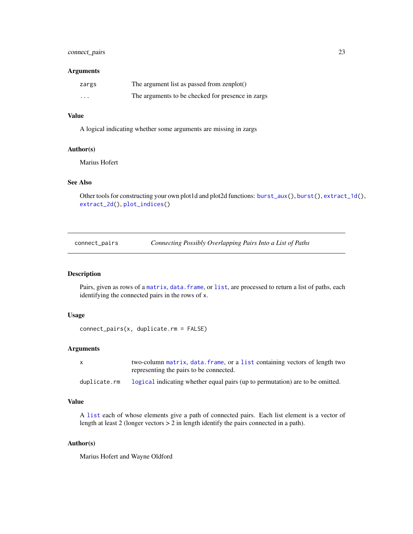# <span id="page-22-0"></span>connect\_pairs 23

#### Arguments

| zargs    | The argument list as passed from zenplot()        |
|----------|---------------------------------------------------|
| $\cdots$ | The arguments to be checked for presence in zargs |

#### Value

A logical indicating whether some arguments are missing in zargs

#### Author(s)

Marius Hofert

# See Also

Other tools for constructing your own plot1d and plot2d functions: [burst\\_aux\(](#page-20-1)), [burst\(](#page-19-1)), [extract\\_1d\(](#page-34-1)), [extract\\_2d\(](#page-36-1)), [plot\\_indices\(](#page-78-1))

connect\_pairs *Connecting Possibly Overlapping Pairs Into a List of Paths*

# Description

Pairs, given as rows of a [matrix](#page-0-0), [data.frame](#page-0-0), or [list](#page-0-0), are processed to return a list of paths, each identifying the connected pairs in the rows of x.

# Usage

```
connect_pairs(x, duplicate.rm = FALSE)
```
# Arguments

| two-column matrix, data. frame, or a list containing vectors of length two |
|----------------------------------------------------------------------------|
| representing the pairs to be connected.                                    |

duplicate.rm [logical](#page-0-0) indicating whether equal pairs (up to permutation) are to be omitted.

## Value

A [list](#page-0-0) each of whose elements give a path of connected pairs. Each list element is a vector of length at least 2 (longer vectors > 2 in length identify the pairs connected in a path).

#### Author(s)

Marius Hofert and Wayne Oldford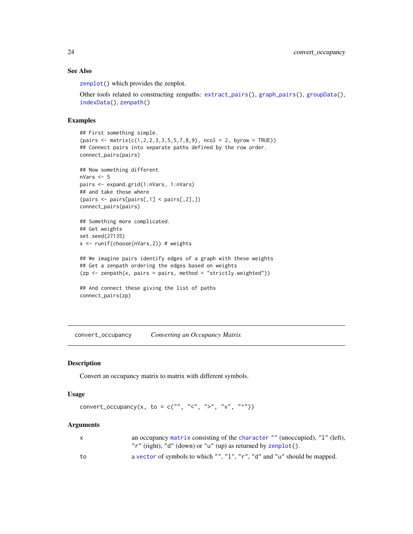# See Also

[zenplot\(](#page-107-1)) which provides the zenplot.

Other tools related to constructing zenpaths: [extract\\_pairs\(](#page-38-1)), [graph\\_pairs\(](#page-41-1)), [groupData\(](#page-43-1)), [indexData\(](#page-52-1)), [zenpath\(](#page-106-1))

### Examples

```
## First something simple.
(pairs < - matrix(c(1, 2, 2, 3, 3, 5, 5, 7, 8, 9), ncol = 2, byrow = TRUE))
## Connect pairs into separate paths defined by the row order.
connect_pairs(pairs)
## Now something different
nVars <- 5
pairs <- expand.grid(1:nVars, 1:nVars)
## and take those where
(pairs <- pairs[pairs[,1] < pairs[,2],])
connect_pairs(pairs)
## Something more complicated.
## Get weights
set.seed(27135)
x <- runif(choose(nVars,2)) # weights
## We imagine pairs identify edges of a graph with these weights
## Get a zenpath ordering the edges based on weights
(zp \leq zenpath(x, pairs = pairs, method = "strictly.weighted"))## And connect these giving the list of paths
connect_pairs(zp)
```
convert\_occupancy *Converting an Occupancy Matrix*

# Description

Convert an occupancy matrix to matrix with different symbols.

#### Usage

convert\_occupancy(x, to = c("", "<", ">", "v", "^"))

#### Arguments

| X  | an occupancy matrix consisting of the character "" (unoccupied), "1" (left), |
|----|------------------------------------------------------------------------------|
|    | "r" (right), "d" (down) or "u" (up) as returned by $\mathsf{zenplot}()$ .    |
| to | a vector of symbols to which "", "1", "r", "d" and "u" should be mapped.     |

<span id="page-23-0"></span>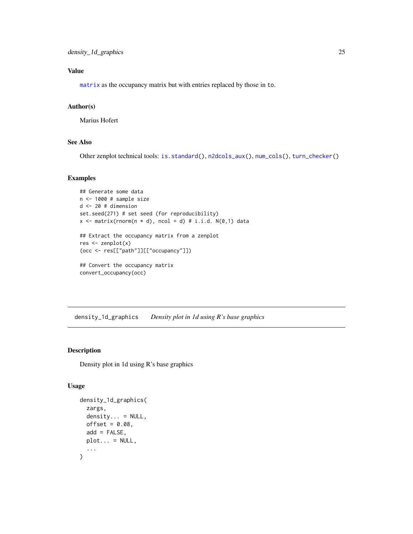# <span id="page-24-0"></span>Value

[matrix](#page-0-0) as the occupancy matrix but with entries replaced by those in to.

#### Author(s)

Marius Hofert

#### See Also

Other zenplot technical tools: [is.standard\(](#page-53-1)), [n2dcols\\_aux\(](#page-74-1)), [num\\_cols\(](#page-76-1)), [turn\\_checker\(](#page-100-1))

# Examples

```
## Generate some data
n <- 1000 # sample size
d \le -20 # dimension
set.seed(271) # set seed (for reproducibility)
x \le matrix(rnorm(n * d), ncol = d) # i.i.d. N(0,1) data
## Extract the occupancy matrix from a zenplot
res <- zenplot(x)
(occ <- res[["path"]][["occupancy"]])
## Convert the occupancy matrix
```
convert\_occupancy(occ)

<span id="page-24-1"></span>density\_1d\_graphics *Density plot in 1d using R's base graphics*

#### Description

Density plot in 1d using R's base graphics

```
density_1d_graphics(
  zargs,
  density... = NULL,
  offset = 0.08,
  add = FALSE,
  plot... = NULL,...
\mathcal{E}
```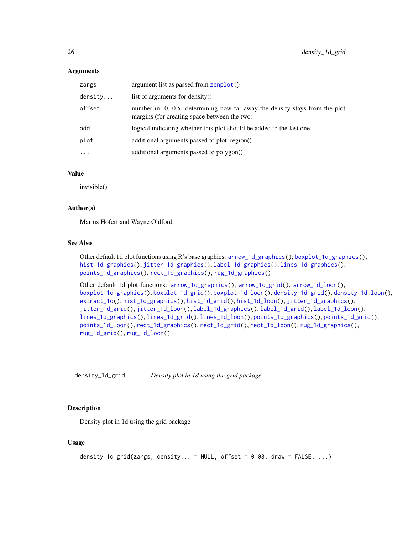<span id="page-25-0"></span>

| zargs    | argument list as passed from zenplot()                                                                                        |
|----------|-------------------------------------------------------------------------------------------------------------------------------|
| density  | list of arguments for density()                                                                                               |
| offset   | number in $[0, 0.5]$ determining how far away the density stays from the plot<br>margins (for creating space between the two) |
| add      | logical indicating whether this plot should be added to the last one                                                          |
| plot     | additional arguments passed to plot_region()                                                                                  |
| $\cdots$ | additional arguments passed to polygon()                                                                                      |
|          |                                                                                                                               |

#### Value

invisible()

# Author(s)

Marius Hofert and Wayne Oldford

#### See Also

Other default 1d plot functions using R's base graphics: [arrow\\_1d\\_graphics\(](#page-3-1)), [boxplot\\_1d\\_graphics\(](#page-15-1)), [hist\\_1d\\_graphics\(](#page-49-1)), [jitter\\_1d\\_graphics\(](#page-54-1)), [label\\_1d\\_graphics\(](#page-58-1)), [lines\\_1d\\_graphics\(](#page-69-1)), [points\\_1d\\_graphics\(](#page-80-1)), [rect\\_1d\\_graphics\(](#page-90-1)), [rug\\_1d\\_graphics\(](#page-97-1))

Other default 1d plot functions: [arrow\\_1d\\_graphics\(](#page-3-1)), [arrow\\_1d\\_grid\(](#page-4-1)), [arrow\\_1d\\_loon\(](#page-6-1)), [boxplot\\_1d\\_graphics\(](#page-15-1)), [boxplot\\_1d\\_grid\(](#page-16-1)), [boxplot\\_1d\\_loon\(](#page-17-1)), [density\\_1d\\_grid\(](#page-25-1)), [density\\_1d\\_loon\(](#page-26-1)), [extract\\_1d\(](#page-34-1)), [hist\\_1d\\_graphics\(](#page-49-1)), [hist\\_1d\\_grid\(](#page-50-1)), [hist\\_1d\\_loon\(](#page-51-1)), [jitter\\_1d\\_graphics\(](#page-54-1)), [jitter\\_1d\\_grid\(](#page-55-1)), [jitter\\_1d\\_loon\(](#page-56-1)), [label\\_1d\\_graphics\(](#page-58-1)), [label\\_1d\\_grid\(](#page-59-1)), [label\\_1d\\_loon\(](#page-60-1)), [lines\\_1d\\_graphics\(](#page-69-1)), [lines\\_1d\\_grid\(](#page-70-1)), [lines\\_1d\\_loon\(](#page-71-1)), [points\\_1d\\_graphics\(](#page-80-1)), [points\\_1d\\_grid\(](#page-81-1)), [points\\_1d\\_loon\(](#page-82-1)), [rect\\_1d\\_graphics\(](#page-90-1)), [rect\\_1d\\_grid\(](#page-91-1)), [rect\\_1d\\_loon\(](#page-92-1)), [rug\\_1d\\_graphics\(](#page-97-1)), [rug\\_1d\\_grid\(](#page-98-1)), [rug\\_1d\\_loon\(](#page-99-1))

<span id="page-25-1"></span>density\_1d\_grid *Density plot in 1d using the grid package*

# Description

Density plot in 1d using the grid package

```
density_1d_grid(zargs, density... = NULL, offset = 0.08, draw = FALSE, ...)
```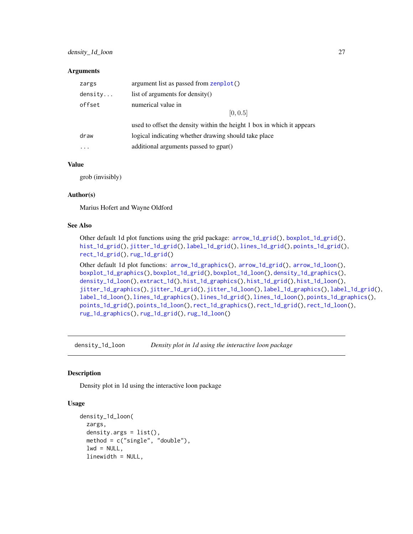<span id="page-26-0"></span>

| zargs   | argument list as passed from zenplot()                                 |
|---------|------------------------------------------------------------------------|
| density | list of arguments for density()                                        |
| offset  | numerical value in                                                     |
|         | [0, 0.5]                                                               |
|         | used to offset the density within the height 1 box in which it appears |
| draw    | logical indicating whether drawing should take place                   |
|         | additional arguments passed to gpar()                                  |
|         |                                                                        |

# Value

grob (invisibly)

#### Author(s)

Marius Hofert and Wayne Oldford

#### See Also

Other default 1d plot functions using the grid package: [arrow\\_1d\\_grid\(](#page-4-1)), [boxplot\\_1d\\_grid\(](#page-16-1)), [hist\\_1d\\_grid\(](#page-50-1)), [jitter\\_1d\\_grid\(](#page-55-1)), [label\\_1d\\_grid\(](#page-59-1)), [lines\\_1d\\_grid\(](#page-70-1)), [points\\_1d\\_grid\(](#page-81-1)), [rect\\_1d\\_grid\(](#page-91-1)), [rug\\_1d\\_grid\(](#page-98-1))

```
Other default 1d plot functions: arrow_1d_graphics(), arrow_1d_grid(), arrow_1d_loon(),
boxplot_1d_graphics(), boxplot_1d_grid(), boxplot_1d_loon(), density_1d_graphics(),
density_1d_loon(), extract_1d(), hist_1d_graphics(), hist_1d_grid(), hist_1d_loon(),
jitter_1d_graphics(), jitter_1d_grid(), jitter_1d_loon(), label_1d_graphics(), label_1d_grid(),
label_1d_loon(), lines_1d_graphics(), lines_1d_grid(), lines_1d_loon(), points_1d_graphics(),
points_1d_grid(), points_1d_loon(), rect_1d_graphics(), rect_1d_grid(), rect_1d_loon(),
rug_1d_graphics(), rug_1d_grid(), rug_1d_loon()
```
<span id="page-26-1"></span>density\_1d\_loon *Density plot in 1d using the interactive loon package*

#### **Description**

Density plot in 1d using the interactive loon package

```
density_1d_loon(
  zargs,
  density.args = list(),
  method = c("single", "double"),
  lwd = NULL,linewidth = NULL,
```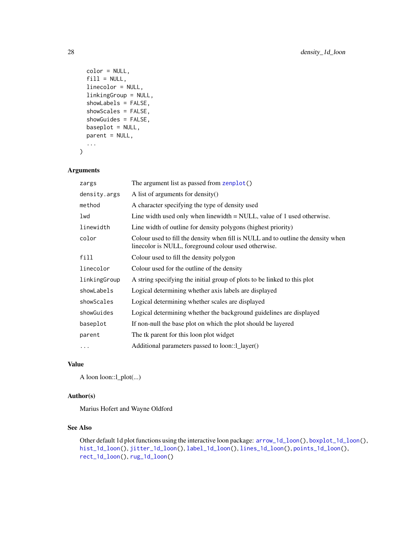```
color = NULL,
 fill = NULL,linecolor = NULL,
 linkingGroup = NULL,
  showLabels = FALSE,
  showScales = FALSE,
  showGuides = FALSE,
 baseplot = NULL,
 parent = NULL,
  ...
\mathcal{L}
```

| zargs        | The argument list as passed from zenplot()                                                                                                |
|--------------|-------------------------------------------------------------------------------------------------------------------------------------------|
| density.args | A list of arguments for density()                                                                                                         |
| method       | A character specifying the type of density used                                                                                           |
| lwd          | Line width used only when linewidth $=$ NULL, value of 1 used otherwise.                                                                  |
| linewidth    | Line width of outline for density polygons (highest priority)                                                                             |
| color        | Colour used to fill the density when fill is NULL and to outline the density when<br>linecolor is NULL, foreground colour used otherwise. |
| fill         | Colour used to fill the density polygon                                                                                                   |
| linecolor    | Colour used for the outline of the density                                                                                                |
| linkingGroup | A string specifying the initial group of plots to be linked to this plot                                                                  |
| showLabels   | Logical determining whether axis labels are displayed                                                                                     |
| showScales   | Logical determining whether scales are displayed                                                                                          |
| showGuides   | Logical determining whether the background guidelines are displayed                                                                       |
| baseplot     | If non-null the base plot on which the plot should be layered                                                                             |
| parent       | The tk parent for this loon plot widget                                                                                                   |
| .            | Additional parameters passed to loon::1_layer()                                                                                           |

# Value

A loon loon::l\_plot(...)

# Author(s)

Marius Hofert and Wayne Oldford

# See Also

Other default 1d plot functions using the interactive loon package: [arrow\\_1d\\_loon\(](#page-6-1)), [boxplot\\_1d\\_loon\(](#page-17-1)), [hist\\_1d\\_loon\(](#page-51-1)), [jitter\\_1d\\_loon\(](#page-56-1)), [label\\_1d\\_loon\(](#page-60-1)), [lines\\_1d\\_loon\(](#page-71-1)), [points\\_1d\\_loon\(](#page-82-1)), [rect\\_1d\\_loon\(](#page-92-1)), [rug\\_1d\\_loon\(](#page-99-1))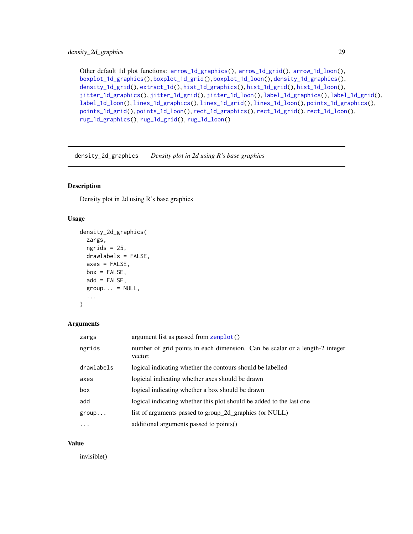<span id="page-28-0"></span>Other default 1d plot functions: [arrow\\_1d\\_graphics\(](#page-3-1)), [arrow\\_1d\\_grid\(](#page-4-1)), [arrow\\_1d\\_loon\(](#page-6-1)), [boxplot\\_1d\\_graphics\(](#page-15-1)), [boxplot\\_1d\\_grid\(](#page-16-1)), [boxplot\\_1d\\_loon\(](#page-17-1)), [density\\_1d\\_graphics\(](#page-24-1)), [density\\_1d\\_grid\(](#page-25-1)), [extract\\_1d\(](#page-34-1)), [hist\\_1d\\_graphics\(](#page-49-1)), [hist\\_1d\\_grid\(](#page-50-1)), [hist\\_1d\\_loon\(](#page-51-1)), [jitter\\_1d\\_graphics\(](#page-54-1)), [jitter\\_1d\\_grid\(](#page-55-1)), [jitter\\_1d\\_loon\(](#page-56-1)), [label\\_1d\\_graphics\(](#page-58-1)), [label\\_1d\\_grid\(](#page-59-1)), [label\\_1d\\_loon\(](#page-60-1)), [lines\\_1d\\_graphics\(](#page-69-1)), [lines\\_1d\\_grid\(](#page-70-1)), [lines\\_1d\\_loon\(](#page-71-1)), [points\\_1d\\_graphics\(](#page-80-1)), [points\\_1d\\_grid\(](#page-81-1)), [points\\_1d\\_loon\(](#page-82-1)), [rect\\_1d\\_graphics\(](#page-90-1)), [rect\\_1d\\_grid\(](#page-91-1)), [rect\\_1d\\_loon\(](#page-92-1)), [rug\\_1d\\_graphics\(](#page-97-1)), [rug\\_1d\\_grid\(](#page-98-1)), [rug\\_1d\\_loon\(](#page-99-1))

<span id="page-28-1"></span>density\_2d\_graphics *Density plot in 2d using R's base graphics*

# Description

Density plot in 2d using R's base graphics

# Usage

```
density_2d_graphics(
 zargs,
 ngrids = 25,
 drawlabels = FALSE,
 axes = FALSE,box = FALSE,
 add = FALSE,group... = NULL,...
)
```
#### **Arguments**

| zargs      | argument list as passed from zenplot()                                                  |
|------------|-----------------------------------------------------------------------------------------|
| ngrids     | number of grid points in each dimension. Can be scalar or a length-2 integer<br>vector. |
| drawlabels | logical indicating whether the contours should be labelled                              |
| axes       | logicial indicating whether axes should be drawn                                        |
| box        | logical indicating whether a box should be drawn                                        |
| add        | logical indicating whether this plot should be added to the last one                    |
| group      | list of arguments passed to group_2d_graphics (or NULL)                                 |
| $\cdot$    | additional arguments passed to points()                                                 |

#### Value

invisible()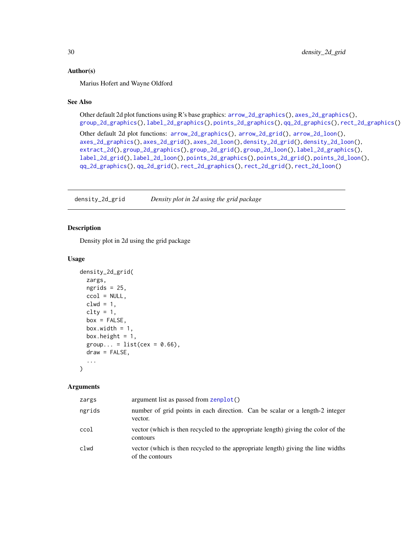#### <span id="page-29-0"></span>Author(s)

Marius Hofert and Wayne Oldford

### See Also

```
Other default 2d plot functions using R's base graphics: arrow_2d_graphics(), axes_2d_graphics(),
group_2d_graphics(), label_2d_graphics(), points_2d_graphics(), qq_2d_graphics(), rect_2d_graphics()
```

```
Other default 2d plot functions: arrow_2d_graphics(), arrow_2d_grid(), arrow_2d_loon(),
axes_2d_graphics(), axes_2d_grid(), axes_2d_loon(), density_2d_grid(), density_2d_loon(),
extract_2d(), group_2d_graphics(), group_2d_grid(), group_2d_loon(), label_2d_graphics(),
label_2d_grid(), label_2d_loon(), points_2d_graphics(), points_2d_grid(), points_2d_loon(),
qq_2d_graphics(), qq_2d_grid(), rect_2d_graphics(), rect_2d_grid(), rect_2d_loon()
```
<span id="page-29-1"></span>density\_2d\_grid *Density plot in 2d using the grid package*

#### Description

Density plot in 2d using the grid package

## Usage

```
density_2d_grid(
 zargs,
 ngrids = 25,
 ccol = NULL,clwd = 1,
 clty = 1,box = FALSE,
 box.width = 1,
 box.height = 1,
 group... = list(cex = 0.66),
 draw = FALSE,...
)
```
#### Arguments

| zargs  | argument list as passed from zenplot()                                                              |
|--------|-----------------------------------------------------------------------------------------------------|
| ngrids | number of grid points in each direction. Can be scalar or a length-2 integer<br>vector.             |
| ccol   | vector (which is then recycled to the appropriate length) giving the color of the<br>contours       |
| clwd   | vector (which is then recycled to the appropriate length) giving the line widths<br>of the contours |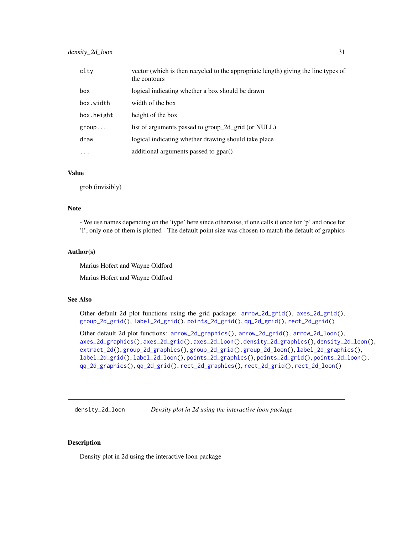<span id="page-30-0"></span>

| clty       | vector (which is then recycled to the appropriate length) giving the line types of<br>the contours |
|------------|----------------------------------------------------------------------------------------------------|
| box        | logical indicating whether a box should be drawn                                                   |
| box.width  | width of the box                                                                                   |
| box.height | height of the box                                                                                  |
| group      | list of arguments passed to group_2d_grid (or NULL)                                                |
| draw       | logical indicating whether drawing should take place                                               |
| $\ddotsc$  | additional arguments passed to gpar()                                                              |

#### Value

grob (invisibly)

# Note

- We use names depending on the 'type' here since otherwise, if one calls it once for 'p' and once for 'l', only one of them is plotted - The default point size was chosen to match the default of graphics

#### Author(s)

Marius Hofert and Wayne Oldford

Marius Hofert and Wayne Oldford

#### See Also

Other default 2d plot functions using the grid package: [arrow\\_2d\\_grid\(](#page-8-1)), [axes\\_2d\\_grid\(](#page-12-1)), [group\\_2d\\_grid\(](#page-45-1)), [label\\_2d\\_grid\(](#page-63-1)), [points\\_2d\\_grid\(](#page-84-1)), [qq\\_2d\\_grid\(](#page-88-1)), [rect\\_2d\\_grid\(](#page-94-1))

Other default 2d plot functions: [arrow\\_2d\\_graphics\(](#page-7-1)), [arrow\\_2d\\_grid\(](#page-8-1)), [arrow\\_2d\\_loon\(](#page-9-1)), [axes\\_2d\\_graphics\(](#page-11-1)), [axes\\_2d\\_grid\(](#page-12-1)), [axes\\_2d\\_loon\(](#page-13-1)), [density\\_2d\\_graphics\(](#page-28-1)), [density\\_2d\\_loon\(](#page-30-1)), [extract\\_2d\(](#page-36-1)), [group\\_2d\\_graphics\(](#page-44-1)), [group\\_2d\\_grid\(](#page-45-1)), [group\\_2d\\_loon\(](#page-46-1)), [label\\_2d\\_graphics\(](#page-62-1)), [label\\_2d\\_grid\(](#page-63-1)), [label\\_2d\\_loon\(](#page-64-1)), [points\\_2d\\_graphics\(](#page-83-1)), [points\\_2d\\_grid\(](#page-84-1)), [points\\_2d\\_loon\(](#page-86-1)), [qq\\_2d\\_graphics\(](#page-87-1)), [qq\\_2d\\_grid\(](#page-88-1)), [rect\\_2d\\_graphics\(](#page-93-1)), [rect\\_2d\\_grid\(](#page-94-1)), [rect\\_2d\\_loon\(](#page-95-1))

<span id="page-30-1"></span>density\_2d\_loon *Density plot in 2d using the interactive loon package*

#### Description

Density plot in 2d using the interactive loon package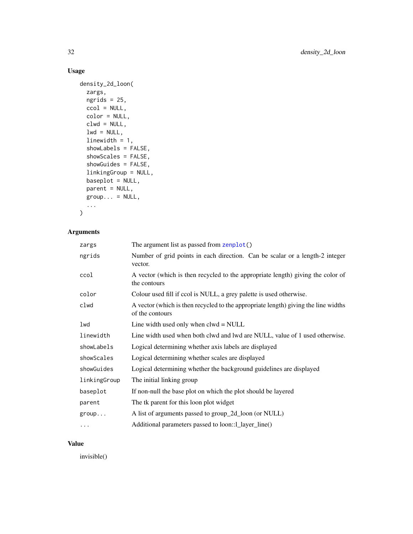# Usage

```
density_2d_loon(
  zargs,
 ngrids = 25,
 ccol = NULL,color = NULL,
 clwd = NULL,lwd = NULL,linewidth = 1,
  showLabels = FALSE,
  showScales = FALSE,
  showGuides = FALSE,
  linkingGroup = NULL,
 baseplot = NULL,
 parent = NULL,
 group... = NULL,...
\mathcal{L}
```
# Arguments

| zargs        | The argument list as passed from zenplot()                                                            |
|--------------|-------------------------------------------------------------------------------------------------------|
| ngrids       | Number of grid points in each direction. Can be scalar or a length-2 integer<br>vector.               |
| ccol         | A vector (which is then recycled to the appropriate length) giving the color of<br>the contours       |
| color        | Colour used fill if ccol is NULL, a grey palette is used otherwise.                                   |
| clwd         | A vector (which is then recycled to the appropriate length) giving the line widths<br>of the contours |
| lwd          | Line width used only when $clwd = NULL$                                                               |
| linewidth    | Line width used when both clwd and lwd are NULL, value of 1 used otherwise.                           |
| showLabels   | Logical determining whether axis labels are displayed                                                 |
| showScales   | Logical determining whether scales are displayed                                                      |
| showGuides   | Logical determining whether the background guidelines are displayed                                   |
| linkingGroup | The initial linking group                                                                             |
| baseplot     | If non-null the base plot on which the plot should be layered                                         |
| parent       | The tk parent for this loon plot widget                                                               |
| group        | A list of arguments passed to group_2d_loon (or NULL)                                                 |
| $\cdots$     | Additional parameters passed to loon::1_layer_line()                                                  |

# Value

invisible()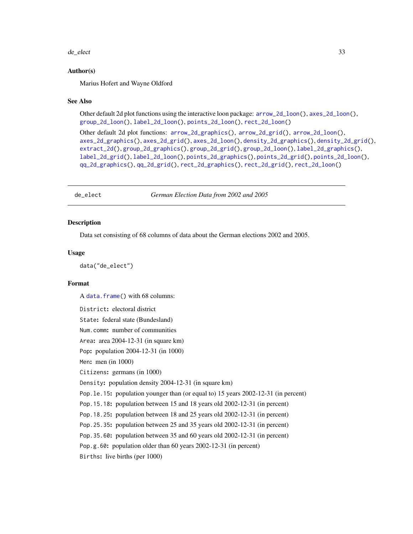#### <span id="page-32-0"></span>de\_elect 33

#### Author(s)

Marius Hofert and Wayne Oldford

#### See Also

Other default 2d plot functions using the interactive loon package: [arrow\\_2d\\_loon\(](#page-9-1)), [axes\\_2d\\_loon\(](#page-13-1)), [group\\_2d\\_loon\(](#page-46-1)), [label\\_2d\\_loon\(](#page-64-1)), [points\\_2d\\_loon\(](#page-86-1)), [rect\\_2d\\_loon\(](#page-95-1))

```
Other default 2d plot functions: arrow_2d_graphics(), arrow_2d_grid(), arrow_2d_loon(),
axes_2d_graphics(), axes_2d_grid(), axes_2d_loon(), density_2d_graphics(), density_2d_grid(),
extract_2d(), group_2d_graphics(), group_2d_grid(), group_2d_loon(), label_2d_graphics(),
label_2d_grid(), label_2d_loon(), points_2d_graphics(), points_2d_grid(), points_2d_loon(),
qq_2d_graphics(), qq_2d_grid(), rect_2d_graphics(), rect_2d_grid(), rect_2d_loon()
```
de\_elect *German Election Data from 2002 and 2005*

#### Description

Data set consisting of 68 columns of data about the German elections 2002 and 2005.

#### Usage

data("de\_elect")

#### Format

A [data.frame\(](#page-0-0)) with 68 columns:

District: electoral district State: federal state (Bundesland) Num.comm: number of communities Area: area 2004-12-31 (in square km) Pop: population 2004-12-31 (in 1000) Men: men (in 1000) Citizens: germans (in 1000) Density: population density 2004-12-31 (in square km) Pop.le.15: population younger than (or equal to) 15 years 2002-12-31 (in percent) Pop.15.18: population between 15 and 18 years old 2002-12-31 (in percent) Pop.18.25: population between 18 and 25 years old 2002-12-31 (in percent) Pop.25.35: population between 25 and 35 years old 2002-12-31 (in percent) Pop.35.60: population between 35 and 60 years old 2002-12-31 (in percent) Pop.g.60: population older than 60 years 2002-12-31 (in percent) Births: live births (per 1000)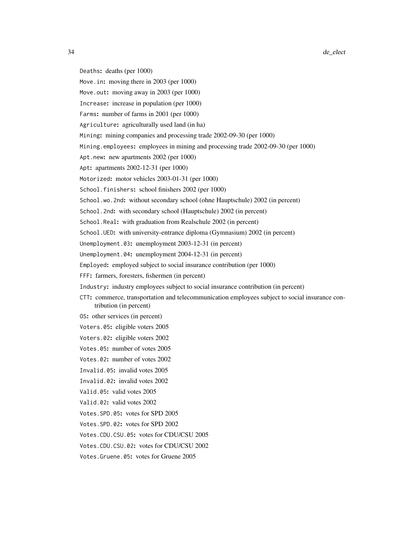Deaths: deaths (per 1000)

Move.in: moving there in 2003 (per 1000)

Move.out: moving away in 2003 (per 1000)

Increase: increase in population (per 1000)

Farms: number of farms in 2001 (per 1000)

Agriculture: agriculturally used land (in ha)

Mining: mining companies and processing trade 2002-09-30 (per 1000)

Mining.employees: employees in mining and processing trade 2002-09-30 (per 1000)

Apt.new: new apartments 2002 (per 1000)

Apt: apartments 2002-12-31 (per 1000)

Motorized: motor vehicles 2003-01-31 (per 1000)

School.finishers: school finishers 2002 (per 1000)

School.wo.2nd: without secondary school (ohne Hauptschule) 2002 (in percent)

School.2nd: with secondary school (Hauptschule) 2002 (in percent)

School.Real: with graduation from Realschule 2002 (in percent)

School.UED: with university-entrance diploma (Gymnasium) 2002 (in percent)

Unemployment.03: unemployment 2003-12-31 (in percent)

Unemployment.04: unemployment 2004-12-31 (in percent)

Employed: employed subject to social insurance contribution (per 1000)

FFF: farmers, foresters, fishermen (in percent)

Industry: industry employees subject to social insurance contribution (in percent)

CTT: commerce, transportation and telecommunication employees subject to social insurance contribution (in percent)

OS: other services (in percent)

Voters.05: eligible voters 2005

Voters.02: eligible voters 2002

Votes.05: number of votes 2005

Votes.02: number of votes 2002

Invalid.05: invalid votes 2005

Invalid.02: invalid votes 2002

Valid.05: valid votes 2005

Valid.02: valid votes 2002

Votes.SPD.05: votes for SPD 2005

Votes.SPD.02: votes for SPD 2002

Votes.CDU.CSU.05: votes for CDU/CSU 2005

Votes.CDU.CSU.02: votes for CDU/CSU 2002

Votes.Gruene.05: votes for Gruene 2005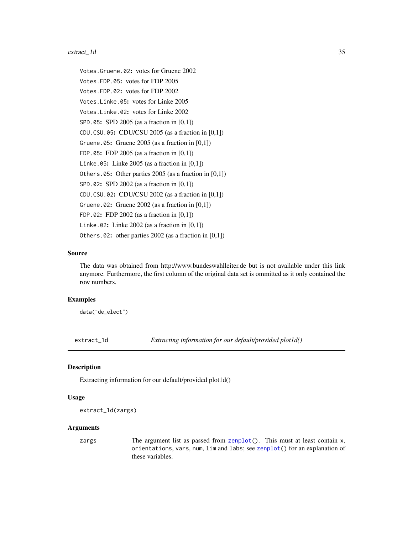# <span id="page-34-0"></span>extract\_1d 35

Votes.Gruene.02: votes for Gruene 2002 Votes.FDP.05: votes for FDP 2005 Votes.FDP.02: votes for FDP 2002 Votes.Linke.05: votes for Linke 2005 Votes.Linke.02: votes for Linke 2002 SPD.05: SPD 2005 (as a fraction in [0,1]) CDU.CSU.05: CDU/CSU 2005 (as a fraction in [0,1]) Gruene.05: Gruene 2005 (as a fraction in [0,1]) FDP.05: FDP 2005 (as a fraction in [0,1]) Linke.05: Linke 2005 (as a fraction in  $[0,1]$ ) Others.05: Other parties 2005 (as a fraction in [0,1]) SPD.02: SPD 2002 (as a fraction in [0,1]) CDU.CSU.02: CDU/CSU 2002 (as a fraction in  $[0,1]$ ) Gruene.02: Gruene  $2002$  (as a fraction in  $[0,1]$ ) FDP.02: FDP 2002 (as a fraction in [0,1]) Linke.02: Linke 2002 (as a fraction in [0,1]) Others.02: other parties 2002 (as a fraction in [0,1])

#### Source

The data was obtained from http://www.bundeswahlleiter.de but is not available under this link anymore. Furthermore, the first column of the original data set is ommitted as it only contained the row numbers.

# Examples

data("de\_elect")

<span id="page-34-1"></span>

extract\_1d *Extracting information for our default/provided plot1d()*

#### Description

Extracting information for our default/provided plot1d()

#### Usage

```
extract_1d(zargs)
```
#### Arguments

zargs The argument list as passed from  $z$ enplot $($ ). This must at least contain x, orientations, vars, num, lim and labs; see [zenplot\(](#page-107-1)) for an explanation of these variables.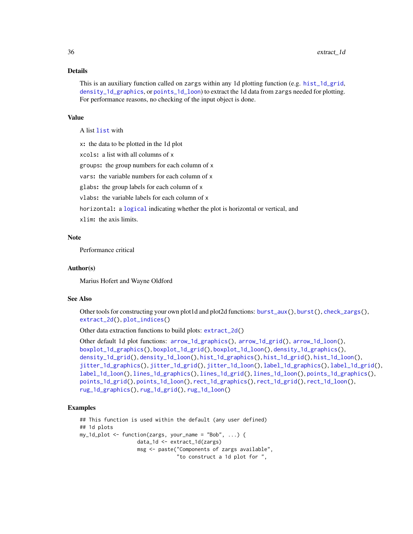#### Details

This is an auxiliary function called on zargs within any 1d plotting function (e.g. [hist\\_1d\\_grid](#page-50-1), [density\\_1d\\_graphics](#page-24-1), or points\_1d\_1oon) to extract the 1d data from zargs needed for plotting. For performance reasons, no checking of the input object is done.

#### Value

A list [list](#page-0-0) with

x: the data to be plotted in the 1d plot

xcols: a list with all columns of x

groups: the group numbers for each column of x

vars: the variable numbers for each column of x

glabs: the group labels for each column of x

vlabs: the variable labels for each column of x

horizontal: a [logical](#page-0-0) indicating whether the plot is horizontal or vertical, and

xlim: the axis limits.

# Note

Performance critical

#### Author(s)

Marius Hofert and Wayne Oldford

#### See Also

Other tools for constructing your own plot1d and plot2d functions: [burst\\_aux\(](#page-20-1)), [burst\(](#page-19-1)), [check\\_zargs\(](#page-21-1)), [extract\\_2d\(](#page-36-1)), [plot\\_indices\(](#page-78-1))

Other data extraction functions to build plots: [extract\\_2d\(](#page-36-1))

```
Other default 1d plot functions: arrow_1d_graphics(), arrow_1d_grid(), arrow_1d_loon(),
boxplot_1d_graphics(), boxplot_1d_grid(), boxplot_1d_loon(), density_1d_graphics(),
density_1d_grid(), density_1d_loon(), hist_1d_graphics(), hist_1d_grid(), hist_1d_loon(),
jitter_1d_graphics(), jitter_1d_grid(), jitter_1d_loon(), label_1d_graphics(), label_1d_grid(),
label_1d_loon(), lines_1d_graphics(), lines_1d_grid(), lines_1d_loon(), points_1d_graphics(),
points_1d_grid(), points_1d_loon(), rect_1d_graphics(), rect_1d_grid(), rect_1d_loon(),
rug_1d_graphics(), rug_1d_grid(), rug_1d_loon()
```
#### Examples

```
## This function is used within the default (any user defined)
## 1d plots
my_1d_1 \leq \leq function(zargs, your_name = "Bob", ...) {
                   data_1d <- extract_1d(zargs)
                   msg <- paste("Components of zargs available",
                                "to construct a 1d plot for ",
```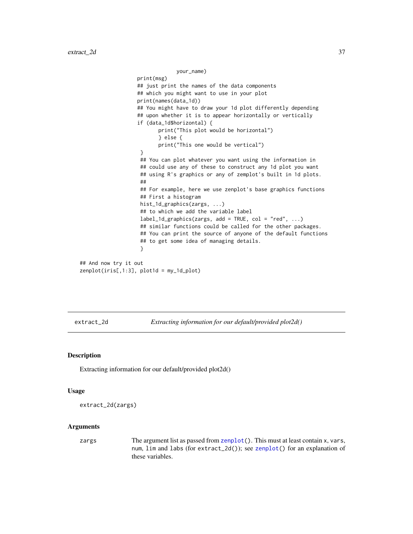```
your_name)
                   print(msg)
                   ## just print the names of the data components
                   ## which you might want to use in your plot
                   print(names(data_1d))
                   ## You might have to draw your 1d plot differently depending
                   ## upon whether it is to appear horizontally or vertically
                   if (data_1d$horizontal) {
                          print("This plot would be horizontal")
                          } else {
                          print("This one would be vertical")
                    }
                    ## You can plot whatever you want using the information in
                    ## could use any of these to construct any 1d plot you want
                    ## using R's graphics or any of zemplot's built in 1d plots.
                    ##
                    ## For example, here we use zenplot's base graphics functions
                    ## First a histogram
                    hist_1d_graphics(zargs, ...)
                    ## to which we add the variable label
                    label_1d_graphics(zargs, add = TRUE, col = "red", ...)## similar functions could be called for the other packages.
                    ## You can print the source of anyone of the default functions
                    ## to get some idea of managing details.
                    }
## And now try it out
zenplot(iris[,1:3], plot1d = my_1d_plot)
```
<span id="page-36-0"></span>extract\_2d *Extracting information for our default/provided plot2d()*

#### Description

Extracting information for our default/provided plot2d()

#### Usage

```
extract_2d(zargs)
```
### Arguments

zargs The argument list as passed from [zenplot\(](#page-107-0)). This must at least contain x, vars, num, lim and labs (for extract\_2d()); see [zenplot\(](#page-107-0)) for an explanation of these variables.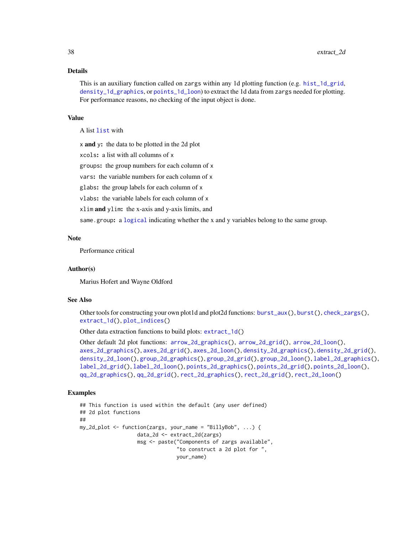#### Details

This is an auxiliary function called on zargs within any 1d plotting function (e.g. [hist\\_1d\\_grid](#page-50-0), [density\\_1d\\_graphics](#page-24-0), or points\_1d\_1oon) to extract the 1d data from zargs needed for plotting. For performance reasons, no checking of the input object is done.

#### Value

A list [list](#page-0-0) with

x and y: the data to be plotted in the 2d plot

xcols: a list with all columns of x

groups: the group numbers for each column of x

vars: the variable numbers for each column of x

glabs: the group labels for each column of x

vlabs: the variable labels for each column of x

xlim and ylim: the x-axis and y-axis limits, and

same.group: a [logical](#page-0-0) indicating whether the x and y variables belong to the same group.

#### **Note**

Performance critical

#### Author(s)

Marius Hofert and Wayne Oldford

# See Also

Other tools for constructing your own plot1d and plot2d functions: [burst\\_aux\(](#page-20-0)), [burst\(](#page-19-0)), [check\\_zargs\(](#page-21-0)), [extract\\_1d\(](#page-34-0)), [plot\\_indices\(](#page-78-0))

Other data extraction functions to build plots: [extract\\_1d\(](#page-34-0))

```
Other default 2d plot functions: arrow_2d_graphics(), arrow_2d_grid(), arrow_2d_loon(),
axes_2d_graphics(), axes_2d_grid(), axes_2d_loon(), density_2d_graphics(), density_2d_grid(),
density_2d_loon(), group_2d_graphics(), group_2d_grid(), group_2d_loon(), label_2d_graphics(),
label_2d_grid(), label_2d_loon(), points_2d_graphics(), points_2d_grid(), points_2d_loon(),
qq_2d_graphics(), qq_2d_grid(), rect_2d_graphics(), rect_2d_grid(), rect_2d_loon()
```
### Examples

```
## This function is used within the default (any user defined)
## 2d plot functions
##
my_2d_plot <- function(zargs, your_name = "BillyBob", ...) {
                   data_2d <- extract_2d(zargs)
                   msg <- paste("Components of zargs available",
                                "to construct a 2d plot for ",
                                your_name)
```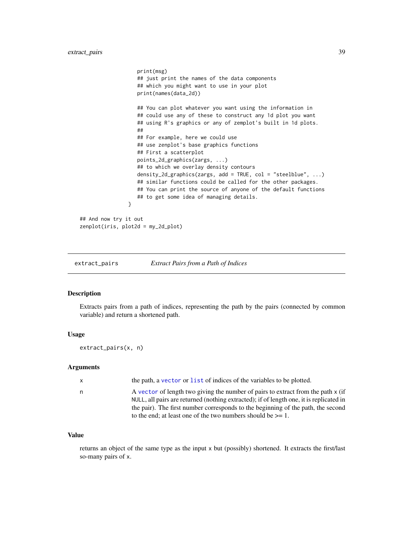```
print(msg)
                   ## just print the names of the data components
                   ## which you might want to use in your plot
                   print(names(data_2d))
                   ## You can plot whatever you want using the information in
                   ## could use any of these to construct any 1d plot you want
                   ## using R's graphics or any of zemplot's built in 1d plots.
                   ##
                   ## For example, here we could use
                   ## use zenplot's base graphics functions
                   ## First a scatterplot
                   points_2d_graphics(zargs, ...)
                   ## to which we overlay density contours
                   density_2d_graphics(zargs, add = TRUE, col = "steelblue", ...)
                   ## similar functions could be called for the other packages.
                   ## You can print the source of anyone of the default functions
                   ## to get some idea of managing details.
                }
## And now try it out
zenplot(iris, plot2d = my_2d_plot)
```
<span id="page-38-0"></span>extract\_pairs *Extract Pairs from a Path of Indices*

#### Description

Extracts pairs from a path of indices, representing the path by the pairs (connected by common variable) and return a shortened path.

#### Usage

extract\_pairs(x, n)

#### Arguments

| X | the path, a vector or list of indices of the variables to be plotted.                                                                                                       |
|---|-----------------------------------------------------------------------------------------------------------------------------------------------------------------------------|
| n | A vector of length two giving the number of pairs to extract from the path x (if<br>NULL, all pairs are returned (nothing extracted); if of length one, it is replicated in |
|   | the pair). The first number corresponds to the beginning of the path, the second                                                                                            |
|   | to the end; at least one of the two numbers should be $>= 1$ .                                                                                                              |

### Value

returns an object of the same type as the input x but (possibly) shortened. It extracts the first/last so-many pairs of x.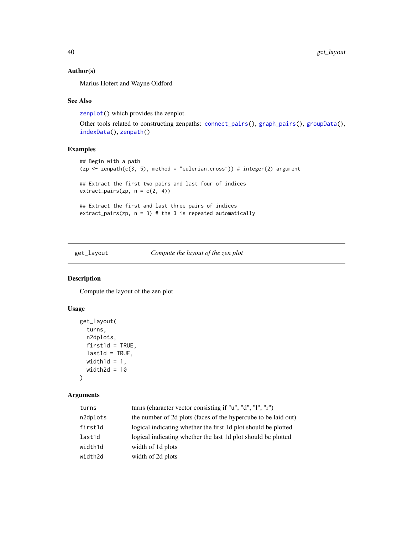# Author(s)

Marius Hofert and Wayne Oldford

### See Also

[zenplot\(](#page-107-0)) which provides the zenplot.

Other tools related to constructing zenpaths: [connect\\_pairs\(](#page-22-0)), [graph\\_pairs\(](#page-41-0)), [groupData\(](#page-43-0)), [indexData\(](#page-52-0)), [zenpath\(](#page-106-0))

### Examples

```
## Begin with a path
(zp <- zenpath(c(3, 5), method = "eulerian.cross")) # integer(2) argument
## Extract the first two pairs and last four of indices
extract_pairs(zp, n = c(2, 4))## Extract the first and last three pairs of indices
extract_pairs(zp, n = 3) # the 3 is repeated automatically
```
get\_layout *Compute the layout of the zen plot*

### Description

Compute the layout of the zen plot

# Usage

```
get_layout(
 turns,
 n2dplots,
 first1d = TRUE,last1d = TRUE,width1d = 1,
 width2d = 10
```

```
)
```
### Arguments

| turns    | turns (character vector consisting if "u", "d", "l", "r")      |
|----------|----------------------------------------------------------------|
| n2dplots | the number of 2d plots (faces of the hypercube to be laid out) |
| first1d  | logical indicating whether the first 1d plot should be plotted |
| last1d   | logical indicating whether the last 1d plot should be plotted  |
| width1d  | width of 1d plots                                              |
| width2d  | width of 2d plots                                              |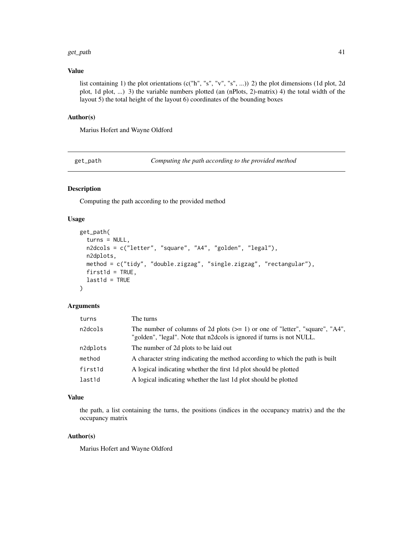#### get\_path 41

### Value

list containing 1) the plot orientations (c("h", "s", "v", "s", ...)) 2) the plot dimensions (1d plot, 2d plot, 1d plot, ...) 3) the variable numbers plotted (an (nPlots, 2)-matrix) 4) the total width of the layout 5) the total height of the layout 6) coordinates of the bounding boxes

#### Author(s)

Marius Hofert and Wayne Oldford

get\_path *Computing the path according to the provided method*

# Description

Computing the path according to the provided method

# Usage

```
get_path(
  turns = NULL,n2dcols = c("letter", "square", "A4", "golden", "legal"),
 n2dplots,
 method = c("tidy", "double.zigzag", "single.zigzag", "rectangular"),
 first1d = TRUE,
  last1d = TRUE)
```
#### Arguments

| turns    | The turns                                                                                                                                               |
|----------|---------------------------------------------------------------------------------------------------------------------------------------------------------|
| n2dcols  | The number of columns of 2d plots $(>= 1)$ or one of "letter", "square", "A4",<br>"golden", "legal". Note that n2dcols is ignored if turns is not NULL. |
| n2dplots | The number of 2d plots to be laid out                                                                                                                   |
| method   | A character string indicating the method according to which the path is built                                                                           |
| first1d  | A logical indicating whether the first 1d plot should be plotted                                                                                        |
| last1d   | A logical indicating whether the last 1d plot should be plotted                                                                                         |

### Value

the path, a list containing the turns, the positions (indices in the occupancy matrix) and the the occupancy matrix

### Author(s)

Marius Hofert and Wayne Oldford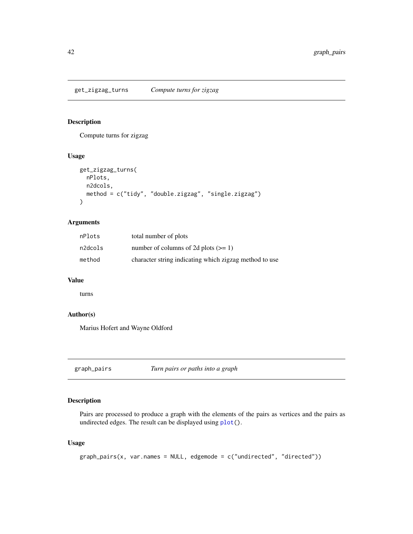### Description

Compute turns for zigzag

### Usage

```
get_zigzag_turns(
  nPlots,
  n2dcols,
  method = c("tidy", "double.zigzag", "single.zigzag")
\mathcal{L}
```
# Arguments

| nPlots  | total number of plots                                  |
|---------|--------------------------------------------------------|
| n2dcols | number of columns of 2d plots $(>= 1)$                 |
| method  | character string indicating which zigzag method to use |

### Value

turns

#### Author(s)

Marius Hofert and Wayne Oldford

<span id="page-41-0"></span>graph\_pairs *Turn pairs or paths into a graph*

### Description

Pairs are processed to produce a graph with the elements of the pairs as vertices and the pairs as undirected edges. The result can be displayed using [plot\(](#page-0-0)).

```
graph\_pairs(x, var.name = NULL, edgemode = c("undirected", "directed"))
```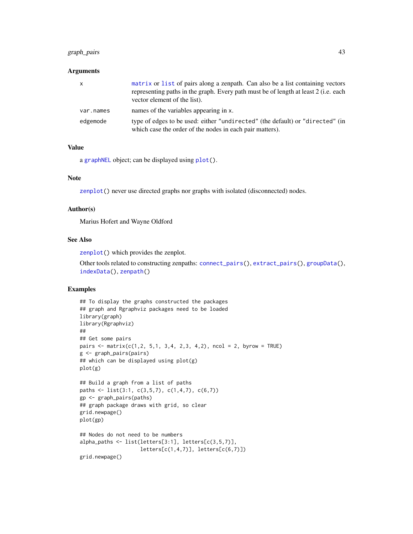### graph\_pairs 43

#### **Arguments**

| X         | matrix or list of pairs along a zenpath. Can also be a list containing vectors<br>representing paths in the graph. Every path must be of length at least 2 (i.e. each<br>vector element of the list). |
|-----------|-------------------------------------------------------------------------------------------------------------------------------------------------------------------------------------------------------|
| var.names | names of the variables appearing in x.                                                                                                                                                                |
| edgemode  | type of edges to be used: either "undirected" (the default) or "directed" (in<br>which case the order of the nodes in each pair matters).                                                             |

#### Value

a [graphNEL](#page-0-0) object; can be displayed using [plot\(](#page-0-0)).

#### Note

[zenplot\(](#page-107-0)) never use directed graphs nor graphs with isolated (disconnected) nodes.

#### Author(s)

Marius Hofert and Wayne Oldford

#### See Also

[zenplot\(](#page-107-0)) which provides the zenplot.

Other tools related to constructing zenpaths: [connect\\_pairs\(](#page-22-0)), [extract\\_pairs\(](#page-38-0)), [groupData\(](#page-43-0)), [indexData\(](#page-52-0)), [zenpath\(](#page-106-0))

### Examples

```
## To display the graphs constructed the packages
## graph and Rgraphviz packages need to be loaded
library(graph)
library(Rgraphviz)
##
## Get some pairs
pairs <- matrix(c(1,2, 5,1, 3,4, 2,3, 4,2), ncol = 2, byrow = TRUE)
g <- graph_pairs(pairs)
## which can be displayed using plot(g)
plot(g)
## Build a graph from a list of paths
paths \le list(3:1, c(3,5,7), c(1,4,7), c(6,7))
gp <- graph_pairs(paths)
## graph package draws with grid, so clear
grid.newpage()
plot(gp)
## Nodes do not need to be numbers
alpha_paths <- list(letters[3:1], letters[c(3,5,7)],
                    letters[c(1,4,7)], letters[c(6,7)])grid.newpage()
```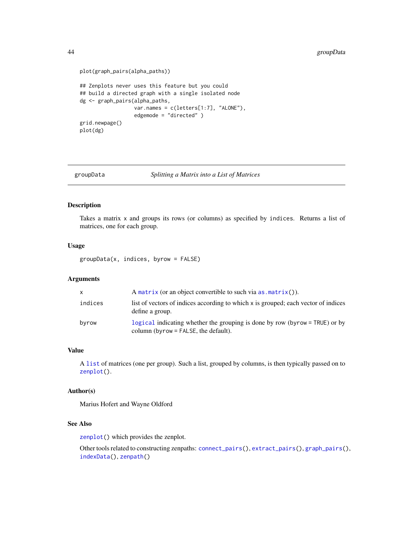```
plot(graph_pairs(alpha_paths))
## Zenplots never uses this feature but you could
## build a directed graph with a single isolated node
dg <- graph_pairs(alpha_paths,
                 var.names = c(letters[1:7], "ALONE"),
                  edgemode = "directed" )
grid.newpage()
plot(dg)
```

```
groupData Splitting a Matrix into a List of Matrices
```
### Description

Takes a matrix x and groups its rows (or columns) as specified by indices. Returns a list of matrices, one for each group.

### Usage

groupData(x, indices, byrow = FALSE)

### Arguments

| X       | A matrix (or an object convertible to such via $as.matrix()$ ).                                                       |
|---------|-----------------------------------------------------------------------------------------------------------------------|
| indices | list of vectors of indices according to which x is grouped; each vector of indices<br>define a group.                 |
| byrow   | logical indicating whether the grouping is done by row (byrow = TRUE) or by<br>column (byrow $=$ FALSE, the default). |

#### Value

A [list](#page-0-0) of matrices (one per group). Such a list, grouped by columns, is then typically passed on to [zenplot\(](#page-107-0)).

#### Author(s)

Marius Hofert and Wayne Oldford

#### See Also

[zenplot\(](#page-107-0)) which provides the zenplot.

Other tools related to constructing zenpaths: [connect\\_pairs\(](#page-22-0)), [extract\\_pairs\(](#page-38-0)), [graph\\_pairs\(](#page-41-0)), [indexData\(](#page-52-0)), [zenpath\(](#page-106-0))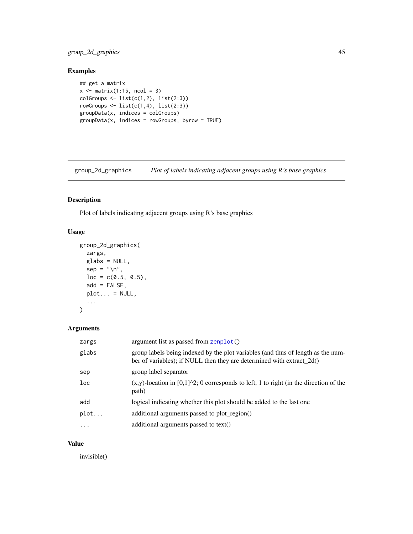### group\_2d\_graphics 45

# Examples

```
## get a matrix
x \le matrix(1:15, ncol = 3)
colGroups \leftarrow list(c(1,2), list(2:3))rowGroups \leftarrow list(c(1,4), list(2:3))
groupData(x, indices = colGroups)
groupData(x, indices = rowGroups, byrow = TRUE)
```
<span id="page-44-0"></span>group\_2d\_graphics *Plot of labels indicating adjacent groups using R's base graphics*

# Description

Plot of labels indicating adjacent groups using R's base graphics

### Usage

```
group_2d_graphics(
 zargs,
 glabs = NULL,
  sep = "n",loc = c(0.5, 0.5),add = FALSE,
 plot... = NULL,...
\mathcal{L}
```
### Arguments

| zargs     | argument list as passed from zenplot()                                                                                                                    |
|-----------|-----------------------------------------------------------------------------------------------------------------------------------------------------------|
| glabs     | group labels being indexed by the plot variables (and thus of length as the num-<br>ber of variables); if NULL then they are determined with extract_2d() |
| sep       | group label separator                                                                                                                                     |
| loc       | $(x,y)$ -location in [0,1] $\textdegree$ 2; 0 corresponds to left, 1 to right (in the direction of the<br>path)                                           |
| add       | logical indicating whether this plot should be added to the last one                                                                                      |
| plot      | additional arguments passed to plot_region()                                                                                                              |
| $\ddotsc$ | additional arguments passed to text()                                                                                                                     |

### Value

invisible()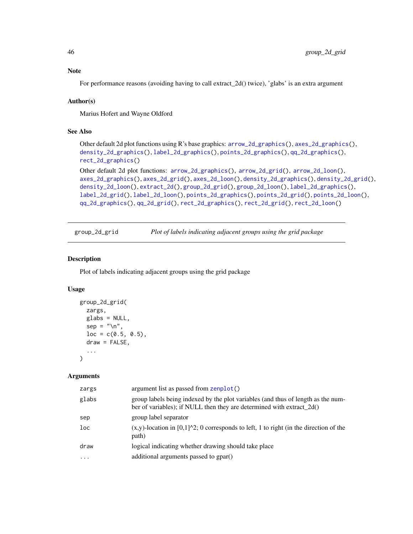Note

For performance reasons (avoiding having to call extract\_2d() twice), 'glabs' is an extra argument

### Author(s)

Marius Hofert and Wayne Oldford

### See Also

Other default 2d plot functions using R's base graphics: [arrow\\_2d\\_graphics\(](#page-7-0)), [axes\\_2d\\_graphics\(](#page-11-0)), [density\\_2d\\_graphics\(](#page-28-0)), [label\\_2d\\_graphics\(](#page-62-0)), [points\\_2d\\_graphics\(](#page-83-0)), [qq\\_2d\\_graphics\(](#page-87-0)), [rect\\_2d\\_graphics\(](#page-93-0))

Other default 2d plot functions: [arrow\\_2d\\_graphics\(](#page-7-0)), [arrow\\_2d\\_grid\(](#page-8-0)), [arrow\\_2d\\_loon\(](#page-9-0)), [axes\\_2d\\_graphics\(](#page-11-0)), [axes\\_2d\\_grid\(](#page-12-0)), [axes\\_2d\\_loon\(](#page-13-0)), [density\\_2d\\_graphics\(](#page-28-0)), [density\\_2d\\_grid\(](#page-29-0)), [density\\_2d\\_loon\(](#page-30-0)), [extract\\_2d\(](#page-36-0)), [group\\_2d\\_grid\(](#page-45-0)), [group\\_2d\\_loon\(](#page-46-0)), [label\\_2d\\_graphics\(](#page-62-0)), [label\\_2d\\_grid\(](#page-63-0)), [label\\_2d\\_loon\(](#page-64-0)), [points\\_2d\\_graphics\(](#page-83-0)), [points\\_2d\\_grid\(](#page-84-0)), [points\\_2d\\_loon\(](#page-86-0)), [qq\\_2d\\_graphics\(](#page-87-0)), [qq\\_2d\\_grid\(](#page-88-0)), [rect\\_2d\\_graphics\(](#page-93-0)), [rect\\_2d\\_grid\(](#page-94-0)), [rect\\_2d\\_loon\(](#page-95-0))

<span id="page-45-0"></span>group\_2d\_grid *Plot of labels indicating adjacent groups using the grid package*

### Description

Plot of labels indicating adjacent groups using the grid package

#### Usage

```
group_2d_grid(
  zargs,
  glabs = NULL,
  sep = "n",loc = c(0.5, 0.5),
 draw = FALSE,
  ...
)
```
#### Arguments

| zargs    | argument list as passed from zenplot()                                                                                                                    |
|----------|-----------------------------------------------------------------------------------------------------------------------------------------------------------|
| glabs    | group labels being indexed by the plot variables (and thus of length as the num-<br>ber of variables); if NULL then they are determined with extract_2d() |
| sep      | group label separator                                                                                                                                     |
| loc      | $(x,y)$ -location in [0,1] $\text{2}$ ; 0 corresponds to left, 1 to right (in the direction of the<br>path)                                               |
| draw     | logical indicating whether drawing should take place                                                                                                      |
| $\cdots$ | additional arguments passed to gpar()                                                                                                                     |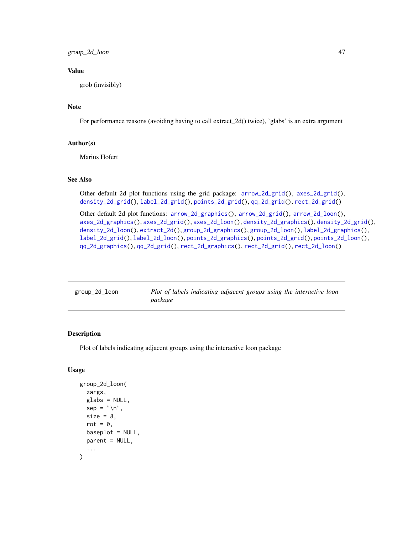### Value

grob (invisibly)

### Note

For performance reasons (avoiding having to call extract\_2d() twice), 'glabs' is an extra argument

#### Author(s)

Marius Hofert

#### See Also

Other default 2d plot functions using the grid package: [arrow\\_2d\\_grid\(](#page-8-0)), [axes\\_2d\\_grid\(](#page-12-0)), [density\\_2d\\_grid\(](#page-29-0)), [label\\_2d\\_grid\(](#page-63-0)), [points\\_2d\\_grid\(](#page-84-0)), [qq\\_2d\\_grid\(](#page-88-0)), [rect\\_2d\\_grid\(](#page-94-0))

Other default 2d plot functions: [arrow\\_2d\\_graphics\(](#page-7-0)), [arrow\\_2d\\_grid\(](#page-8-0)), [arrow\\_2d\\_loon\(](#page-9-0)), [axes\\_2d\\_graphics\(](#page-11-0)), [axes\\_2d\\_grid\(](#page-12-0)), [axes\\_2d\\_loon\(](#page-13-0)), [density\\_2d\\_graphics\(](#page-28-0)), [density\\_2d\\_grid\(](#page-29-0)), [density\\_2d\\_loon\(](#page-30-0)), [extract\\_2d\(](#page-36-0)), [group\\_2d\\_graphics\(](#page-44-0)), [group\\_2d\\_loon\(](#page-46-0)), [label\\_2d\\_graphics\(](#page-62-0)), [label\\_2d\\_grid\(](#page-63-0)), [label\\_2d\\_loon\(](#page-64-0)), [points\\_2d\\_graphics\(](#page-83-0)), [points\\_2d\\_grid\(](#page-84-0)), [points\\_2d\\_loon\(](#page-86-0)), [qq\\_2d\\_graphics\(](#page-87-0)), [qq\\_2d\\_grid\(](#page-88-0)), [rect\\_2d\\_graphics\(](#page-93-0)), [rect\\_2d\\_grid\(](#page-94-0)), [rect\\_2d\\_loon\(](#page-95-0))

<span id="page-46-0"></span>

| group_2d_loon | Plot of labels indicating adjacent groups using the interactive loon |
|---------------|----------------------------------------------------------------------|
|               | package                                                              |

# Description

Plot of labels indicating adjacent groups using the interactive loon package

```
group_2d_loon(
  zargs,
  glabs = NULL,
  sep = "\\ n",size = 8.
  rot = \theta,
  baseplot = NULL,
  parent = NULL,
  ...
)
```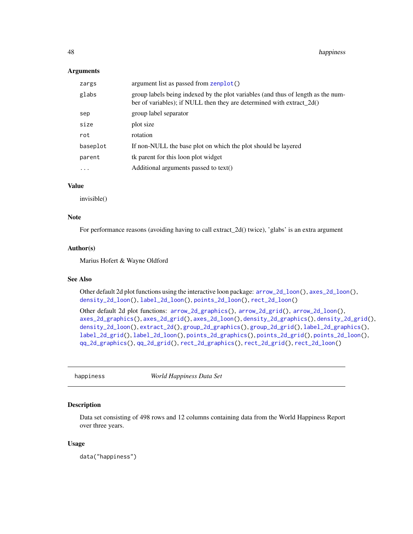#### Arguments

| zargs     | argument list as passed from zenplot()                                                                                                                    |
|-----------|-----------------------------------------------------------------------------------------------------------------------------------------------------------|
| glabs     | group labels being indexed by the plot variables (and thus of length as the num-<br>ber of variables); if NULL then they are determined with extract_2d() |
| sep       | group label separator                                                                                                                                     |
| size      | plot size                                                                                                                                                 |
| rot       | rotation                                                                                                                                                  |
| baseplot  | If non-NULL the base plot on which the plot should be layered                                                                                             |
| parent    | tk parent for this loon plot widget                                                                                                                       |
| $\ddotsc$ | Additional arguments passed to text()                                                                                                                     |
|           |                                                                                                                                                           |

### Value

invisible()

#### Note

For performance reasons (avoiding having to call extract\_2d() twice), 'glabs' is an extra argument

### Author(s)

Marius Hofert & Wayne Oldford

#### See Also

Other default 2d plot functions using the interactive loon package: [arrow\\_2d\\_loon\(](#page-9-0)), [axes\\_2d\\_loon\(](#page-13-0)), [density\\_2d\\_loon\(](#page-30-0)), [label\\_2d\\_loon\(](#page-64-0)), [points\\_2d\\_loon\(](#page-86-0)), [rect\\_2d\\_loon\(](#page-95-0))

Other default 2d plot functions: [arrow\\_2d\\_graphics\(](#page-7-0)), [arrow\\_2d\\_grid\(](#page-8-0)), [arrow\\_2d\\_loon\(](#page-9-0)), [axes\\_2d\\_graphics\(](#page-11-0)), [axes\\_2d\\_grid\(](#page-12-0)), [axes\\_2d\\_loon\(](#page-13-0)), [density\\_2d\\_graphics\(](#page-28-0)), [density\\_2d\\_grid\(](#page-29-0)), [density\\_2d\\_loon\(](#page-30-0)), [extract\\_2d\(](#page-36-0)), [group\\_2d\\_graphics\(](#page-44-0)), [group\\_2d\\_grid\(](#page-45-0)), [label\\_2d\\_graphics\(](#page-62-0)), [label\\_2d\\_grid\(](#page-63-0)), [label\\_2d\\_loon\(](#page-64-0)), [points\\_2d\\_graphics\(](#page-83-0)), [points\\_2d\\_grid\(](#page-84-0)), [points\\_2d\\_loon\(](#page-86-0)), [qq\\_2d\\_graphics\(](#page-87-0)), [qq\\_2d\\_grid\(](#page-88-0)), [rect\\_2d\\_graphics\(](#page-93-0)), [rect\\_2d\\_grid\(](#page-94-0)), [rect\\_2d\\_loon\(](#page-95-0))

happiness *World Happiness Data Set*

### Description

Data set consisting of 498 rows and 12 columns containing data from the World Happiness Report over three years.

#### Usage

data("happiness")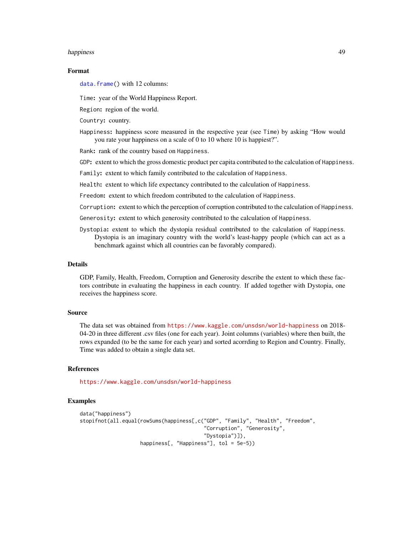#### happiness 49

#### Format

[data.frame\(](#page-0-0)) with 12 columns:

Time: year of the World Happiness Report.

Region: region of the world.

Country: country.

Happiness: happiness score measured in the respective year (see Time) by asking "How would you rate your happiness on a scale of 0 to 10 where 10 is happiest?".

Rank: rank of the country based on Happiness.

GDP: extent to which the gross domestic product per capita contributed to the calculation of Happiness.

Family: extent to which family contributed to the calculation of Happiness.

Health: extent to which life expectancy contributed to the calculation of Happiness.

Freedom: extent to which freedom contributed to the calculation of Happiness.

Corruption: extent to which the perception of corruption contributed to the calculation of Happiness.

Generosity: extent to which generosity contributed to the calculation of Happiness.

Dystopia: extent to which the dystopia residual contributed to the calculation of Happiness. Dystopia is an imaginary country with the world's least-happy people (which can act as a benchmark against which all countries can be favorably compared).

### Details

GDP, Family, Health, Freedom, Corruption and Generosity describe the extent to which these factors contribute in evaluating the happiness in each country. If added together with Dystopia, one receives the happiness score.

#### Source

The data set was obtained from <https://www.kaggle.com/unsdsn/world-happiness> on 2018- 04-20 in three different .csv files (one for each year). Joint columns (variables) where then built, the rows expanded (to be the same for each year) and sorted acorrding to Region and Country. Finally, Time was added to obtain a single data set.

#### References

<https://www.kaggle.com/unsdsn/world-happiness>

#### Examples

```
data("happiness")
stopifnot(all.equal(rowSums(happiness[,c("GDP", "Family", "Health", "Freedom",
                                         "Corruption", "Generosity",
                                         "Dystopia")]),
                    happiness[, "Happiness"], tol = 5e-5))
```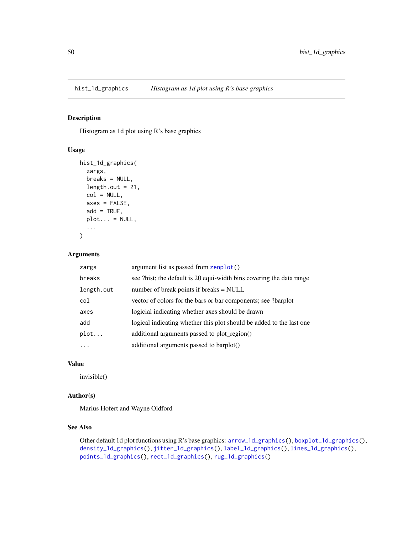<span id="page-49-0"></span>

### Description

Histogram as 1d plot using R's base graphics

### Usage

```
hist_1d_graphics(
 zargs,
 breaks = NULL,
 length.out = 21,
 col = NULL,axes = FALSE,add = TRUE,plot... = NULL,...
)
```
#### Arguments

| zargs      | argument list as passed from zenplot()                               |
|------------|----------------------------------------------------------------------|
| breaks     | see ?hist; the default is 20 equi-width bins covering the data range |
| length.out | number of break points if breaks $=$ NULL                            |
| col        | vector of colors for the bars or bar components; see ?barplot        |
| axes       | logicial indicating whether axes should be drawn                     |
| add        | logical indicating whether this plot should be added to the last one |
| plot       | additional arguments passed to plot_region()                         |
| .          | additional arguments passed to barplot()                             |

### Value

invisible()

### Author(s)

Marius Hofert and Wayne Oldford

### See Also

Other default 1d plot functions using R's base graphics: [arrow\\_1d\\_graphics\(](#page-3-0)), [boxplot\\_1d\\_graphics\(](#page-15-0)), [density\\_1d\\_graphics\(](#page-24-0)), [jitter\\_1d\\_graphics\(](#page-54-0)), [label\\_1d\\_graphics\(](#page-58-0)), [lines\\_1d\\_graphics\(](#page-69-0)), [points\\_1d\\_graphics\(](#page-80-0)), [rect\\_1d\\_graphics\(](#page-90-0)), [rug\\_1d\\_graphics\(](#page-97-0))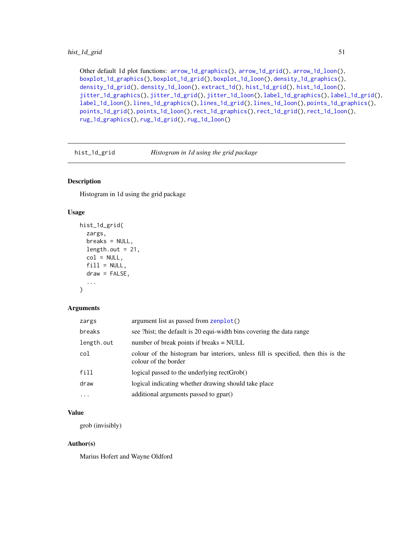### hist\_1d\_grid 51

Other default 1d plot functions: [arrow\\_1d\\_graphics\(](#page-3-0)), [arrow\\_1d\\_grid\(](#page-4-0)), [arrow\\_1d\\_loon\(](#page-6-0)), [boxplot\\_1d\\_graphics\(](#page-15-0)), [boxplot\\_1d\\_grid\(](#page-16-0)), [boxplot\\_1d\\_loon\(](#page-17-0)), [density\\_1d\\_graphics\(](#page-24-0)), [density\\_1d\\_grid\(](#page-25-0)), [density\\_1d\\_loon\(](#page-26-0)), [extract\\_1d\(](#page-34-0)), [hist\\_1d\\_grid\(](#page-50-0)), [hist\\_1d\\_loon\(](#page-51-0)), [jitter\\_1d\\_graphics\(](#page-54-0)), [jitter\\_1d\\_grid\(](#page-55-0)), [jitter\\_1d\\_loon\(](#page-56-0)), [label\\_1d\\_graphics\(](#page-58-0)), [label\\_1d\\_grid\(](#page-59-0)), [label\\_1d\\_loon\(](#page-60-0)), [lines\\_1d\\_graphics\(](#page-69-0)), [lines\\_1d\\_grid\(](#page-70-0)), [lines\\_1d\\_loon\(](#page-71-0)), [points\\_1d\\_graphics\(](#page-80-0)), [points\\_1d\\_grid\(](#page-81-0)), [points\\_1d\\_loon\(](#page-82-0)), [rect\\_1d\\_graphics\(](#page-90-0)), [rect\\_1d\\_grid\(](#page-91-0)), [rect\\_1d\\_loon\(](#page-92-0)), [rug\\_1d\\_graphics\(](#page-97-0)), [rug\\_1d\\_grid\(](#page-98-0)), [rug\\_1d\\_loon\(](#page-99-0))

<span id="page-50-0"></span>hist\_1d\_grid *Histogram in 1d using the grid package*

### Description

Histogram in 1d using the grid package

# Usage

```
hist_1d_grid(
  zargs,
  breaks = NULL,
  length.out = 21,
  col = NULL,fill = NULL,draw = FALSE,
  ...
)
```
#### Arguments

| zargs      | argument list as passed from zenplot()                                                                    |
|------------|-----------------------------------------------------------------------------------------------------------|
| breaks     | see ?hist; the default is 20 equi-width bins covering the data range                                      |
| length.out | number of break points if breaks $=$ NULL                                                                 |
| col        | colour of the histogram bar interiors, unless fill is specified, then this is the<br>colour of the border |
| fill       | logical passed to the underlying rectGrob()                                                               |
| draw       | logical indicating whether drawing should take place                                                      |
| $\cdots$   | additional arguments passed to gpar()                                                                     |

### Value

grob (invisibly)

### Author(s)

Marius Hofert and Wayne Oldford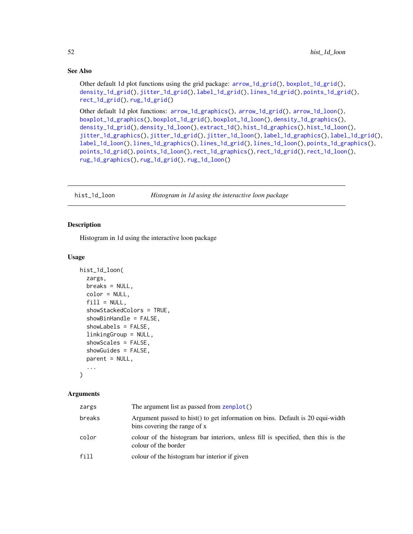### See Also

Other default 1d plot functions using the grid package: [arrow\\_1d\\_grid\(](#page-4-0)), [boxplot\\_1d\\_grid\(](#page-16-0)), [density\\_1d\\_grid\(](#page-25-0)), [jitter\\_1d\\_grid\(](#page-55-0)), [label\\_1d\\_grid\(](#page-59-0)), [lines\\_1d\\_grid\(](#page-70-0)), [points\\_1d\\_grid\(](#page-81-0)), [rect\\_1d\\_grid\(](#page-91-0)), [rug\\_1d\\_grid\(](#page-98-0))

Other default 1d plot functions: [arrow\\_1d\\_graphics\(](#page-3-0)), [arrow\\_1d\\_grid\(](#page-4-0)), [arrow\\_1d\\_loon\(](#page-6-0)), [boxplot\\_1d\\_graphics\(](#page-15-0)), [boxplot\\_1d\\_grid\(](#page-16-0)), [boxplot\\_1d\\_loon\(](#page-17-0)), [density\\_1d\\_graphics\(](#page-24-0)), [density\\_1d\\_grid\(](#page-25-0)), [density\\_1d\\_loon\(](#page-26-0)), [extract\\_1d\(](#page-34-0)), [hist\\_1d\\_graphics\(](#page-49-0)), [hist\\_1d\\_loon\(](#page-51-0)), [jitter\\_1d\\_graphics\(](#page-54-0)), [jitter\\_1d\\_grid\(](#page-55-0)), [jitter\\_1d\\_loon\(](#page-56-0)), [label\\_1d\\_graphics\(](#page-58-0)), [label\\_1d\\_grid\(](#page-59-0)), [label\\_1d\\_loon\(](#page-60-0)), [lines\\_1d\\_graphics\(](#page-69-0)), [lines\\_1d\\_grid\(](#page-70-0)), [lines\\_1d\\_loon\(](#page-71-0)), [points\\_1d\\_graphics\(](#page-80-0)), [points\\_1d\\_grid\(](#page-81-0)), [points\\_1d\\_loon\(](#page-82-0)), [rect\\_1d\\_graphics\(](#page-90-0)), [rect\\_1d\\_grid\(](#page-91-0)), [rect\\_1d\\_loon\(](#page-92-0)), [rug\\_1d\\_graphics\(](#page-97-0)), [rug\\_1d\\_grid\(](#page-98-0)), [rug\\_1d\\_loon\(](#page-99-0))

<span id="page-51-0"></span>hist\_1d\_loon *Histogram in 1d using the interactive loon package*

#### Description

Histogram in 1d using the interactive loon package

#### Usage

```
hist_1d_loon(
  zargs,
  breaks = NULL,color = NULL,
  fill = NULL,showStackedColors = TRUE,
  showBinHandle = FALSE,
  showLabels = FALSE,
  linkingGroup = NULL,
  showScales = FALSE,
  showGuides = FALSE,
  parent = NULL,
  ...
```
# )

### **Arguments**

| zargs  | The argument list as passed from zenplot()                                                                     |
|--------|----------------------------------------------------------------------------------------------------------------|
| breaks | Argument passed to hist() to get information on bins. Default is 20 equi-width<br>bins covering the range of x |
| color  | colour of the histogram bar interiors, unless fill is specified, then this is the<br>colour of the border      |
| fill   | colour of the histogram bar interior if given                                                                  |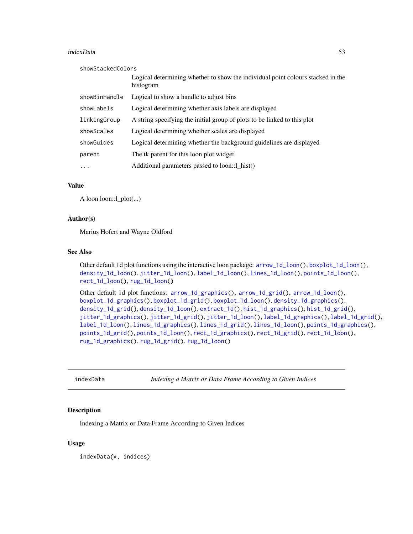#### indexData 53

| showStackedColors |                                                                                              |
|-------------------|----------------------------------------------------------------------------------------------|
|                   | Logical determining whether to show the individual point colours stacked in the<br>histogram |
| showBinHandle     | Logical to show a handle to adjust bins                                                      |
| showLabels        | Logical determining whether axis labels are displayed                                        |
| linkingGroup      | A string specifying the initial group of plots to be linked to this plot                     |
| showScales        | Logical determining whether scales are displayed                                             |
| showGuides        | Logical determining whether the background guidelines are displayed                          |
| parent            | The tk parent for this loon plot widget                                                      |
| .                 | Additional parameters passed to loon::1_hist()                                               |

### Value

A loon loon::l\_plot(...)

#### Author(s)

Marius Hofert and Wayne Oldford

### See Also

Other default 1d plot functions using the interactive loon package: [arrow\\_1d\\_loon\(](#page-6-0)), [boxplot\\_1d\\_loon\(](#page-17-0)), [density\\_1d\\_loon\(](#page-26-0)), [jitter\\_1d\\_loon\(](#page-56-0)), [label\\_1d\\_loon\(](#page-60-0)), [lines\\_1d\\_loon\(](#page-71-0)), [points\\_1d\\_loon\(](#page-82-0)), [rect\\_1d\\_loon\(](#page-92-0)), [rug\\_1d\\_loon\(](#page-99-0))

Other default 1d plot functions: [arrow\\_1d\\_graphics\(](#page-3-0)), [arrow\\_1d\\_grid\(](#page-4-0)), [arrow\\_1d\\_loon\(](#page-6-0)), [boxplot\\_1d\\_graphics\(](#page-15-0)), [boxplot\\_1d\\_grid\(](#page-16-0)), [boxplot\\_1d\\_loon\(](#page-17-0)), [density\\_1d\\_graphics\(](#page-24-0)), [density\\_1d\\_grid\(](#page-25-0)), [density\\_1d\\_loon\(](#page-26-0)), [extract\\_1d\(](#page-34-0)), [hist\\_1d\\_graphics\(](#page-49-0)), [hist\\_1d\\_grid\(](#page-50-0)), [jitter\\_1d\\_graphics\(](#page-54-0)), [jitter\\_1d\\_grid\(](#page-55-0)), [jitter\\_1d\\_loon\(](#page-56-0)), [label\\_1d\\_graphics\(](#page-58-0)), [label\\_1d\\_grid\(](#page-59-0)), [label\\_1d\\_loon\(](#page-60-0)), [lines\\_1d\\_graphics\(](#page-69-0)), [lines\\_1d\\_grid\(](#page-70-0)), [lines\\_1d\\_loon\(](#page-71-0)), [points\\_1d\\_graphics\(](#page-80-0)), [points\\_1d\\_grid\(](#page-81-0)), [points\\_1d\\_loon\(](#page-82-0)), [rect\\_1d\\_graphics\(](#page-90-0)), [rect\\_1d\\_grid\(](#page-91-0)), [rect\\_1d\\_loon\(](#page-92-0)), [rug\\_1d\\_graphics\(](#page-97-0)), [rug\\_1d\\_grid\(](#page-98-0)), [rug\\_1d\\_loon\(](#page-99-0))

<span id="page-52-0"></span>indexData *Indexing a Matrix or Data Frame According to Given Indices*

#### Description

Indexing a Matrix or Data Frame According to Given Indices

#### Usage

indexData(x, indices)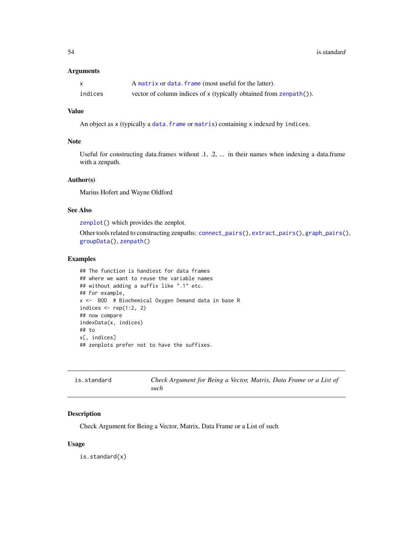#### Arguments

| X       | A matrix or data. frame (most useful for the latter).              |
|---------|--------------------------------------------------------------------|
| indices | vector of column indices of x (typically obtained from zenpath()). |

# Value

An object as x (typically a [data.frame](#page-0-0) or [matrix](#page-0-0)) containing x indexed by indices.

### Note

Useful for constructing data.frames without .1, .2, ... in their names when indexing a data.frame with a zenpath.

#### Author(s)

Marius Hofert and Wayne Oldford

#### See Also

[zenplot\(](#page-107-0)) which provides the zenplot.

Other tools related to constructing zenpaths: [connect\\_pairs\(](#page-22-0)), [extract\\_pairs\(](#page-38-0)), [graph\\_pairs\(](#page-41-0)), [groupData\(](#page-43-0)), [zenpath\(](#page-106-0))

#### Examples

```
## The function is handiest for data frames
## where we want to reuse the variable names
## without adding a suffix like ".1" etc.
## For example,
x <- BOD # Biochemical Oxygen Demand data in base R
indices \leq rep(1:2, 2)
## now compare
indexData(x, indices)
## to
x[, indices]
## zenplots prefer not to have the suffixes.
```

| is.standard | Check Argument for Being a Vector, Matrix, Data Frame or a List of |  |  |  |
|-------------|--------------------------------------------------------------------|--|--|--|
|             | such                                                               |  |  |  |

# Description

Check Argument for Being a Vector, Matrix, Data Frame or a List of such

#### Usage

is.standard(x)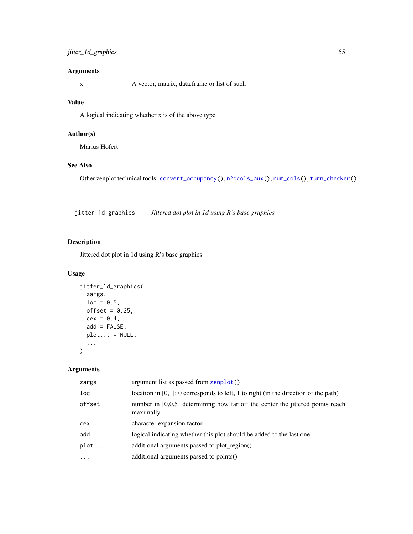### jitter\_1d\_graphics 55

### Arguments

x A vector, matrix, data.frame or list of such

# Value

A logical indicating whether x is of the above type

### Author(s)

Marius Hofert

# See Also

Other zenplot technical tools: [convert\\_occupancy\(](#page-23-0)), [n2dcols\\_aux\(](#page-74-0)), [num\\_cols\(](#page-76-0)), [turn\\_checker\(](#page-100-0))

<span id="page-54-0"></span>jitter\_1d\_graphics *Jittered dot plot in 1d using R's base graphics*

### Description

Jittered dot plot in 1d using R's base graphics

#### Usage

```
jitter_1d_graphics(
  zargs,
  loc = 0.5,
  offset = 0.25,
  cex = 0.4,
  add = FALSE,plot... = NULL,...
\mathcal{L}
```
# Arguments

| zargs           | argument list as passed from zenplot()                                                        |
|-----------------|-----------------------------------------------------------------------------------------------|
| 1 <sub>oc</sub> | location in $[0,1]$ ; 0 corresponds to left, 1 to right (in the direction of the path)        |
| offset          | number in $[0,0.5]$ determining how far off the center the jittered points reach<br>maximally |
| cex             | character expansion factor                                                                    |
| add             | logical indicating whether this plot should be added to the last one                          |
| plot            | additional arguments passed to plot_region()                                                  |
| $\ddotsc$       | additional arguments passed to points()                                                       |
|                 |                                                                                               |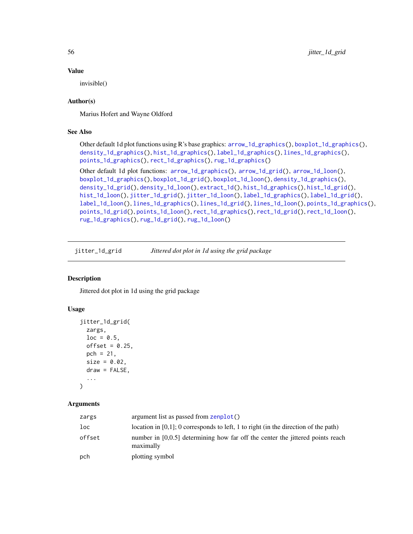### Value

invisible()

### Author(s)

Marius Hofert and Wayne Oldford

### See Also

```
Other default 1d plot functions using R's base graphics: arrow_1d_graphics(), boxplot_1d_graphics(),
density_1d_graphics(), hist_1d_graphics(), label_1d_graphics(), lines_1d_graphics(),
points_1d_graphics(), rect_1d_graphics(), rug_1d_graphics()
```

```
Other default 1d plot functions: arrow_1d_graphics(), arrow_1d_grid(), arrow_1d_loon(),
boxplot_1d_graphics(), boxplot_1d_grid(), boxplot_1d_loon(), density_1d_graphics(),
density_1d_grid(), density_1d_loon(), extract_1d(), hist_1d_graphics(), hist_1d_grid(),
hist_1d_loon(), jitter_1d_grid(), jitter_1d_loon(), label_1d_graphics(), label_1d_grid(),
label_1d_loon(), lines_1d_graphics(), lines_1d_grid(), lines_1d_loon(), points_1d_graphics(),
points_1d_grid(), points_1d_loon(), rect_1d_graphics(), rect_1d_grid(), rect_1d_loon(),
rug_1d_graphics(), rug_1d_grid(), rug_1d_loon()
```
<span id="page-55-0"></span>jitter\_1d\_grid *Jittered dot plot in 1d using the grid package*

### Description

Jittered dot plot in 1d using the grid package

#### Usage

```
jitter_1d_grid(
  zargs,
  loc = 0.5,
 offset = 0.25,
 pch = 21,
 size = 0.02,draw = FALSE,...
)
```
#### Arguments

| zargs  | argument list as passed from zenplot()                                                        |
|--------|-----------------------------------------------------------------------------------------------|
| loc    | location in [0,1]; 0 corresponds to left, 1 to right (in the direction of the path)           |
| offset | number in $[0,0.5]$ determining how far off the center the jittered points reach<br>maximally |
| pch    | plotting symbol                                                                               |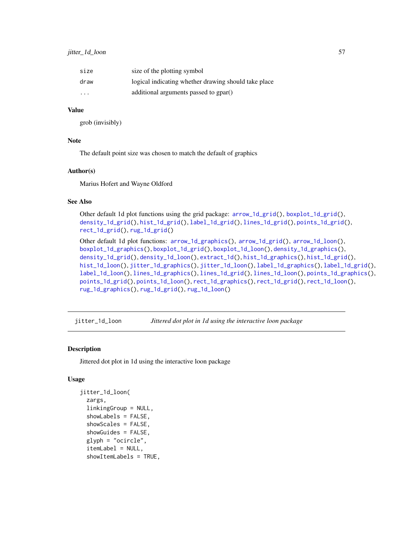| size                    | size of the plotting symbol                          |
|-------------------------|------------------------------------------------------|
| draw                    | logical indicating whether drawing should take place |
| $\cdot$ $\cdot$ $\cdot$ | additional arguments passed to gpar()                |

#### Value

grob (invisibly)

### Note

The default point size was chosen to match the default of graphics

#### Author(s)

Marius Hofert and Wayne Oldford

#### See Also

Other default 1d plot functions using the grid package: [arrow\\_1d\\_grid\(](#page-4-0)), [boxplot\\_1d\\_grid\(](#page-16-0)), [density\\_1d\\_grid\(](#page-25-0)), [hist\\_1d\\_grid\(](#page-50-0)), [label\\_1d\\_grid\(](#page-59-0)), [lines\\_1d\\_grid\(](#page-70-0)), [points\\_1d\\_grid\(](#page-81-0)), [rect\\_1d\\_grid\(](#page-91-0)), [rug\\_1d\\_grid\(](#page-98-0))

Other default 1d plot functions: [arrow\\_1d\\_graphics\(](#page-3-0)), [arrow\\_1d\\_grid\(](#page-4-0)), [arrow\\_1d\\_loon\(](#page-6-0)), [boxplot\\_1d\\_graphics\(](#page-15-0)), [boxplot\\_1d\\_grid\(](#page-16-0)), [boxplot\\_1d\\_loon\(](#page-17-0)), [density\\_1d\\_graphics\(](#page-24-0)), [density\\_1d\\_grid\(](#page-25-0)), [density\\_1d\\_loon\(](#page-26-0)), [extract\\_1d\(](#page-34-0)), [hist\\_1d\\_graphics\(](#page-49-0)), [hist\\_1d\\_grid\(](#page-50-0)), [hist\\_1d\\_loon\(](#page-51-0)), [jitter\\_1d\\_graphics\(](#page-54-0)), [jitter\\_1d\\_loon\(](#page-56-0)), [label\\_1d\\_graphics\(](#page-58-0)), [label\\_1d\\_grid\(](#page-59-0)), [label\\_1d\\_loon\(](#page-60-0)), [lines\\_1d\\_graphics\(](#page-69-0)), [lines\\_1d\\_grid\(](#page-70-0)), [lines\\_1d\\_loon\(](#page-71-0)), [points\\_1d\\_graphics\(](#page-80-0)), [points\\_1d\\_grid\(](#page-81-0)), [points\\_1d\\_loon\(](#page-82-0)), [rect\\_1d\\_graphics\(](#page-90-0)), [rect\\_1d\\_grid\(](#page-91-0)), [rect\\_1d\\_loon\(](#page-92-0)), [rug\\_1d\\_graphics\(](#page-97-0)), [rug\\_1d\\_grid\(](#page-98-0)), [rug\\_1d\\_loon\(](#page-99-0))

<span id="page-56-0"></span>jitter\_1d\_loon *Jittered dot plot in 1d using the interactive loon package*

#### Description

Jittered dot plot in 1d using the interactive loon package

```
jitter_1d_loon(
  zargs,
  linkingGroup = NULL,
  showLabels = FALSE,
  showScales = FALSE,
  showGuides = FALSE,
  glyph = "ocircle",
  itemLabel = NULL,
  showItemLabels = TRUE,
```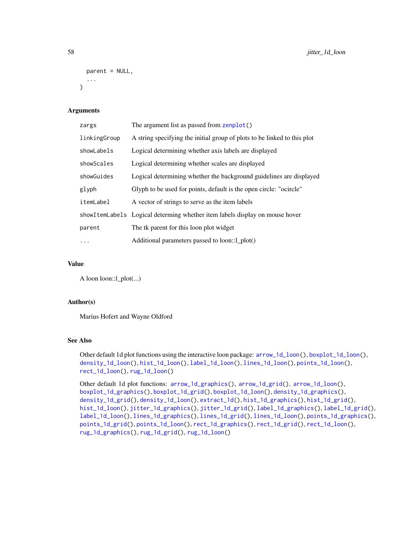```
parent = NULL,
   ...
\lambda
```
# Arguments

| zargs        | The argument list as passed from zenplot()                                  |
|--------------|-----------------------------------------------------------------------------|
| linkingGroup | A string specifying the initial group of plots to be linked to this plot    |
| showLabels   | Logical determining whether axis labels are displayed                       |
| showScales   | Logical determining whether scales are displayed                            |
| showGuides   | Logical determining whether the background guidelines are displayed         |
| glyph        | Glyph to be used for points, default is the open circle: "ocircle"          |
| itemLabel    | A vector of strings to serve as the item labels                             |
|              | showItemLabels Logical determing whether item labels display on mouse hover |
| parent       | The tk parent for this loon plot widget                                     |
| .            | Additional parameters passed to loon::1_plot()                              |

### Value

A loon loon::l\_plot(...)

#### Author(s)

Marius Hofert and Wayne Oldford

#### See Also

Other default 1d plot functions using the interactive loon package: [arrow\\_1d\\_loon\(](#page-6-0)), [boxplot\\_1d\\_loon\(](#page-17-0)), [density\\_1d\\_loon\(](#page-26-0)), [hist\\_1d\\_loon\(](#page-51-0)), [label\\_1d\\_loon\(](#page-60-0)), [lines\\_1d\\_loon\(](#page-71-0)), [points\\_1d\\_loon\(](#page-82-0)), [rect\\_1d\\_loon\(](#page-92-0)), [rug\\_1d\\_loon\(](#page-99-0))

Other default 1d plot functions: [arrow\\_1d\\_graphics\(](#page-3-0)), [arrow\\_1d\\_grid\(](#page-4-0)), [arrow\\_1d\\_loon\(](#page-6-0)), [boxplot\\_1d\\_graphics\(](#page-15-0)), [boxplot\\_1d\\_grid\(](#page-16-0)), [boxplot\\_1d\\_loon\(](#page-17-0)), [density\\_1d\\_graphics\(](#page-24-0)), [density\\_1d\\_grid\(](#page-25-0)), [density\\_1d\\_loon\(](#page-26-0)), [extract\\_1d\(](#page-34-0)), [hist\\_1d\\_graphics\(](#page-49-0)), [hist\\_1d\\_grid\(](#page-50-0)), [hist\\_1d\\_loon\(](#page-51-0)), [jitter\\_1d\\_graphics\(](#page-54-0)), [jitter\\_1d\\_grid\(](#page-55-0)), [label\\_1d\\_graphics\(](#page-58-0)), [label\\_1d\\_grid\(](#page-59-0)), [label\\_1d\\_loon\(](#page-60-0)), [lines\\_1d\\_graphics\(](#page-69-0)), [lines\\_1d\\_grid\(](#page-70-0)), [lines\\_1d\\_loon\(](#page-71-0)), [points\\_1d\\_graphics\(](#page-80-0)), [points\\_1d\\_grid\(](#page-81-0)), [points\\_1d\\_loon\(](#page-82-0)), [rect\\_1d\\_graphics\(](#page-90-0)), [rect\\_1d\\_grid\(](#page-91-0)), [rect\\_1d\\_loon\(](#page-92-0)), [rug\\_1d\\_graphics\(](#page-97-0)), [rug\\_1d\\_grid\(](#page-98-0)), [rug\\_1d\\_loon\(](#page-99-0))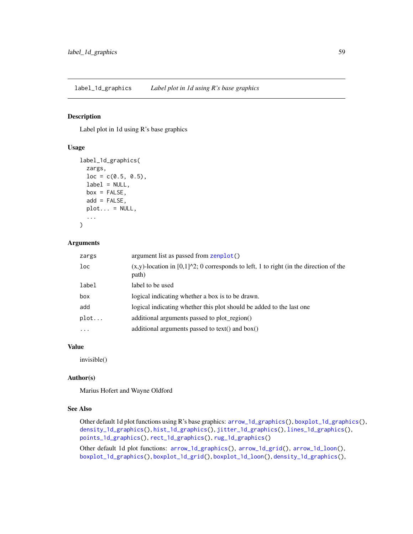<span id="page-58-0"></span>label\_1d\_graphics *Label plot in 1d using R's base graphics*

#### Description

Label plot in 1d using R's base graphics

### Usage

```
label_1d_graphics(
  zargs,
 loc = c(0.5, 0.5),label = NULL,box = FALSE,add = FALSE,plot... = NULL,...
)
```
#### Arguments

| zargs | argument list as passed from zenplot()                                                                          |
|-------|-----------------------------------------------------------------------------------------------------------------|
| loc.  | $(x,y)$ -location in [0,1] $\textdegree$ 2; 0 corresponds to left, 1 to right (in the direction of the<br>path) |
| label | label to be used                                                                                                |
| box   | logical indicating whether a box is to be drawn.                                                                |
| add   | logical indicating whether this plot should be added to the last one                                            |
| plot  | additional arguments passed to plot_region()                                                                    |
| .     | additional arguments passed to text() and $box()$                                                               |
|       |                                                                                                                 |

### Value

invisible()

### Author(s)

Marius Hofert and Wayne Oldford

#### See Also

Other default 1d plot functions using R's base graphics: [arrow\\_1d\\_graphics\(](#page-3-0)), [boxplot\\_1d\\_graphics\(](#page-15-0)), [density\\_1d\\_graphics\(](#page-24-0)), [hist\\_1d\\_graphics\(](#page-49-0)), [jitter\\_1d\\_graphics\(](#page-54-0)), [lines\\_1d\\_graphics\(](#page-69-0)), [points\\_1d\\_graphics\(](#page-80-0)), [rect\\_1d\\_graphics\(](#page-90-0)), [rug\\_1d\\_graphics\(](#page-97-0))

Other default 1d plot functions: [arrow\\_1d\\_graphics\(](#page-3-0)), [arrow\\_1d\\_grid\(](#page-4-0)), [arrow\\_1d\\_loon\(](#page-6-0)), [boxplot\\_1d\\_graphics\(](#page-15-0)), [boxplot\\_1d\\_grid\(](#page-16-0)), [boxplot\\_1d\\_loon\(](#page-17-0)), [density\\_1d\\_graphics\(](#page-24-0)),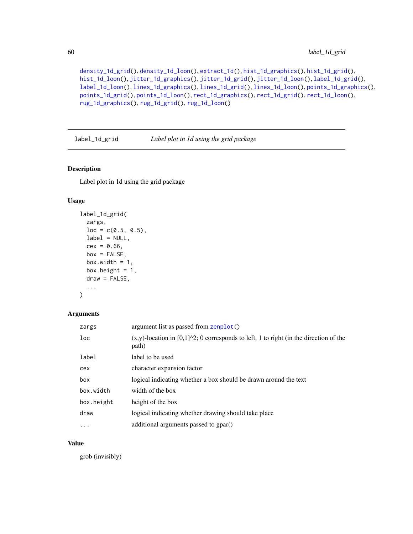```
density_1d_grid(), density_1d_loon(), extract_1d(), hist_1d_graphics(), hist_1d_grid(),
hist_1d_loon(), jitter_1d_graphics(), jitter_1d_grid(), jitter_1d_loon(), label_1d_grid(),
label_1d_loon(), lines_1d_graphics(), lines_1d_grid(), lines_1d_loon(), points_1d_graphics(),
points_1d_grid(), points_1d_loon(), rect_1d_graphics(), rect_1d_grid(), rect_1d_loon(),
rug_1d_graphics(), rug_1d_grid(), rug_1d_loon()
```
<span id="page-59-0"></span>label\_1d\_grid *Label plot in 1d using the grid package*

#### Description

Label plot in 1d using the grid package

#### Usage

```
label_1d_grid(
  zargs,
  loc = c(0.5, 0.5),label = NULL,cex = 0.66,
 box = FALSE,box.width = 1,
 box.height = 1,
  draw = FALSE,
  ...
\mathcal{L}
```
#### Arguments

| zargs           | argument list as passed from zenplot()                                                                        |
|-----------------|---------------------------------------------------------------------------------------------------------------|
| 1 <sub>oc</sub> | $(x,y)$ -location in [0,1] $^{\wedge}2$ ; 0 corresponds to left, 1 to right (in the direction of the<br>path) |
| label           | label to be used                                                                                              |
| cex             | character expansion factor                                                                                    |
| box             | logical indicating whether a box should be drawn around the text                                              |
| box.width       | width of the box                                                                                              |
| box.height      | height of the box                                                                                             |
| draw            | logical indicating whether drawing should take place                                                          |
| $\cdots$        | additional arguments passed to gpar()                                                                         |

#### Value

grob (invisibly)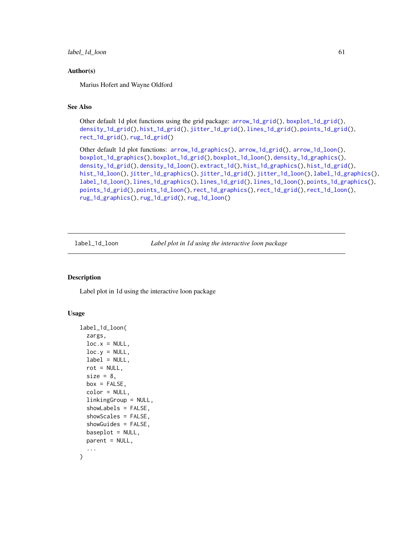label\_1d\_loon 61

#### Author(s)

Marius Hofert and Wayne Oldford

### See Also

Other default 1d plot functions using the grid package: [arrow\\_1d\\_grid\(](#page-4-0)), [boxplot\\_1d\\_grid\(](#page-16-0)), [density\\_1d\\_grid\(](#page-25-0)), [hist\\_1d\\_grid\(](#page-50-0)), [jitter\\_1d\\_grid\(](#page-55-0)), [lines\\_1d\\_grid\(](#page-70-0)), [points\\_1d\\_grid\(](#page-81-0)), [rect\\_1d\\_grid\(](#page-91-0)), [rug\\_1d\\_grid\(](#page-98-0))

```
Other default 1d plot functions: arrow_1d_graphics(), arrow_1d_grid(), arrow_1d_loon(),
boxplot_1d_graphics(), boxplot_1d_grid(), boxplot_1d_loon(), density_1d_graphics(),
density_1d_grid(), density_1d_loon(), extract_1d(), hist_1d_graphics(), hist_1d_grid(),
hist_1d_loon(), jitter_1d_graphics(), jitter_1d_grid(), jitter_1d_loon(), label_1d_graphics(),
label_1d_loon(), lines_1d_graphics(), lines_1d_grid(), lines_1d_loon(), points_1d_graphics(),
points_1d_grid(), points_1d_loon(), rect_1d_graphics(), rect_1d_grid(), rect_1d_loon(),
rug_1d_graphics(), rug_1d_grid(), rug_1d_loon()
```
<span id="page-60-0"></span>label\_1d\_loon *Label plot in 1d using the interactive loon package*

### Description

Label plot in 1d using the interactive loon package

```
label_1d_loon(
  zargs,
 loc.x = NULL,loc.y = NULL,label = NULL,rot = NULL,size = 8,
  box = FALSE,color = NULL,
  linkingGroup = NULL,
  showLabels = FALSE,
  showScales = FALSE,
  showGuides = FALSE,
 baseplot = NULL,parent = NULL,
)
```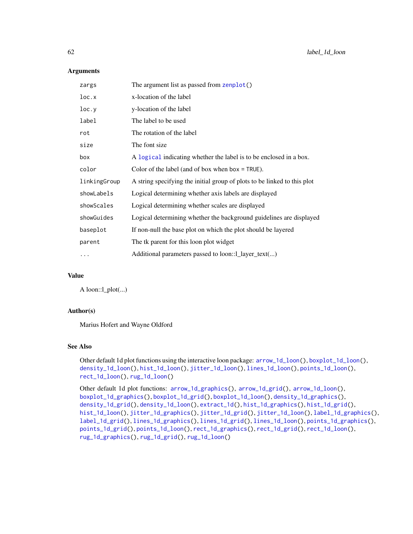#### **Arguments**

| zargs        | The argument list as passed from zenplot()                               |
|--------------|--------------------------------------------------------------------------|
| loc.x        | x-location of the label                                                  |
| loc.y        | y-location of the label                                                  |
| label        | The label to be used                                                     |
| rot          | The rotation of the label                                                |
| size         | The font size                                                            |
| box          | A logical indicating whether the label is to be enclosed in a box.       |
| color        | Color of the label (and of box when box $=$ TRUE).                       |
| linkingGroup | A string specifying the initial group of plots to be linked to this plot |
| showLabels   | Logical determining whether axis labels are displayed                    |
| showScales   | Logical determining whether scales are displayed                         |
| showGuides   | Logical determining whether the background guidelines are displayed      |
| baseplot     | If non-null the base plot on which the plot should be layered            |
| parent       | The tk parent for this loon plot widget                                  |
| $\cdots$     | Additional parameters passed to loon::1_layer_text()                     |
|              |                                                                          |

# Value

A loon::l\_plot(...)

### Author(s)

Marius Hofert and Wayne Oldford

### See Also

Other default 1d plot functions using the interactive loon package: [arrow\\_1d\\_loon\(](#page-6-0)), [boxplot\\_1d\\_loon\(](#page-17-0)), [density\\_1d\\_loon\(](#page-26-0)), [hist\\_1d\\_loon\(](#page-51-0)), [jitter\\_1d\\_loon\(](#page-56-0)), [lines\\_1d\\_loon\(](#page-71-0)), [points\\_1d\\_loon\(](#page-82-0)), [rect\\_1d\\_loon\(](#page-92-0)), [rug\\_1d\\_loon\(](#page-99-0))

Other default 1d plot functions: [arrow\\_1d\\_graphics\(](#page-3-0)), [arrow\\_1d\\_grid\(](#page-4-0)), [arrow\\_1d\\_loon\(](#page-6-0)), [boxplot\\_1d\\_graphics\(](#page-15-0)), [boxplot\\_1d\\_grid\(](#page-16-0)), [boxplot\\_1d\\_loon\(](#page-17-0)), [density\\_1d\\_graphics\(](#page-24-0)), [density\\_1d\\_grid\(](#page-25-0)), [density\\_1d\\_loon\(](#page-26-0)), [extract\\_1d\(](#page-34-0)), [hist\\_1d\\_graphics\(](#page-49-0)), [hist\\_1d\\_grid\(](#page-50-0)), [hist\\_1d\\_loon\(](#page-51-0)), [jitter\\_1d\\_graphics\(](#page-54-0)), [jitter\\_1d\\_grid\(](#page-55-0)), [jitter\\_1d\\_loon\(](#page-56-0)), [label\\_1d\\_graphics\(](#page-58-0)), [label\\_1d\\_grid\(](#page-59-0)), [lines\\_1d\\_graphics\(](#page-69-0)), [lines\\_1d\\_grid\(](#page-70-0)), [lines\\_1d\\_loon\(](#page-71-0)), [points\\_1d\\_graphics\(](#page-80-0)), [points\\_1d\\_grid\(](#page-81-0)), [points\\_1d\\_loon\(](#page-82-0)), [rect\\_1d\\_graphics\(](#page-90-0)), [rect\\_1d\\_grid\(](#page-91-0)), [rect\\_1d\\_loon\(](#page-92-0)), [rug\\_1d\\_graphics\(](#page-97-0)), [rug\\_1d\\_grid\(](#page-98-0)), [rug\\_1d\\_loon\(](#page-99-0))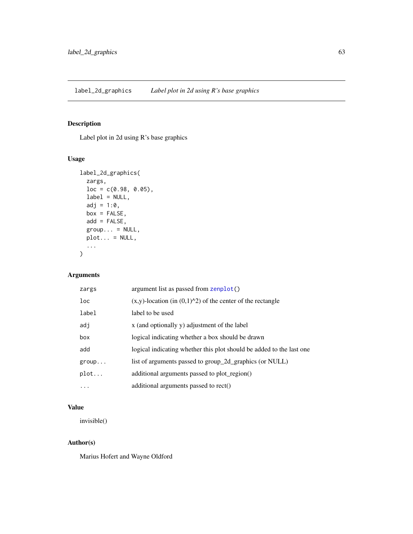# <span id="page-62-0"></span>Description

Label plot in 2d using R's base graphics

### Usage

```
label_2d_graphics(
  zargs,
 loc = c(0.98, 0.05),
 label = NULL,adj = 1:0,box = FALSE,add = FALSE,group... = NULL,plot... = NULL,...
)
```
# Arguments

| zargs | argument list as passed from zenplot()                               |
|-------|----------------------------------------------------------------------|
| loc   | $(x,y)$ -location (in $(0,1)^{2}$ ) of the center of the rectangle   |
| label | label to be used                                                     |
| adj   | x (and optionally y) adjustment of the label                         |
| box   | logical indicating whether a box should be drawn                     |
| add   | logical indicating whether this plot should be added to the last one |
| group | list of arguments passed to group_2d_graphics (or NULL)              |
| plot  | additional arguments passed to plot_region()                         |
| .     | additional arguments passed to rect()                                |

### Value

invisible()

### Author(s)

Marius Hofert and Wayne Oldford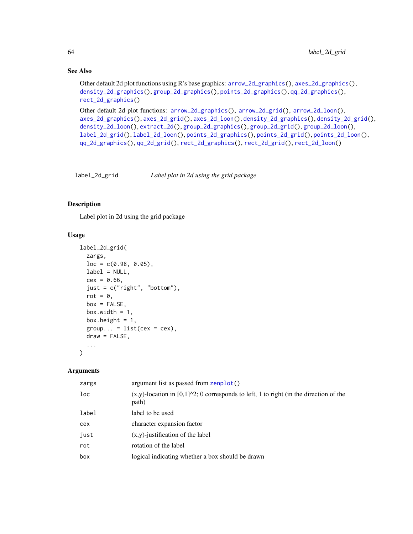### See Also

```
Other default 2d plot functions using R's base graphics: arrow_2d_graphics(), axes_2d_graphics(),
density_2d_graphics(), group_2d_graphics(), points_2d_graphics(), qq_2d_graphics(),
rect_2d_graphics()
```
Other default 2d plot functions: [arrow\\_2d\\_graphics\(](#page-7-0)), [arrow\\_2d\\_grid\(](#page-8-0)), [arrow\\_2d\\_loon\(](#page-9-0)), [axes\\_2d\\_graphics\(](#page-11-0)), [axes\\_2d\\_grid\(](#page-12-0)), [axes\\_2d\\_loon\(](#page-13-0)), [density\\_2d\\_graphics\(](#page-28-0)), [density\\_2d\\_grid\(](#page-29-0)), [density\\_2d\\_loon\(](#page-30-0)), [extract\\_2d\(](#page-36-0)), [group\\_2d\\_graphics\(](#page-44-0)), [group\\_2d\\_grid\(](#page-45-0)), [group\\_2d\\_loon\(](#page-46-0)), [label\\_2d\\_grid\(](#page-63-0)), [label\\_2d\\_loon\(](#page-64-0)), [points\\_2d\\_graphics\(](#page-83-0)), [points\\_2d\\_grid\(](#page-84-0)), [points\\_2d\\_loon\(](#page-86-0)), [qq\\_2d\\_graphics\(](#page-87-0)), [qq\\_2d\\_grid\(](#page-88-0)), [rect\\_2d\\_graphics\(](#page-93-0)), [rect\\_2d\\_grid\(](#page-94-0)), [rect\\_2d\\_loon\(](#page-95-0))

<span id="page-63-0"></span>label\_2d\_grid *Label plot in 2d using the grid package*

# Description

Label plot in 2d using the grid package

#### Usage

```
label_2d_grid(
  zargs,
  loc = c(0.98, 0.05),
  label = NULL,cex = 0.66,
  just = c("right", "bottom"),
  rot = 0,
  box = FALSE,box.width = 1,
  box.height = 1,
  group... = list(cex = cex),draw = FALSE,
  ...
\mathcal{L}
```
### Arguments

| zargs  | argument list as passed from zenplot()                                                                          |
|--------|-----------------------------------------------------------------------------------------------------------------|
| $1$ oc | $(x,y)$ -location in [0,1] $\textdegree$ 2; 0 corresponds to left, 1 to right (in the direction of the<br>path) |
| label  | label to be used                                                                                                |
| cex    | character expansion factor                                                                                      |
| just   | $(x,y)$ -justification of the label                                                                             |
| rot    | rotation of the label                                                                                           |
| box    | logical indicating whether a box should be drawn                                                                |
|        |                                                                                                                 |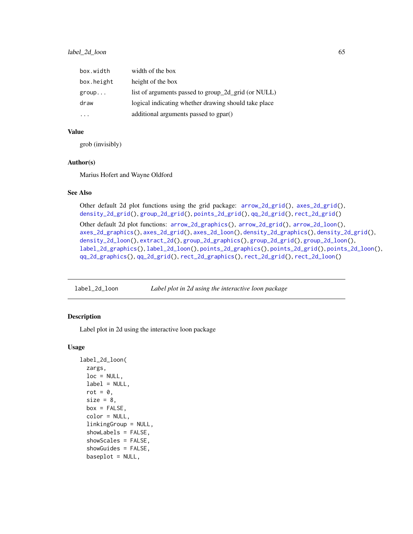| box.width  | width of the box                                     |
|------------|------------------------------------------------------|
| box.height | height of the box                                    |
| group      | list of arguments passed to group_2d_grid (or NULL)  |
| draw       | logical indicating whether drawing should take place |
| .          | additional arguments passed to gpar()                |

#### Value

grob (invisibly)

#### Author(s)

Marius Hofert and Wayne Oldford

# See Also

```
Other default 2d plot functions using the grid package: arrow_2d_grid(), axes_2d_grid(),
density_2d_grid(), group_2d_grid(), points_2d_grid(), qq_2d_grid(), rect_2d_grid()
Other default 2d plot functions: arrow_2d_graphics(), arrow_2d_grid(), arrow_2d_loon(),
axes_2d_graphics(), axes_2d_grid(), axes_2d_loon(), density_2d_graphics(), density_2d_grid(),
density_2d_loon(), extract_2d(), group_2d_graphics(), group_2d_grid(), group_2d_loon(),
label_2d_graphics(), label_2d_loon(), points_2d_graphics(), points_2d_grid(), points_2d_loon(),
qq_2d_graphics(), qq_2d_grid(), rect_2d_graphics(), rect_2d_grid(), rect_2d_loon()
```
<span id="page-64-0"></span>label\_2d\_loon *Label plot in 2d using the interactive loon package*

### Description

Label plot in 2d using the interactive loon package

```
label_2d_loon(
  zargs,
  loc = NULL,label = NULL,rot = \theta,
  size = 8,
  box = FALSE,color = NULL,
  linkingGroup = NULL,
  showLabels = FALSE,
  showScales = FALSE,
  showGuides = FALSE,
  baseplot = NULL,
```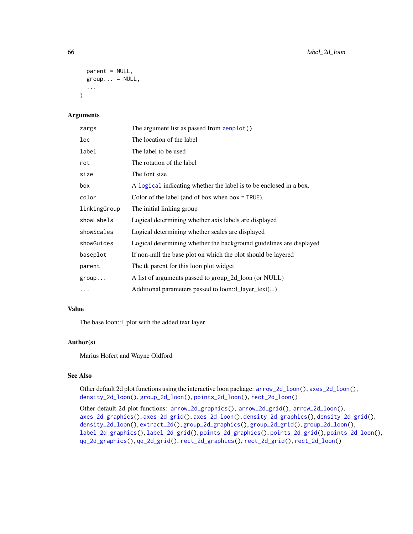```
parent = NULL,
 group... = NULL,...
\lambda
```
### Arguments

| zargs        | The argument list as passed from zenplot()                          |
|--------------|---------------------------------------------------------------------|
| loc          | The location of the label                                           |
| label        | The label to be used                                                |
| rot          | The rotation of the label                                           |
| size         | The font size                                                       |
| box          | A logical indicating whether the label is to be enclosed in a box.  |
| color        | Color of the label (and of box when box $=$ TRUE).                  |
| linkingGroup | The initial linking group                                           |
| showLabels   | Logical determining whether axis labels are displayed               |
| showScales   | Logical determining whether scales are displayed                    |
| showGuides   | Logical determining whether the background guidelines are displayed |
| baseplot     | If non-null the base plot on which the plot should be layered       |
| parent       | The tk parent for this loon plot widget                             |
| group        | A list of arguments passed to group_2d_loon (or NULL)               |
| .            | Additional parameters passed to loon::1_layer_text()                |

#### Value

The base loon::l\_plot with the added text layer

### Author(s)

Marius Hofert and Wayne Oldford

# See Also

Other default 2d plot functions using the interactive loon package:  $arrow_2d\_loon()$ ,  $axes_2d\_loon()$ , [density\\_2d\\_loon\(](#page-30-0)), [group\\_2d\\_loon\(](#page-46-0)), [points\\_2d\\_loon\(](#page-86-0)), [rect\\_2d\\_loon\(](#page-95-0))

Other default 2d plot functions: [arrow\\_2d\\_graphics\(](#page-7-0)), [arrow\\_2d\\_grid\(](#page-8-0)), [arrow\\_2d\\_loon\(](#page-9-0)), [axes\\_2d\\_graphics\(](#page-11-0)), [axes\\_2d\\_grid\(](#page-12-0)), [axes\\_2d\\_loon\(](#page-13-0)), [density\\_2d\\_graphics\(](#page-28-0)), [density\\_2d\\_grid\(](#page-29-0)), [density\\_2d\\_loon\(](#page-30-0)), [extract\\_2d\(](#page-36-0)), [group\\_2d\\_graphics\(](#page-44-0)), [group\\_2d\\_grid\(](#page-45-0)), [group\\_2d\\_loon\(](#page-46-0)), [label\\_2d\\_graphics\(](#page-62-0)), [label\\_2d\\_grid\(](#page-63-0)), [points\\_2d\\_graphics\(](#page-83-0)), [points\\_2d\\_grid\(](#page-84-0)), [points\\_2d\\_loon\(](#page-86-0)), [qq\\_2d\\_graphics\(](#page-87-0)), [qq\\_2d\\_grid\(](#page-88-0)), [rect\\_2d\\_graphics\(](#page-93-0)), [rect\\_2d\\_grid\(](#page-94-0)), [rect\\_2d\\_loon\(](#page-95-0))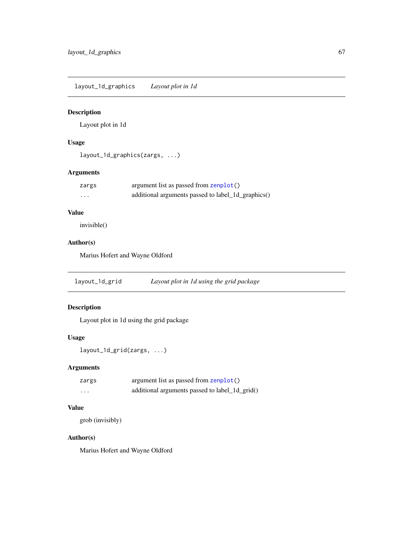layout\_1d\_graphics *Layout plot in 1d*

# Description

Layout plot in 1d

### Usage

layout\_1d\_graphics(zargs, ...)

# Arguments

| zargs | argument list as passed from zenplot()             |
|-------|----------------------------------------------------|
| .     | additional arguments passed to label_1d_graphics() |

# Value

invisible()

# Author(s)

Marius Hofert and Wayne Oldford

layout\_1d\_grid *Layout plot in 1d using the grid package*

### Description

Layout plot in 1d using the grid package

### Usage

```
layout_1d_grid(zargs, ...)
```
# Arguments

| zargs | argument list as passed from zenplot()         |
|-------|------------------------------------------------|
| .     | additional arguments passed to label_1d_grid() |

# Value

grob (invisibly)

### Author(s)

Marius Hofert and Wayne Oldford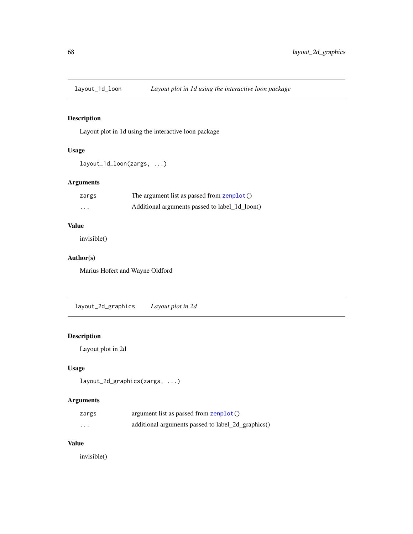### Description

Layout plot in 1d using the interactive loon package

### Usage

```
layout_1d_loon(zargs, ...)
```
# Arguments

| zargs    | The argument list as passed from zenplot()     |
|----------|------------------------------------------------|
| $\cdots$ | Additional arguments passed to label 1d loon() |

### Value

invisible()

### Author(s)

Marius Hofert and Wayne Oldford

layout\_2d\_graphics *Layout plot in 2d*

### Description

Layout plot in 2d

# Usage

```
layout_2d_graphics(zargs, ...)
```
# Arguments

| zargs                   | argument list as passed from zenplot()             |
|-------------------------|----------------------------------------------------|
| $\cdot$ $\cdot$ $\cdot$ | additional arguments passed to label_2d_graphics() |

### Value

invisible()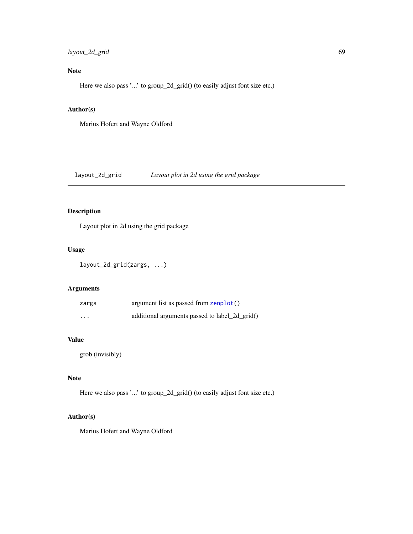### layout\_2d\_grid 69

# Note

Here we also pass '...' to group\_2d\_grid() (to easily adjust font size etc.)

### Author(s)

Marius Hofert and Wayne Oldford

layout\_2d\_grid *Layout plot in 2d using the grid package*

# Description

Layout plot in 2d using the grid package

### Usage

```
layout_2d_grid(zargs, ...)
```
### Arguments

| zargs    | argument list as passed from zenplot()         |
|----------|------------------------------------------------|
| $\cdots$ | additional arguments passed to label_2d_grid() |

#### Value

grob (invisibly)

# Note

Here we also pass '...' to group\_2d\_grid() (to easily adjust font size etc.)

#### Author(s)

Marius Hofert and Wayne Oldford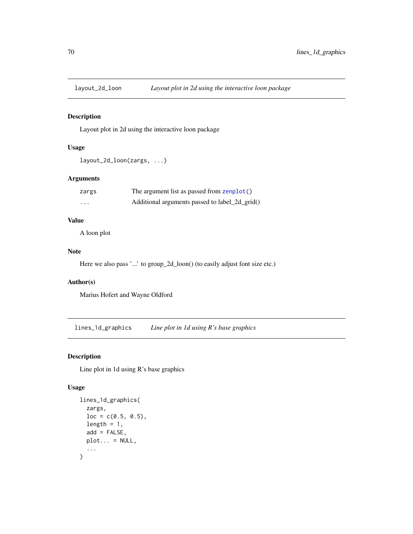### Description

Layout plot in 2d using the interactive loon package

# Usage

```
layout_2d_loon(zargs, ...)
```
### Arguments

| zargs    | The argument list as passed from zenplot()     |
|----------|------------------------------------------------|
| $\cdots$ | Additional arguments passed to label_2d_grid() |

# Value

A loon plot

#### Note

Here we also pass '...' to group\_2d\_loon() (to easily adjust font size etc.)

# Author(s)

Marius Hofert and Wayne Oldford

<span id="page-69-0"></span>lines\_1d\_graphics *Line plot in 1d using R's base graphics*

# Description

Line plot in 1d using R's base graphics

```
lines_1d_graphics(
  zargs,
  loc = c(0.5, 0.5),
  length = 1,
  add = FALSE,plot... = NULL,...
\mathcal{E}
```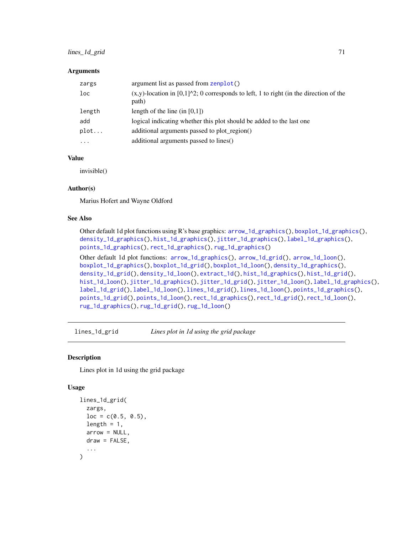### lines\_1d\_grid 71

#### **Arguments**

| zargs                   | argument list as passed from zenplot()                                                                      |
|-------------------------|-------------------------------------------------------------------------------------------------------------|
| loc                     | $(x,y)$ -location in [0,1] $\text{2}$ ; 0 corresponds to left, 1 to right (in the direction of the<br>path) |
| length                  | length of the line (in $[0,1]$ )                                                                            |
| add                     | logical indicating whether this plot should be added to the last one                                        |
| plot                    | additional arguments passed to plot region()                                                                |
| $\cdot$ $\cdot$ $\cdot$ | additional arguments passed to lines()                                                                      |

### Value

invisible()

### Author(s)

Marius Hofert and Wayne Oldford

### See Also

```
Other default 1d plot functions using R's base graphics: arrow_1d_graphics(), boxplot_1d_graphics(),
density_1d_graphics(), hist_1d_graphics(), jitter_1d_graphics(), label_1d_graphics(),
points_1d_graphics(), rect_1d_graphics(), rug_1d_graphics()
Other default 1d plot functions: arrow_1d_graphics(), arrow_1d_grid(), arrow_1d_loon(),
boxplot_1d_graphics(), boxplot_1d_grid(), boxplot_1d_loon(), density_1d_graphics(),
density_1d_grid(), density_1d_loon(), extract_1d(), hist_1d_graphics(), hist_1d_grid(),
hist_1d_loon(), jitter_1d_graphics(), jitter_1d_grid(), jitter_1d_loon(), label_1d_graphics(),
label_1d_grid(), label_1d_loon(), lines_1d_grid(), lines_1d_loon(), points_1d_graphics(),
points_1d_grid(), points_1d_loon(), rect_1d_graphics(), rect_1d_grid(), rect_1d_loon(),
rug_1d_graphics(), rug_1d_grid(), rug_1d_loon()
```
<span id="page-70-0"></span>lines\_1d\_grid *Lines plot in 1d using the grid package*

#### Description

Lines plot in 1d using the grid package

```
lines_1d_grid(
  zargs,
  loc = c(0.5, 0.5),
 length = 1,
  arrow = NULL,
 draw = FALSE,...
)
```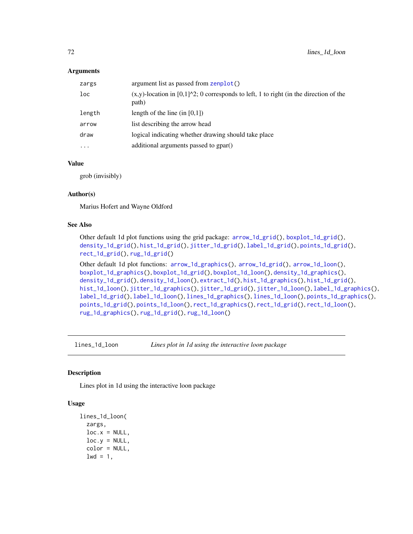#### **Arguments**

| zargs     | argument list as passed from zenplot()                                                                          |
|-----------|-----------------------------------------------------------------------------------------------------------------|
| loc       | $(x,y)$ -location in [0,1] $\textdegree$ 2; 0 corresponds to left, 1 to right (in the direction of the<br>path) |
| length    | length of the line (in $[0,1]$ )                                                                                |
| arrow     | list describing the arrow head                                                                                  |
| draw      | logical indicating whether drawing should take place                                                            |
| $\ddotsc$ | additional arguments passed to gpar()                                                                           |

### Value

grob (invisibly)

### Author(s)

Marius Hofert and Wayne Oldford

#### See Also

Other default 1d plot functions using the grid package: [arrow\\_1d\\_grid\(](#page-4-0)), [boxplot\\_1d\\_grid\(](#page-16-0)), [density\\_1d\\_grid\(](#page-25-0)), [hist\\_1d\\_grid\(](#page-50-0)), [jitter\\_1d\\_grid\(](#page-55-0)), [label\\_1d\\_grid\(](#page-59-0)), [points\\_1d\\_grid\(](#page-81-0)), [rect\\_1d\\_grid\(](#page-91-0)), [rug\\_1d\\_grid\(](#page-98-0))

Other default 1d plot functions: [arrow\\_1d\\_graphics\(](#page-3-0)), [arrow\\_1d\\_grid\(](#page-4-0)), [arrow\\_1d\\_loon\(](#page-6-0)), [boxplot\\_1d\\_graphics\(](#page-15-0)), [boxplot\\_1d\\_grid\(](#page-16-0)), [boxplot\\_1d\\_loon\(](#page-17-0)), [density\\_1d\\_graphics\(](#page-24-0)), [density\\_1d\\_grid\(](#page-25-0)), [density\\_1d\\_loon\(](#page-26-0)), [extract\\_1d\(](#page-34-0)), [hist\\_1d\\_graphics\(](#page-49-0)), [hist\\_1d\\_grid\(](#page-50-0)), [hist\\_1d\\_loon\(](#page-51-0)), [jitter\\_1d\\_graphics\(](#page-54-0)), [jitter\\_1d\\_grid\(](#page-55-0)), [jitter\\_1d\\_loon\(](#page-56-0)), [label\\_1d\\_graphics\(](#page-58-0)), [label\\_1d\\_grid\(](#page-59-0)), [label\\_1d\\_loon\(](#page-60-0)), [lines\\_1d\\_graphics\(](#page-69-0)), [lines\\_1d\\_loon\(](#page-71-0)), [points\\_1d\\_graphics\(](#page-80-0)), [points\\_1d\\_grid\(](#page-81-0)), [points\\_1d\\_loon\(](#page-82-0)), [rect\\_1d\\_graphics\(](#page-90-0)), [rect\\_1d\\_grid\(](#page-91-0)), [rect\\_1d\\_loon\(](#page-92-0)), [rug\\_1d\\_graphics\(](#page-97-0)), [rug\\_1d\\_grid\(](#page-98-0)), [rug\\_1d\\_loon\(](#page-99-0))

<span id="page-71-0"></span>lines\_1d\_loon *Lines plot in 1d using the interactive loon package*

#### Description

Lines plot in 1d using the interactive loon package

```
lines_1d_loon(
 zargs,
  loc.x = NULL,loc.y = NULL,color = NULL,
  1wd = 1,
```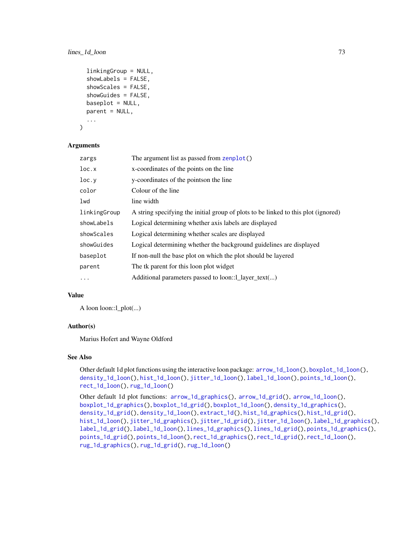# lines\_1d\_loon 73

```
linkingGroup = NULL,
showLabels = FALSE,
showScales = FALSE,
showGuides = FALSE,
baseplot = NULL,parent = NULL,
...
```
### **Arguments**

)

| zargs        | The argument list as passed from zenplot()                                         |
|--------------|------------------------------------------------------------------------------------|
| loc.x        | x-coordinates of the points on the line                                            |
| loc.y        | y-coordinates of the points on the line                                            |
| color        | Colour of the line                                                                 |
| lwd          | line width                                                                         |
| linkingGroup | A string specifying the initial group of plots to be linked to this plot (ignored) |
| showLabels   | Logical determining whether axis labels are displayed                              |
| showScales   | Logical determining whether scales are displayed                                   |
| showGuides   | Logical determining whether the background guidelines are displayed                |
| baseplot     | If non-null the base plot on which the plot should be layered                      |
| parent       | The tk parent for this loon plot widget                                            |
| $\ddots$ .   | Additional parameters passed to loon::1_layer_text()                               |

## Value

A loon loon::l\_plot(...)

# Author(s)

Marius Hofert and Wayne Oldford

#### See Also

Other default 1d plot functions using the interactive loon package: [arrow\\_1d\\_loon\(](#page-6-0)), [boxplot\\_1d\\_loon\(](#page-17-0)), [density\\_1d\\_loon\(](#page-26-0)), [hist\\_1d\\_loon\(](#page-51-0)), [jitter\\_1d\\_loon\(](#page-56-0)), [label\\_1d\\_loon\(](#page-60-0)), [points\\_1d\\_loon\(](#page-82-0)), [rect\\_1d\\_loon\(](#page-92-0)), [rug\\_1d\\_loon\(](#page-99-0))

Other default 1d plot functions: [arrow\\_1d\\_graphics\(](#page-3-0)), [arrow\\_1d\\_grid\(](#page-4-0)), [arrow\\_1d\\_loon\(](#page-6-0)), [boxplot\\_1d\\_graphics\(](#page-15-0)), [boxplot\\_1d\\_grid\(](#page-16-0)), [boxplot\\_1d\\_loon\(](#page-17-0)), [density\\_1d\\_graphics\(](#page-24-0)), [density\\_1d\\_grid\(](#page-25-0)), [density\\_1d\\_loon\(](#page-26-0)), [extract\\_1d\(](#page-34-0)), [hist\\_1d\\_graphics\(](#page-49-0)), [hist\\_1d\\_grid\(](#page-50-0)), [hist\\_1d\\_loon\(](#page-51-0)), [jitter\\_1d\\_graphics\(](#page-54-0)), [jitter\\_1d\\_grid\(](#page-55-0)), [jitter\\_1d\\_loon\(](#page-56-0)), [label\\_1d\\_graphics\(](#page-58-0)), [label\\_1d\\_grid\(](#page-59-0)), [label\\_1d\\_loon\(](#page-60-0)), [lines\\_1d\\_graphics\(](#page-69-0)), [lines\\_1d\\_grid\(](#page-70-0)), [points\\_1d\\_graphics\(](#page-80-0)), [points\\_1d\\_grid\(](#page-81-0)), [points\\_1d\\_loon\(](#page-82-0)), [rect\\_1d\\_graphics\(](#page-90-0)), [rect\\_1d\\_grid\(](#page-91-0)), [rect\\_1d\\_loon\(](#page-92-0)), [rug\\_1d\\_graphics\(](#page-97-0)), [rug\\_1d\\_grid\(](#page-98-0)), [rug\\_1d\\_loon\(](#page-99-0))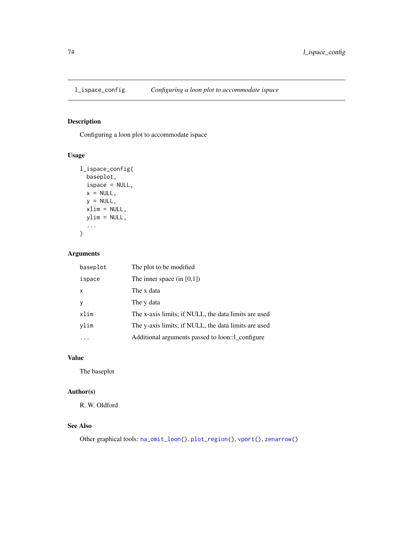<span id="page-73-0"></span>

Configuring a loon plot to accommodate ispace

# Usage

```
l_ispace_config(
 baseplot,
 ispace = NULL,
 x = NULL,y = NULL,xlim = NULL,ylim = NULL,
  ...
)
```
## Arguments

| baseplot | The plot to be modified.                             |
|----------|------------------------------------------------------|
| ispace   | The inner space $(in [0,1])$                         |
| x        | The x data                                           |
| ٧        | The y data                                           |
| xlim     | The x-axis limits; if NULL, the data limits are used |
| vlim     | The y-axis limits; if NULL, the data limits are used |
|          | Additional arguments passed to loon::1_configure     |

## Value

The baseplot

# Author(s)

R. W. Oldford

# See Also

Other graphical tools: [na\\_omit\\_loon\(](#page-75-0)), [plot\\_region\(](#page-79-0)), [vport\(](#page-103-0)), [zenarrow\(](#page-105-0))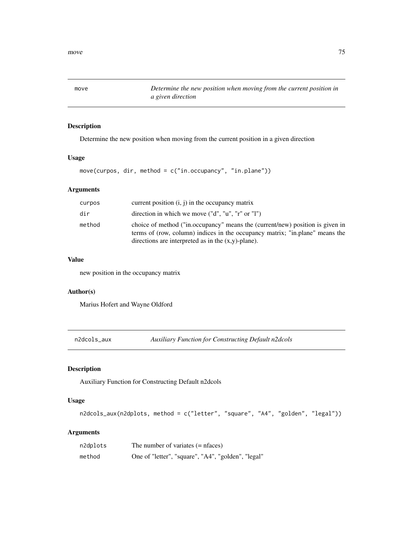move *Determine the new position when moving from the current position in a given direction*

# Description

Determine the new position when moving from the current position in a given direction

### Usage

```
move(curpos, dir, method = c("in.occupancy", "in.plane"))
```
# Arguments

| curpos | current position $(i, j)$ in the occupancy matrix                                                                                                                                                                      |
|--------|------------------------------------------------------------------------------------------------------------------------------------------------------------------------------------------------------------------------|
| dir    | direction in which we move $("d", "u", "r" or "l")$                                                                                                                                                                    |
| method | choice of method ("in.occupancy" means the (current/new) position is given in<br>terms of (row, column) indices in the occupancy matrix; "in.plane" means the<br>directions are interpreted as in the $(x,y)$ -plane). |

## Value

new position in the occupancy matrix

## Author(s)

Marius Hofert and Wayne Oldford

<span id="page-74-0"></span>n2dcols\_aux *Auxiliary Function for Constructing Default n2dcols*

# Description

Auxiliary Function for Constructing Default n2dcols

# Usage

```
n2dcols_aux(n2dplots, method = c("letter", "square", "A4", "golden", "legal"))
```
## Arguments

| n2dplots | The number of variates $(=$ nfaces)                |
|----------|----------------------------------------------------|
| method   | One of "letter", "square", "A4", "golden", "legal" |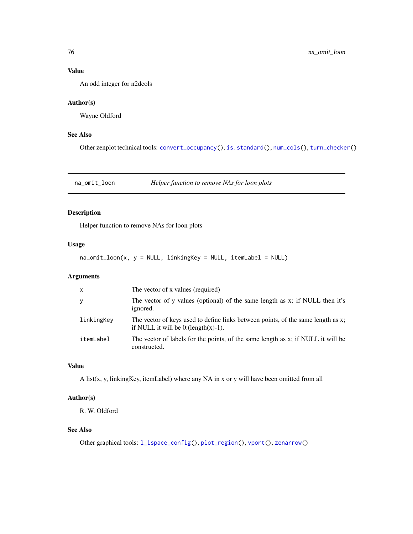# Value

An odd integer for n2dcols

#### Author(s)

Wayne Oldford

# See Also

Other zenplot technical tools: [convert\\_occupancy\(](#page-23-0)), [is.standard\(](#page-53-0)), [num\\_cols\(](#page-76-0)), [turn\\_checker\(](#page-100-0))

<span id="page-75-0"></span>na\_omit\_loon *Helper function to remove NAs for loon plots*

# Description

Helper function to remove NAs for loon plots

# Usage

 $na\_omit\_loon(x, y = NULL, linkingKey = NULL, itemLabel = NULL)$ 

# Arguments

| $\mathsf{x}$ | The vector of x values (required)                                                                                         |
|--------------|---------------------------------------------------------------------------------------------------------------------------|
| y            | The vector of y values (optional) of the same length as x; if NULL then it's<br>ignored.                                  |
| linkingKey   | The vector of keys used to define links between points, of the same length as x;<br>if NULL it will be $0:(length(x)-1).$ |
| itemLabel    | The vector of labels for the points, of the same length as x; if NULL it will be<br>constructed.                          |

# Value

A list(x, y, linkingKey, itemLabel) where any NA in x or y will have been omitted from all

# Author(s)

R. W. Oldford

# See Also

Other graphical tools: [l\\_ispace\\_config\(](#page-73-0)), [plot\\_region\(](#page-79-0)), [vport\(](#page-103-0)), [zenarrow\(](#page-105-0))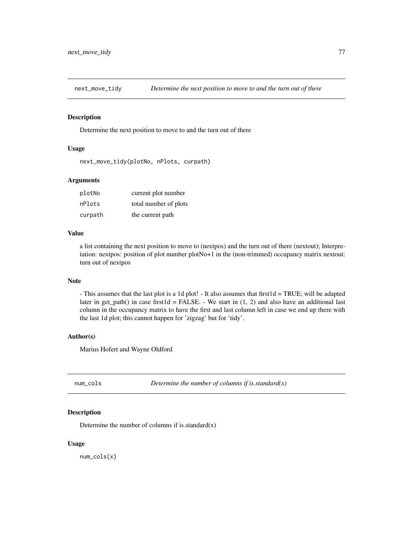Determine the next position to move to and the turn out of there

# Usage

```
next_move_tidy(plotNo, nPlots, curpath)
```
#### **Arguments**

| plotNo  | current plot number   |
|---------|-----------------------|
| nPlots  | total number of plots |
| curpath | the current path      |

## Value

a list containing the next position to move to (nextpos) and the turn out of there (nextout); Interpretation: nextpos: position of plot number plotNo+1 in the (non-trimmed) occupancy matrix nextout: turn out of nextpos

#### Note

- This assumes that the last plot is a 1d plot! - It also assumes that first1d = TRUE; will be adapted later in get\_path() in case first1d = FALSE. - We start in  $(1, 2)$  and also have an additional last column in the occupancy matrix to have the first and last column left in case we end up there with the last 1d plot; this cannot happen for 'zigzag' but for 'tidy'.

#### Author(s)

Marius Hofert and Wayne Oldford

<span id="page-76-0"></span>

| Determine the number of columns if is standard $(x)$<br>num cols |  |
|------------------------------------------------------------------|--|
|------------------------------------------------------------------|--|

## Description

Determine the number of columns if is standard $(x)$ 

#### Usage

num\_cols(x)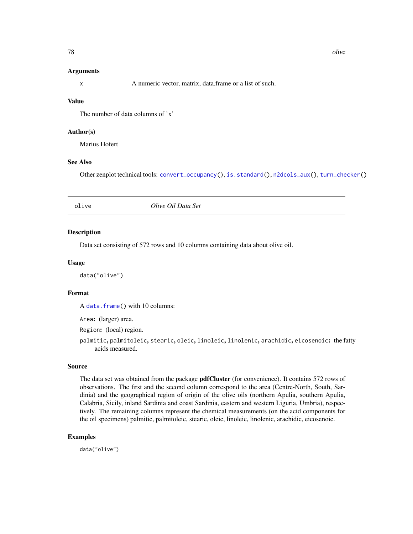#### Arguments

x A numeric vector, matrix, data.frame or a list of such.

## Value

The number of data columns of 'x'

## Author(s)

Marius Hofert

## See Also

Other zenplot technical tools: [convert\\_occupancy\(](#page-23-0)), [is.standard\(](#page-53-0)), [n2dcols\\_aux\(](#page-74-0)), [turn\\_checker\(](#page-100-0))

### Description

Data set consisting of 572 rows and 10 columns containing data about olive oil.

# Usage

data("olive")

#### Format

A [data.frame\(](#page-0-0)) with 10 columns:

Area: (larger) area.

Region: (local) region.

palmitic, palmitoleic, stearic, oleic, linoleic, linolenic, arachidic, eicosenoic: the fatty acids measured.

#### Source

The data set was obtained from the package pdfCluster (for convenience). It contains 572 rows of observations. The first and the second column correspond to the area (Centre-North, South, Sardinia) and the geographical region of origin of the olive oils (northern Apulia, southern Apulia, Calabria, Sicily, inland Sardinia and coast Sardinia, eastern and western Liguria, Umbria), respectively. The remaining columns represent the chemical measurements (on the acid components for the oil specimens) palmitic, palmitoleic, stearic, oleic, linoleic, linolenic, arachidic, eicosenoic.

### Examples

data("olive")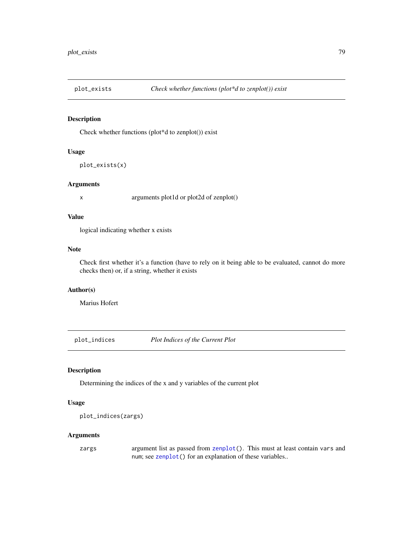Check whether functions (plot\*d to zenplot()) exist

# Usage

plot\_exists(x)

#### Arguments

x arguments plot1d or plot2d of zenplot()

## Value

logical indicating whether x exists

## Note

Check first whether it's a function (have to rely on it being able to be evaluated, cannot do more checks then) or, if a string, whether it exists

## Author(s)

Marius Hofert

plot\_indices *Plot Indices of the Current Plot*

## Description

Determining the indices of the x and y variables of the current plot

# Usage

```
plot_indices(zargs)
```
## Arguments

zargs argument list as passed from [zenplot\(](#page-107-0)). This must at least contain vars and num; see [zenplot\(](#page-107-0)) for an explanation of these variables..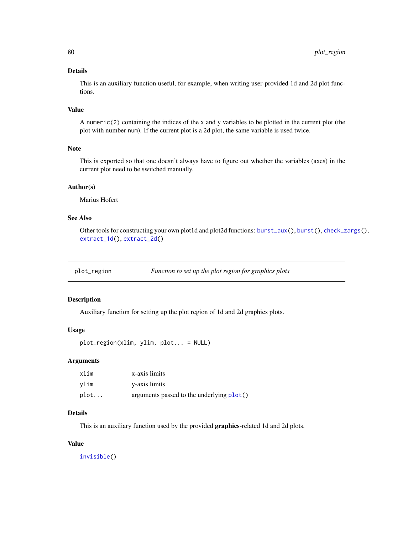## Details

This is an auxiliary function useful, for example, when writing user-provided 1d and 2d plot functions.

## Value

A numeric(2) containing the indices of the x and y variables to be plotted in the current plot (the plot with number num). If the current plot is a 2d plot, the same variable is used twice.

# Note

This is exported so that one doesn't always have to figure out whether the variables (axes) in the current plot need to be switched manually.

## Author(s)

Marius Hofert

# See Also

Other tools for constructing your own plot1d and plot2d functions: [burst\\_aux\(](#page-20-0)), [burst\(](#page-19-0)), [check\\_zargs\(](#page-21-0)), [extract\\_1d\(](#page-34-0)), [extract\\_2d\(](#page-36-0))

<span id="page-79-0"></span>

| plot_region | Function to set up the plot region for graphics plots |  |
|-------------|-------------------------------------------------------|--|
|             |                                                       |  |

## Description

Auxiliary function for setting up the plot region of 1d and 2d graphics plots.

# Usage

```
plot_region(xlim, ylim, plot... = NULL)
```
#### Arguments

| xlim | x-axis limits                             |
|------|-------------------------------------------|
| vlim | y-axis limits                             |
| plot | arguments passed to the underlying plot() |

## Details

This is an auxiliary function used by the provided graphics-related 1d and 2d plots.

## Value

[invisible\(](#page-0-0))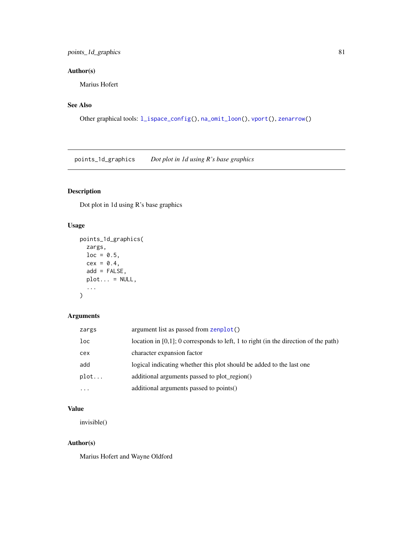# points\_1d\_graphics 81

# Author(s)

Marius Hofert

# See Also

Other graphical tools: [l\\_ispace\\_config\(](#page-73-0)), [na\\_omit\\_loon\(](#page-75-0)), [vport\(](#page-103-0)), [zenarrow\(](#page-105-0))

<span id="page-80-0"></span>points\_1d\_graphics *Dot plot in 1d using R's base graphics*

# Description

Dot plot in 1d using R's base graphics

# Usage

```
points_1d_graphics(
 zargs,
 loc = 0.5,
 cex = 0.4,
  add = FALSE,plot... = NULL,...
)
```
## Arguments

| zargs    | argument list as passed from zenplot()                                                 |
|----------|----------------------------------------------------------------------------------------|
| loc      | location in $[0,1]$ ; 0 corresponds to left, 1 to right (in the direction of the path) |
| cex      | character expansion factor                                                             |
| add      | logical indicating whether this plot should be added to the last one                   |
| plot     | additional arguments passed to plot region()                                           |
| $\cdots$ | additional arguments passed to points()                                                |

# Value

invisible()

# Author(s)

Marius Hofert and Wayne Oldford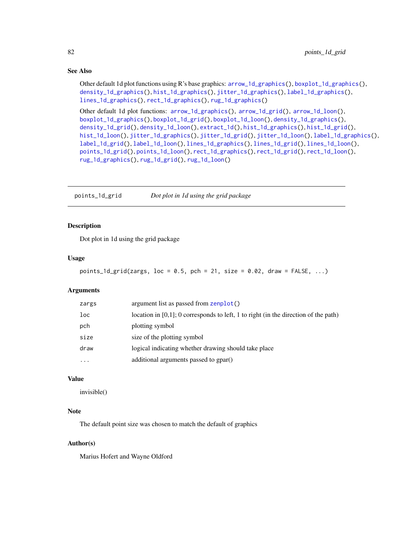## See Also

Other default 1d plot functions using R's base graphics: [arrow\\_1d\\_graphics\(](#page-3-0)), [boxplot\\_1d\\_graphics\(](#page-15-0)), [density\\_1d\\_graphics\(](#page-24-0)), [hist\\_1d\\_graphics\(](#page-49-0)), [jitter\\_1d\\_graphics\(](#page-54-0)), [label\\_1d\\_graphics\(](#page-58-0)), [lines\\_1d\\_graphics\(](#page-69-0)), [rect\\_1d\\_graphics\(](#page-90-0)), [rug\\_1d\\_graphics\(](#page-97-0))

Other default 1d plot functions: [arrow\\_1d\\_graphics\(](#page-3-0)), [arrow\\_1d\\_grid\(](#page-4-0)), [arrow\\_1d\\_loon\(](#page-6-0)), [boxplot\\_1d\\_graphics\(](#page-15-0)), [boxplot\\_1d\\_grid\(](#page-16-0)), [boxplot\\_1d\\_loon\(](#page-17-0)), [density\\_1d\\_graphics\(](#page-24-0)), [density\\_1d\\_grid\(](#page-25-0)), [density\\_1d\\_loon\(](#page-26-0)), [extract\\_1d\(](#page-34-0)), [hist\\_1d\\_graphics\(](#page-49-0)), [hist\\_1d\\_grid\(](#page-50-0)), [hist\\_1d\\_loon\(](#page-51-0)), [jitter\\_1d\\_graphics\(](#page-54-0)), [jitter\\_1d\\_grid\(](#page-55-0)), [jitter\\_1d\\_loon\(](#page-56-0)), [label\\_1d\\_graphics\(](#page-58-0)), [label\\_1d\\_grid\(](#page-59-0)), [label\\_1d\\_loon\(](#page-60-0)), [lines\\_1d\\_graphics\(](#page-69-0)), [lines\\_1d\\_grid\(](#page-70-0)), [lines\\_1d\\_loon\(](#page-71-0)), [points\\_1d\\_grid\(](#page-81-0)), [points\\_1d\\_loon\(](#page-82-0)), [rect\\_1d\\_graphics\(](#page-90-0)), [rect\\_1d\\_grid\(](#page-91-0)), [rect\\_1d\\_loon\(](#page-92-0)), [rug\\_1d\\_graphics\(](#page-97-0)), [rug\\_1d\\_grid\(](#page-98-0)), [rug\\_1d\\_loon\(](#page-99-0))

<span id="page-81-0"></span>points\_1d\_grid *Dot plot in 1d using the grid package*

#### Description

Dot plot in 1d using the grid package

## Usage

```
points_1d_grid(zargs, loc = 0.5, pch = 21, size = 0.02, draw = FALSE, ...)
```
#### Arguments

| zargs | argument list as passed from zenplot()                                              |
|-------|-------------------------------------------------------------------------------------|
| loc   | location in [0,1]; 0 corresponds to left, 1 to right (in the direction of the path) |
| pch   | plotting symbol                                                                     |
| size  | size of the plotting symbol                                                         |
| draw  | logical indicating whether drawing should take place                                |
| .     | additional arguments passed to gpar()                                               |

## Value

invisible()

# Note

The default point size was chosen to match the default of graphics

#### Author(s)

Marius Hofert and Wayne Oldford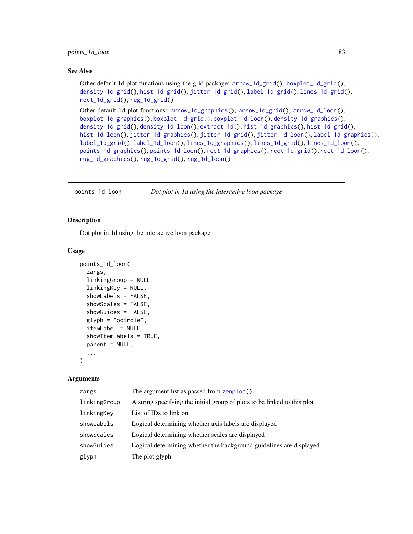#### See Also

Other default 1d plot functions using the grid package: [arrow\\_1d\\_grid\(](#page-4-0)), [boxplot\\_1d\\_grid\(](#page-16-0)), [density\\_1d\\_grid\(](#page-25-0)), [hist\\_1d\\_grid\(](#page-50-0)), [jitter\\_1d\\_grid\(](#page-55-0)), [label\\_1d\\_grid\(](#page-59-0)), [lines\\_1d\\_grid\(](#page-70-0)), [rect\\_1d\\_grid\(](#page-91-0)), [rug\\_1d\\_grid\(](#page-98-0))

Other default 1d plot functions: [arrow\\_1d\\_graphics\(](#page-3-0)), [arrow\\_1d\\_grid\(](#page-4-0)), [arrow\\_1d\\_loon\(](#page-6-0)), [boxplot\\_1d\\_graphics\(](#page-15-0)), [boxplot\\_1d\\_grid\(](#page-16-0)), [boxplot\\_1d\\_loon\(](#page-17-0)), [density\\_1d\\_graphics\(](#page-24-0)), [density\\_1d\\_grid\(](#page-25-0)), [density\\_1d\\_loon\(](#page-26-0)), [extract\\_1d\(](#page-34-0)), [hist\\_1d\\_graphics\(](#page-49-0)), [hist\\_1d\\_grid\(](#page-50-0)), [hist\\_1d\\_loon\(](#page-51-0)), [jitter\\_1d\\_graphics\(](#page-54-0)), [jitter\\_1d\\_grid\(](#page-55-0)), [jitter\\_1d\\_loon\(](#page-56-0)), [label\\_1d\\_graphics\(](#page-58-0)), [label\\_1d\\_grid\(](#page-59-0)), [label\\_1d\\_loon\(](#page-60-0)), [lines\\_1d\\_graphics\(](#page-69-0)), [lines\\_1d\\_grid\(](#page-70-0)), [lines\\_1d\\_loon\(](#page-71-0)), [points\\_1d\\_graphics\(](#page-80-0)), [points\\_1d\\_loon\(](#page-82-0)), [rect\\_1d\\_graphics\(](#page-90-0)), [rect\\_1d\\_grid\(](#page-91-0)), [rect\\_1d\\_loon\(](#page-92-0)), [rug\\_1d\\_graphics\(](#page-97-0)), [rug\\_1d\\_grid\(](#page-98-0)), [rug\\_1d\\_loon\(](#page-99-0))

<span id="page-82-0"></span>points\_1d\_loon *Dot plot in 1d using the interactive loon package*

### Description

Dot plot in 1d using the interactive loon package

#### Usage

```
points_1d_loon(
  zargs,
  linkingGroup = NULL,
  linkingKey = NULL,
  showLabels = FALSE,
  showScales = FALSE,
  showGuides = FALSE,
  glyph = "ocircle",
  itemLabel = NULL,
  showItemLabels = TRUE,
  parent = NULL,
  ...
)
```
## Arguments

| zargs        | The argument list as passed from zenplot()                               |
|--------------|--------------------------------------------------------------------------|
| linkingGroup | A string specifying the initial group of plots to be linked to this plot |
| linkingKey   | List of IDs to link on                                                   |
| showLabels   | Logical determining whether axis labels are displayed                    |
| showScales   | Logical determining whether scales are displayed                         |
| showGuides   | Logical determining whether the background guidelines are displayed      |
| glyph        | The plot glyph                                                           |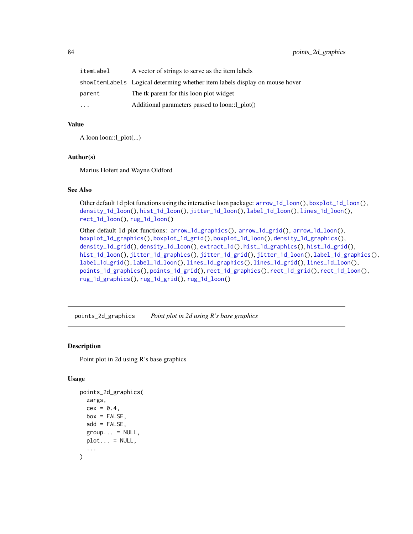| itemLabel | A vector of strings to serve as the item labels                             |
|-----------|-----------------------------------------------------------------------------|
|           | showItemLabels Logical determing whether item labels display on mouse hover |
| parent    | The tk parent for this loon plot widget                                     |
| $\ddotsc$ | Additional parameters passed to loon::1 plot()                              |

#### Value

A loon loon::l\_plot(...)

#### Author(s)

Marius Hofert and Wayne Oldford

## See Also

Other default 1d plot functions using the interactive loon package: [arrow\\_1d\\_loon\(](#page-6-0)), [boxplot\\_1d\\_loon\(](#page-17-0)), [density\\_1d\\_loon\(](#page-26-0)), [hist\\_1d\\_loon\(](#page-51-0)), [jitter\\_1d\\_loon\(](#page-56-0)), [label\\_1d\\_loon\(](#page-60-0)), [lines\\_1d\\_loon\(](#page-71-0)), [rect\\_1d\\_loon\(](#page-92-0)), [rug\\_1d\\_loon\(](#page-99-0))

Other default 1d plot functions: [arrow\\_1d\\_graphics\(](#page-3-0)), [arrow\\_1d\\_grid\(](#page-4-0)), [arrow\\_1d\\_loon\(](#page-6-0)), [boxplot\\_1d\\_graphics\(](#page-15-0)), [boxplot\\_1d\\_grid\(](#page-16-0)), [boxplot\\_1d\\_loon\(](#page-17-0)), [density\\_1d\\_graphics\(](#page-24-0)), [density\\_1d\\_grid\(](#page-25-0)), [density\\_1d\\_loon\(](#page-26-0)), [extract\\_1d\(](#page-34-0)), [hist\\_1d\\_graphics\(](#page-49-0)), [hist\\_1d\\_grid\(](#page-50-0)), [hist\\_1d\\_loon\(](#page-51-0)), [jitter\\_1d\\_graphics\(](#page-54-0)), [jitter\\_1d\\_grid\(](#page-55-0)), [jitter\\_1d\\_loon\(](#page-56-0)), [label\\_1d\\_graphics\(](#page-58-0)), [label\\_1d\\_grid\(](#page-59-0)), [label\\_1d\\_loon\(](#page-60-0)), [lines\\_1d\\_graphics\(](#page-69-0)), [lines\\_1d\\_grid\(](#page-70-0)), [lines\\_1d\\_loon\(](#page-71-0)), [points\\_1d\\_graphics\(](#page-80-0)), [points\\_1d\\_grid\(](#page-81-0)), [rect\\_1d\\_graphics\(](#page-90-0)), [rect\\_1d\\_grid\(](#page-91-0)), [rect\\_1d\\_loon\(](#page-92-0)), [rug\\_1d\\_graphics\(](#page-97-0)), [rug\\_1d\\_grid\(](#page-98-0)), [rug\\_1d\\_loon\(](#page-99-0))

<span id="page-83-0"></span>points\_2d\_graphics *Point plot in 2d using R's base graphics*

# Description

Point plot in 2d using R's base graphics

```
points_2d_graphics(
  zargs,
  cex = 0.4,
  box = FALSE,
  add = FALSE,
  group... = NULL,plot... = NULL,...
)
```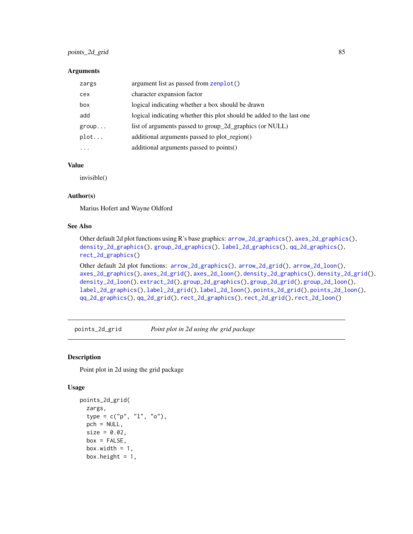# points\_2d\_grid 85

#### **Arguments**

| zargs    | argument list as passed from zenplot()                               |
|----------|----------------------------------------------------------------------|
| cex      | character expansion factor                                           |
| box      | logical indicating whether a box should be drawn                     |
| add      | logical indicating whether this plot should be added to the last one |
| group    | list of arguments passed to group_2d_graphics (or NULL)              |
| plot     | additional arguments passed to plot_region()                         |
| $\cdots$ | additional arguments passed to points()                              |

#### Value

invisible()

## Author(s)

Marius Hofert and Wayne Oldford

# See Also

Other default 2d plot functions using R's base graphics: [arrow\\_2d\\_graphics\(](#page-7-0)), [axes\\_2d\\_graphics\(](#page-11-0)), [density\\_2d\\_graphics\(](#page-28-0)), [group\\_2d\\_graphics\(](#page-44-0)), [label\\_2d\\_graphics\(](#page-62-0)), [qq\\_2d\\_graphics\(](#page-87-0)), [rect\\_2d\\_graphics\(](#page-93-0))

Other default 2d plot functions: [arrow\\_2d\\_graphics\(](#page-7-0)), [arrow\\_2d\\_grid\(](#page-8-0)), [arrow\\_2d\\_loon\(](#page-9-0)), [axes\\_2d\\_graphics\(](#page-11-0)), [axes\\_2d\\_grid\(](#page-12-0)), [axes\\_2d\\_loon\(](#page-13-0)), [density\\_2d\\_graphics\(](#page-28-0)), [density\\_2d\\_grid\(](#page-29-0)), [density\\_2d\\_loon\(](#page-30-0)), [extract\\_2d\(](#page-36-0)), [group\\_2d\\_graphics\(](#page-44-0)), [group\\_2d\\_grid\(](#page-45-0)), [group\\_2d\\_loon\(](#page-46-0)), [label\\_2d\\_graphics\(](#page-62-0)), [label\\_2d\\_grid\(](#page-63-0)), [label\\_2d\\_loon\(](#page-64-0)), [points\\_2d\\_grid\(](#page-84-0)), [points\\_2d\\_loon\(](#page-86-0)), [qq\\_2d\\_graphics\(](#page-87-0)), [qq\\_2d\\_grid\(](#page-88-0)), [rect\\_2d\\_graphics\(](#page-93-0)), [rect\\_2d\\_grid\(](#page-94-0)), [rect\\_2d\\_loon\(](#page-95-0))

<span id="page-84-0"></span>points\_2d\_grid *Point plot in 2d using the grid package*

# Description

Point plot in 2d using the grid package

```
points_2d_grid(
  zargs,
  type = c("p", "l", "o"),
  pch = NULL,
  size = 0.02,
  box = FALSE,box.width = 1,
  box.height = 1,
```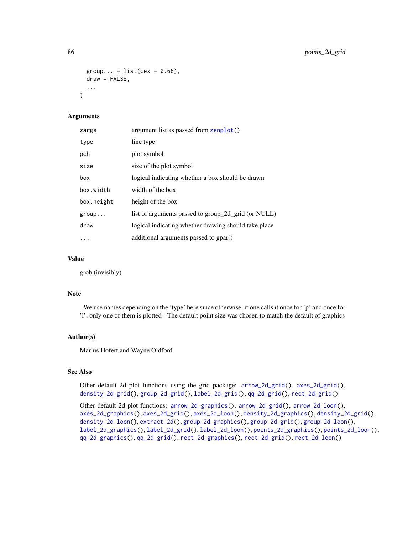```
group... = list(cex = 0.66),
draw = FALSE,
...
```
## Arguments

 $\lambda$ 

| zargs      | argument list as passed from zenplot()               |
|------------|------------------------------------------------------|
| type       | line type                                            |
| pch        | plot symbol                                          |
| size       | size of the plot symbol                              |
| box        | logical indicating whether a box should be drawn     |
| box.width  | width of the box                                     |
| box.height | height of the box                                    |
| group      | list of arguments passed to group_2d_grid (or NULL)  |
| draw       | logical indicating whether drawing should take place |
| $\cdots$   | additional arguments passed to gpar()                |

## Value

grob (invisibly)

#### Note

- We use names depending on the 'type' here since otherwise, if one calls it once for 'p' and once for 'l', only one of them is plotted - The default point size was chosen to match the default of graphics

#### Author(s)

Marius Hofert and Wayne Oldford

# See Also

Other default 2d plot functions using the grid package: [arrow\\_2d\\_grid\(](#page-8-0)), [axes\\_2d\\_grid\(](#page-12-0)), [density\\_2d\\_grid\(](#page-29-0)), [group\\_2d\\_grid\(](#page-45-0)), [label\\_2d\\_grid\(](#page-63-0)), [qq\\_2d\\_grid\(](#page-88-0)), [rect\\_2d\\_grid\(](#page-94-0))

Other default 2d plot functions: [arrow\\_2d\\_graphics\(](#page-7-0)), [arrow\\_2d\\_grid\(](#page-8-0)), [arrow\\_2d\\_loon\(](#page-9-0)), [axes\\_2d\\_graphics\(](#page-11-0)), [axes\\_2d\\_grid\(](#page-12-0)), [axes\\_2d\\_loon\(](#page-13-0)), [density\\_2d\\_graphics\(](#page-28-0)), [density\\_2d\\_grid\(](#page-29-0)), [density\\_2d\\_loon\(](#page-30-0)), [extract\\_2d\(](#page-36-0)), [group\\_2d\\_graphics\(](#page-44-0)), [group\\_2d\\_grid\(](#page-45-0)), [group\\_2d\\_loon\(](#page-46-0)), [label\\_2d\\_graphics\(](#page-62-0)), [label\\_2d\\_grid\(](#page-63-0)), [label\\_2d\\_loon\(](#page-64-0)), [points\\_2d\\_graphics\(](#page-83-0)), [points\\_2d\\_loon\(](#page-86-0)), [qq\\_2d\\_graphics\(](#page-87-0)), [qq\\_2d\\_grid\(](#page-88-0)), [rect\\_2d\\_graphics\(](#page-93-0)), [rect\\_2d\\_grid\(](#page-94-0)), [rect\\_2d\\_loon\(](#page-95-0))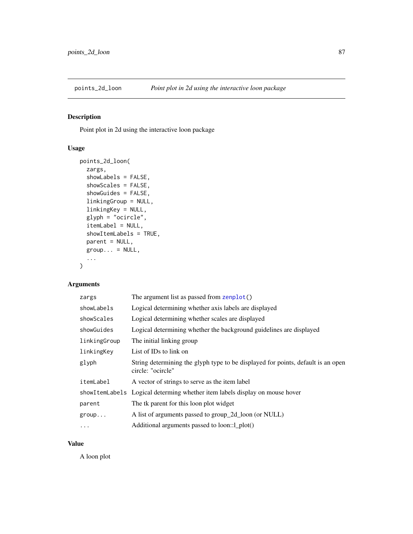<span id="page-86-0"></span>

Point plot in 2d using the interactive loon package

# Usage

```
points_2d_loon(
  zargs,
  showLabels = FALSE,
  showScales = FALSE,
  showGuides = FALSE,
  linkingGroup = NULL,
 linkingKey = NULL,
  glyph = "ocircle",
  itemLabel = NULL,
  showItemLabels = TRUE,
 parent = NULL,
 group... = NULL,...
)
```
# Arguments

| zargs        | The argument list as passed from zenplot()                                                            |
|--------------|-------------------------------------------------------------------------------------------------------|
| showLabels   | Logical determining whether axis labels are displayed                                                 |
| showScales   | Logical determining whether scales are displayed                                                      |
| showGuides   | Logical determining whether the background guidelines are displayed                                   |
| linkingGroup | The initial linking group                                                                             |
| linkingKey   | List of IDs to link on                                                                                |
| glyph        | String determining the glyph type to be displayed for points, default is an open<br>circle: "ocircle" |
| itemLabel    | A vector of strings to serve as the item label                                                        |
|              | showItemLabels Logical determing whether item labels display on mouse hover                           |
| parent       | The tk parent for this loon plot widget                                                               |
| group        | A list of arguments passed to group_2d_loon (or NULL)                                                 |
| $\cdots$     | Additional arguments passed to loon::1_plot()                                                         |

# Value

A loon plot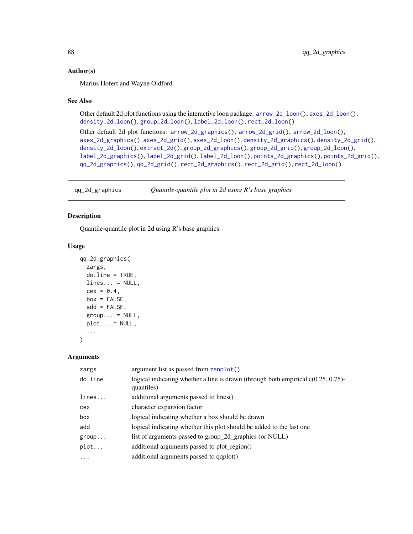#### Author(s)

Marius Hofert and Wayne Oldford

## See Also

Other default 2d plot functions using the interactive loon package: [arrow\\_2d\\_loon\(](#page-9-0)), [axes\\_2d\\_loon\(](#page-13-0)), [density\\_2d\\_loon\(](#page-30-0)), [group\\_2d\\_loon\(](#page-46-0)), [label\\_2d\\_loon\(](#page-64-0)), [rect\\_2d\\_loon\(](#page-95-0))

```
Other default 2d plot functions: arrow_2d_graphics(), arrow_2d_grid(), arrow_2d_loon(),
axes_2d_graphics(), axes_2d_grid(), axes_2d_loon(), density_2d_graphics(), density_2d_grid(),
density_2d_loon(), extract_2d(), group_2d_graphics(), group_2d_grid(), group_2d_loon(),
label_2d_graphics(), label_2d_grid(), label_2d_loon(), points_2d_graphics(), points_2d_grid(),
qq_2d_graphics(), qq_2d_grid(), rect_2d_graphics(), rect_2d_grid(), rect_2d_loon()
```
<span id="page-87-0"></span>qq\_2d\_graphics *Quantile-quantile plot in 2d using R's base graphics*

## Description

Quantile-quantile plot in 2d using R's base graphics

#### Usage

```
qq_2d_graphics(
  zargs,
 do.line = TRUE,
 lines... = NULL,cex = 0.4,
 box = FALSE,add = FALSE,group... = NULL,plot... = NULL,...
)
```
#### Arguments

| zargs    | argument list as passed from zenplot()                                                             |
|----------|----------------------------------------------------------------------------------------------------|
| do.line  | logical indicating whether a line is drawn (through both empirical $c(0.25, 0.75)$ -<br>quantiles) |
| lines    | additional arguments passed to lines()                                                             |
| cex      | character expansion factor                                                                         |
| box      | logical indicating whether a box should be drawn                                                   |
| add      | logical indicating whether this plot should be added to the last one                               |
| group    | list of arguments passed to group_2d_graphics (or NULL)                                            |
| plot     | additional arguments passed to plot_region()                                                       |
| $\ddots$ | additional arguments passed to qqplot()                                                            |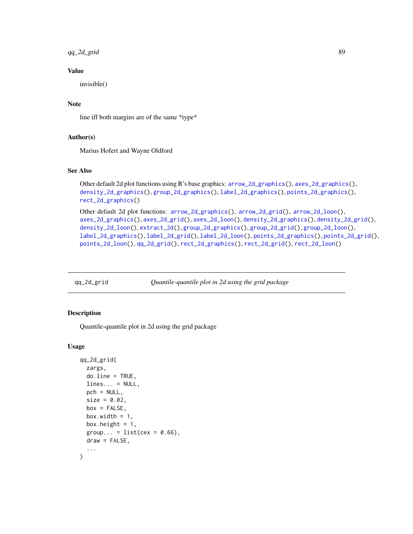qq\_2d\_grid 89

## Value

invisible()

# Note

line iff both margins are of the same \*type\*

# Author(s)

Marius Hofert and Wayne Oldford

## See Also

```
Other default 2d plot functions using R's base graphics: arrow_2d_graphics(), axes_2d_graphics(),
density_2d_graphics(), group_2d_graphics(), label_2d_graphics(), points_2d_graphics(),
rect_2d_graphics()
```

```
Other default 2d plot functions: arrow_2d_graphics(), arrow_2d_grid(), arrow_2d_loon(),
axes_2d_graphics(), axes_2d_grid(), axes_2d_loon(), density_2d_graphics(), density_2d_grid(),
density_2d_loon(), extract_2d(), group_2d_graphics(), group_2d_grid(), group_2d_loon(),
label_2d_graphics(), label_2d_grid(), label_2d_loon(), points_2d_graphics(), points_2d_grid(),
points_2d_loon(), qq_2d_grid(), rect_2d_graphics(), rect_2d_grid(), rect_2d_loon()
```
<span id="page-88-0"></span>

| qq_2d_grid | Quantile-quantile plot in 2d using the grid package |  |
|------------|-----------------------------------------------------|--|
|            |                                                     |  |

## Description

Quantile-quantile plot in 2d using the grid package

```
qq_2d_grid(
  zargs,
  do.line = TRUE,
  lines... = NULL,pch = NULL,
  size = 0.02,
  box = FALSE,box.width = 1,
  box.height = 1,
  group... = list(cex = 0.66),
  draw = FALSE,
  ...
)
```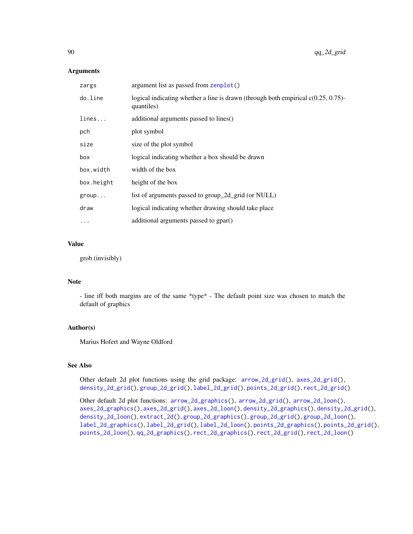## Arguments

| zargs      | argument list as passed from zenplot()                                                             |
|------------|----------------------------------------------------------------------------------------------------|
| do.line    | logical indicating whether a line is drawn (through both empirical $c(0.25, 0.75)$ -<br>quantiles) |
| lines      | additional arguments passed to lines()                                                             |
| pch        | plot symbol                                                                                        |
| size       | size of the plot symbol                                                                            |
| box        | logical indicating whether a box should be drawn                                                   |
| box.width  | width of the box                                                                                   |
| box.height | height of the box                                                                                  |
| group      | list of arguments passed to group_2d_grid (or NULL)                                                |
| draw       | logical indicating whether drawing should take place                                               |
| $\cdots$   | additional arguments passed to gpar()                                                              |
|            |                                                                                                    |

# Value

grob (invisibly)

## Note

- line iff both margins are of the same \*type\* - The default point size was chosen to match the default of graphics

#### Author(s)

Marius Hofert and Wayne Oldford

## See Also

Other default 2d plot functions using the grid package: [arrow\\_2d\\_grid\(](#page-8-0)), [axes\\_2d\\_grid\(](#page-12-0)), [density\\_2d\\_grid\(](#page-29-0)), [group\\_2d\\_grid\(](#page-45-0)), [label\\_2d\\_grid\(](#page-63-0)), [points\\_2d\\_grid\(](#page-84-0)), [rect\\_2d\\_grid\(](#page-94-0))

Other default 2d plot functions: [arrow\\_2d\\_graphics\(](#page-7-0)), [arrow\\_2d\\_grid\(](#page-8-0)), [arrow\\_2d\\_loon\(](#page-9-0)), [axes\\_2d\\_graphics\(](#page-11-0)), [axes\\_2d\\_grid\(](#page-12-0)), [axes\\_2d\\_loon\(](#page-13-0)), [density\\_2d\\_graphics\(](#page-28-0)), [density\\_2d\\_grid\(](#page-29-0)), [density\\_2d\\_loon\(](#page-30-0)), [extract\\_2d\(](#page-36-0)), [group\\_2d\\_graphics\(](#page-44-0)), [group\\_2d\\_grid\(](#page-45-0)), [group\\_2d\\_loon\(](#page-46-0)), [label\\_2d\\_graphics\(](#page-62-0)), [label\\_2d\\_grid\(](#page-63-0)), [label\\_2d\\_loon\(](#page-64-0)), [points\\_2d\\_graphics\(](#page-83-0)), [points\\_2d\\_grid\(](#page-84-0)), [points\\_2d\\_loon\(](#page-86-0)), [qq\\_2d\\_graphics\(](#page-87-0)), [rect\\_2d\\_graphics\(](#page-93-0)), [rect\\_2d\\_grid\(](#page-94-0)), [rect\\_2d\\_loon\(](#page-95-0))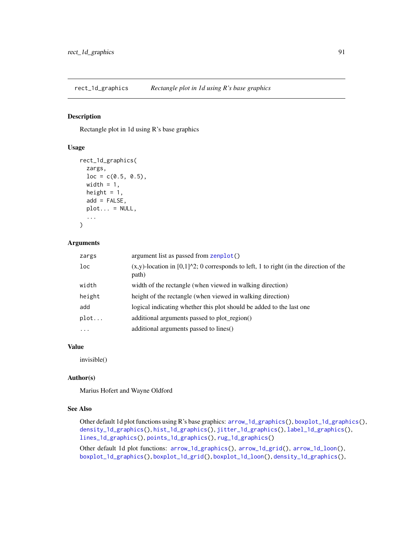<span id="page-90-0"></span>

Rectangle plot in 1d using R's base graphics

# Usage

```
rect_1d_graphics(
  zargs,
  loc = c(0.5, 0.5),width = 1,
 height = 1,
  add = FALSE,plot... = NULL,...
)
```
#### Arguments

| zargs  | argument list as passed from zenplot()                                                                          |
|--------|-----------------------------------------------------------------------------------------------------------------|
| loc    | $(x,y)$ -location in [0,1] $\textdegree$ 2; 0 corresponds to left, 1 to right (in the direction of the<br>path) |
| width  | width of the rectangle (when viewed in walking direction)                                                       |
| height | height of the rectangle (when viewed in walking direction)                                                      |
| add    | logical indicating whether this plot should be added to the last one                                            |
| plot   | additional arguments passed to plot region()                                                                    |
| .      | additional arguments passed to lines()                                                                          |
|        |                                                                                                                 |

## Value

invisible()

## Author(s)

Marius Hofert and Wayne Oldford

#### See Also

Other default 1d plot functions using R's base graphics: [arrow\\_1d\\_graphics\(](#page-3-0)), [boxplot\\_1d\\_graphics\(](#page-15-0)), [density\\_1d\\_graphics\(](#page-24-0)), [hist\\_1d\\_graphics\(](#page-49-0)), [jitter\\_1d\\_graphics\(](#page-54-0)), [label\\_1d\\_graphics\(](#page-58-0)), [lines\\_1d\\_graphics\(](#page-69-0)), [points\\_1d\\_graphics\(](#page-80-0)), [rug\\_1d\\_graphics\(](#page-97-0))

Other default 1d plot functions: [arrow\\_1d\\_graphics\(](#page-3-0)), [arrow\\_1d\\_grid\(](#page-4-0)), [arrow\\_1d\\_loon\(](#page-6-0)), [boxplot\\_1d\\_graphics\(](#page-15-0)), [boxplot\\_1d\\_grid\(](#page-16-0)), [boxplot\\_1d\\_loon\(](#page-17-0)), [density\\_1d\\_graphics\(](#page-24-0)),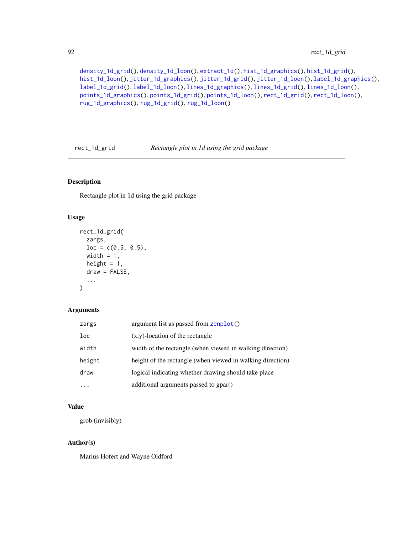```
density_1d_grid(), density_1d_loon(), extract_1d(), hist_1d_graphics(), hist_1d_grid(),
hist_1d_loon(), jitter_1d_graphics(), jitter_1d_grid(), jitter_1d_loon(), label_1d_graphics(),
label_1d_grid(), label_1d_loon(), lines_1d_graphics(), lines_1d_grid(), lines_1d_loon(),
points_1d_graphics(), points_1d_grid(), points_1d_loon(), rect_1d_grid(), rect_1d_loon(),
rug_1d_graphics(), rug_1d_grid(), rug_1d_loon()
```
<span id="page-91-0"></span>rect\_1d\_grid *Rectangle plot in 1d using the grid package*

# Description

Rectangle plot in 1d using the grid package

#### Usage

```
rect_1d_grid(
  zargs,
 loc = c(0.5, 0.5),
 width = 1,
 height = 1,
 draw = FALSE,...
)
```
## Arguments

| zargs  | argument list as passed from zenplot()                     |
|--------|------------------------------------------------------------|
| loc    | $(x,y)$ -location of the rectangle                         |
| width  | width of the rectangle (when viewed in walking direction)  |
| height | height of the rectangle (when viewed in walking direction) |
| draw   | logical indicating whether drawing should take place       |
|        | additional arguments passed to gpar()                      |

## Value

grob (invisibly)

# Author(s)

Marius Hofert and Wayne Oldford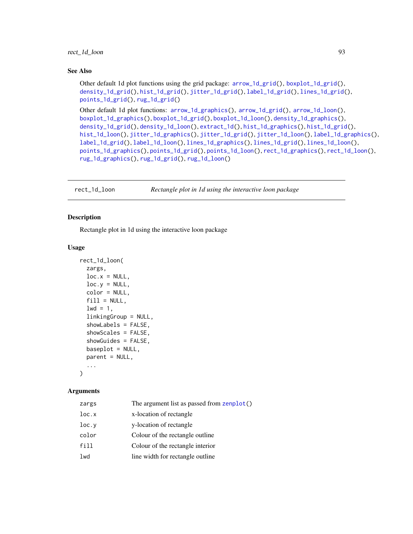#### See Also

Other default 1d plot functions using the grid package: [arrow\\_1d\\_grid\(](#page-4-0)), [boxplot\\_1d\\_grid\(](#page-16-0)), [density\\_1d\\_grid\(](#page-25-0)), [hist\\_1d\\_grid\(](#page-50-0)), [jitter\\_1d\\_grid\(](#page-55-0)), [label\\_1d\\_grid\(](#page-59-0)), [lines\\_1d\\_grid\(](#page-70-0)), [points\\_1d\\_grid\(](#page-81-0)), [rug\\_1d\\_grid\(](#page-98-0))

Other default 1d plot functions: [arrow\\_1d\\_graphics\(](#page-3-0)), [arrow\\_1d\\_grid\(](#page-4-0)), [arrow\\_1d\\_loon\(](#page-6-0)), [boxplot\\_1d\\_graphics\(](#page-15-0)), [boxplot\\_1d\\_grid\(](#page-16-0)), [boxplot\\_1d\\_loon\(](#page-17-0)), [density\\_1d\\_graphics\(](#page-24-0)), [density\\_1d\\_grid\(](#page-25-0)), [density\\_1d\\_loon\(](#page-26-0)), [extract\\_1d\(](#page-34-0)), [hist\\_1d\\_graphics\(](#page-49-0)), [hist\\_1d\\_grid\(](#page-50-0)), [hist\\_1d\\_loon\(](#page-51-0)), [jitter\\_1d\\_graphics\(](#page-54-0)), [jitter\\_1d\\_grid\(](#page-55-0)), [jitter\\_1d\\_loon\(](#page-56-0)), [label\\_1d\\_graphics\(](#page-58-0)), [label\\_1d\\_grid\(](#page-59-0)), [label\\_1d\\_loon\(](#page-60-0)), [lines\\_1d\\_graphics\(](#page-69-0)), [lines\\_1d\\_grid\(](#page-70-0)), [lines\\_1d\\_loon\(](#page-71-0)), [points\\_1d\\_graphics\(](#page-80-0)), [points\\_1d\\_grid\(](#page-81-0)), [points\\_1d\\_loon\(](#page-82-0)), [rect\\_1d\\_graphics\(](#page-90-0)), [rect\\_1d\\_loon\(](#page-92-0)), [rug\\_1d\\_graphics\(](#page-97-0)), [rug\\_1d\\_grid\(](#page-98-0)), [rug\\_1d\\_loon\(](#page-99-0))

<span id="page-92-0"></span>rect\_1d\_loon *Rectangle plot in 1d using the interactive loon package*

## Description

Rectangle plot in 1d using the interactive loon package

#### Usage

```
rect_1d_loon(
  zargs,
  loc.x = NULL,loc.y = NULL,color = NULL,
  fill = NULL,1wd = 1,
  linkingGroup = NULL,
  showLabels = FALSE,
  showScales = FALSE,
  showGuides = FALSE,
  baseplot = NULL,parent = NULL,...
```
 $\lambda$ 

## **Arguments**

| zargs | The argument list as passed from zenplot() |
|-------|--------------------------------------------|
| loc.x | x-location of rectangle                    |
| loc.y | y-location of rectangle                    |
| color | Colour of the rectangle outline            |
| fill  | Colour of the rectangle interior           |
| lwd   | line width for rectangle outline           |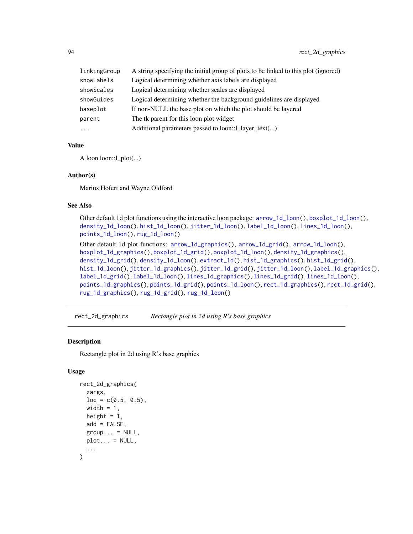| linkingGroup | A string specifying the initial group of plots to be linked to this plot (ignored) |
|--------------|------------------------------------------------------------------------------------|
| showLabels   | Logical determining whether axis labels are displayed                              |
| showScales   | Logical determining whether scales are displayed                                   |
| showGuides   | Logical determining whether the background guidelines are displayed                |
| baseplot     | If non-NULL the base plot on which the plot should be layered                      |
| parent       | The tk parent for this loon plot widget                                            |
| $\cdots$     | Additional parameters passed to loon::1_layer_text()                               |

# Value

A loon loon::l\_plot(...)

## Author(s)

Marius Hofert and Wayne Oldford

# See Also

Other default 1d plot functions using the interactive loon package: [arrow\\_1d\\_loon\(](#page-6-0)), [boxplot\\_1d\\_loon\(](#page-17-0)), [density\\_1d\\_loon\(](#page-26-0)), [hist\\_1d\\_loon\(](#page-51-0)), [jitter\\_1d\\_loon\(](#page-56-0)), [label\\_1d\\_loon\(](#page-60-0)), [lines\\_1d\\_loon\(](#page-71-0)), [points\\_1d\\_loon\(](#page-82-0)), [rug\\_1d\\_loon\(](#page-99-0)) Other default 1d plot functions: [arrow\\_1d\\_graphics\(](#page-3-0)), [arrow\\_1d\\_grid\(](#page-4-0)), [arrow\\_1d\\_loon\(](#page-6-0)), [boxplot\\_1d\\_graphics\(](#page-15-0)), [boxplot\\_1d\\_grid\(](#page-16-0)), [boxplot\\_1d\\_loon\(](#page-17-0)), [density\\_1d\\_graphics\(](#page-24-0)), [density\\_1d\\_grid\(](#page-25-0)), [density\\_1d\\_loon\(](#page-26-0)), [extract\\_1d\(](#page-34-0)), [hist\\_1d\\_graphics\(](#page-49-0)), [hist\\_1d\\_grid\(](#page-50-0)), [hist\\_1d\\_loon\(](#page-51-0)), [jitter\\_1d\\_graphics\(](#page-54-0)), [jitter\\_1d\\_grid\(](#page-55-0)), [jitter\\_1d\\_loon\(](#page-56-0)), [label\\_1d\\_graphics\(](#page-58-0)), [label\\_1d\\_grid\(](#page-59-0)), [label\\_1d\\_loon\(](#page-60-0)), [lines\\_1d\\_graphics\(](#page-69-0)), [lines\\_1d\\_grid\(](#page-70-0)), [lines\\_1d\\_loon\(](#page-71-0)), [points\\_1d\\_graphics\(](#page-80-0)), [points\\_1d\\_grid\(](#page-81-0)), [points\\_1d\\_loon\(](#page-82-0)), [rect\\_1d\\_graphics\(](#page-90-0)), [rect\\_1d\\_grid\(](#page-91-0)), [rug\\_1d\\_graphics\(](#page-97-0)), [rug\\_1d\\_grid\(](#page-98-0)), [rug\\_1d\\_loon\(](#page-99-0))

<span id="page-93-0"></span>rect\_2d\_graphics *Rectangle plot in 2d using R's base graphics*

#### Description

Rectangle plot in 2d using R's base graphics

```
rect_2d_graphics(
  zargs,
  loc = c(0.5, 0.5),
 width = 1,
 height = 1,
  add = FALSE,
  group... = NULL,plot... = NULL,...
)
```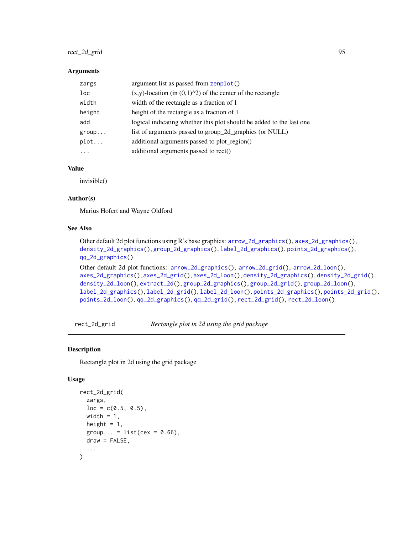# rect\_2d\_grid 95

#### **Arguments**

| zargs    | argument list as passed from zenplot()                               |
|----------|----------------------------------------------------------------------|
| loc      | $(x,y)$ -location (in $(0,1)^2$ ) of the center of the rectangle     |
| width    | width of the rectangle as a fraction of 1                            |
| height   | height of the rectangle as a fraction of 1                           |
| add      | logical indicating whether this plot should be added to the last one |
| group    | list of arguments passed to group_2d_graphics (or NULL)              |
| plot     | additional arguments passed to plot_region()                         |
| $\cdots$ | additional arguments passed to rect()                                |
|          |                                                                      |

# Value

invisible()

## Author(s)

Marius Hofert and Wayne Oldford

### See Also

```
Other default 2d plot functions using R's base graphics: arrow_2d_graphics(), axes_2d_graphics(),
density_2d_graphics(), group_2d_graphics(), label_2d_graphics(), points_2d_graphics(),
qq_2d_graphics()
Other default 2d plot functions: arrow_2d_graphics(), arrow_2d_grid(), arrow_2d_loon(),
axes_2d_graphics(), axes_2d_grid(), axes_2d_loon(), density_2d_graphics(), density_2d_grid(),
density_2d_loon(), extract_2d(), group_2d_graphics(), group_2d_grid(), group_2d_loon(),
label_2d_graphics(), label_2d_grid(), label_2d_loon(), points_2d_graphics(), points_2d_grid(),
points_2d_loon(), qq_2d_graphics(), qq_2d_grid(), rect_2d_grid(), rect_2d_loon()
```
<span id="page-94-0"></span>rect\_2d\_grid *Rectangle plot in 2d using the grid package*

## Description

Rectangle plot in 2d using the grid package

```
rect_2d_grid(
  zargs,
 loc = c(0.5, 0.5),width = 1,
 height = 1,
 group... = list(cex = 0.66),
 draw = FALSE,
  ...
)
```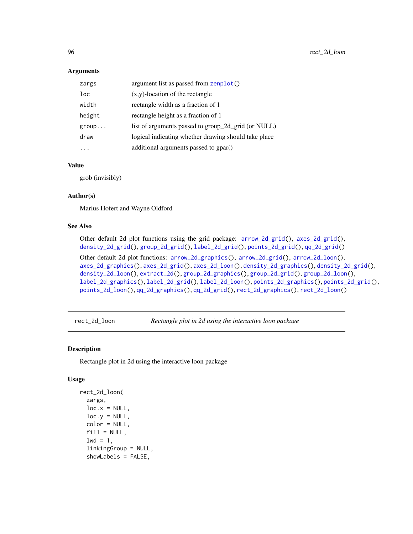#### **Arguments**

| zargs  | argument list as passed from zenplot()               |
|--------|------------------------------------------------------|
| loc    | $(x,y)$ -location of the rectangle                   |
| width  | rectangle width as a fraction of 1                   |
| height | rectangle height as a fraction of 1                  |
| group  | list of arguments passed to group_2d_grid (or NULL)  |
| draw   | logical indicating whether drawing should take place |
|        | additional arguments passed to gpar()                |

## Value

grob (invisibly)

## Author(s)

Marius Hofert and Wayne Oldford

# See Also

Other default 2d plot functions using the grid package: [arrow\\_2d\\_grid\(](#page-8-0)), [axes\\_2d\\_grid\(](#page-12-0)), [density\\_2d\\_grid\(](#page-29-0)), [group\\_2d\\_grid\(](#page-45-0)), [label\\_2d\\_grid\(](#page-63-0)), [points\\_2d\\_grid\(](#page-84-0)), [qq\\_2d\\_grid\(](#page-88-0)) Other default 2d plot functions: [arrow\\_2d\\_graphics\(](#page-7-0)), [arrow\\_2d\\_grid\(](#page-8-0)), [arrow\\_2d\\_loon\(](#page-9-0)),

[axes\\_2d\\_graphics\(](#page-11-0)), [axes\\_2d\\_grid\(](#page-12-0)), [axes\\_2d\\_loon\(](#page-13-0)), [density\\_2d\\_graphics\(](#page-28-0)), [density\\_2d\\_grid\(](#page-29-0)), [density\\_2d\\_loon\(](#page-30-0)), [extract\\_2d\(](#page-36-0)), [group\\_2d\\_graphics\(](#page-44-0)), [group\\_2d\\_grid\(](#page-45-0)), [group\\_2d\\_loon\(](#page-46-0)), [label\\_2d\\_graphics\(](#page-62-0)), [label\\_2d\\_grid\(](#page-63-0)), [label\\_2d\\_loon\(](#page-64-0)), [points\\_2d\\_graphics\(](#page-83-0)), [points\\_2d\\_grid\(](#page-84-0)), [points\\_2d\\_loon\(](#page-86-0)), [qq\\_2d\\_graphics\(](#page-87-0)), [qq\\_2d\\_grid\(](#page-88-0)), [rect\\_2d\\_graphics\(](#page-93-0)), [rect\\_2d\\_loon\(](#page-95-0))

<span id="page-95-0"></span>rect\_2d\_loon *Rectangle plot in 2d using the interactive loon package*

## Description

Rectangle plot in 2d using the interactive loon package

```
rect_2d_loon(
 zargs,
 loc.x = NULL,loc.y = NULL,color = NULL,
 fill = NULL,1wd = 1,
  linkingGroup = NULL,
 showLabels = FALSE,
```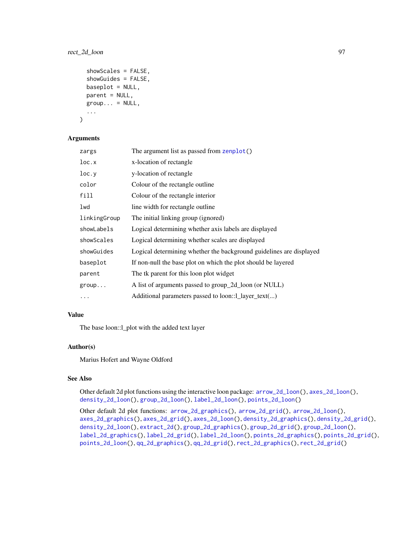# rect\_2d\_loon 97

```
showScales = FALSE,
showGuides = FALSE,
baseplot = NULL,parent = NULL,
group... = NULL,...
```
#### Arguments

)

| zargs        | The argument list as passed from zenplot()                          |
|--------------|---------------------------------------------------------------------|
| loc.x        | x-location of rectangle                                             |
| loc.y        | y-location of rectangle                                             |
| color        | Colour of the rectangle outline                                     |
| fill         | Colour of the rectangle interior                                    |
| lwd          | line width for rectangle outline                                    |
| linkingGroup | The initial linking group (ignored)                                 |
| showLabels   | Logical determining whether axis labels are displayed               |
| showScales   | Logical determining whether scales are displayed                    |
| showGuides   | Logical determining whether the background guidelines are displayed |
| baseplot     | If non-null the base plot on which the plot should be layered       |
| parent       | The tk parent for this loon plot widget                             |
| group        | A list of arguments passed to group_2d_loon (or NULL)               |
| $\cdots$     | Additional parameters passed to loon::1_layer_text()                |

## Value

The base loon::l\_plot with the added text layer

#### Author(s)

Marius Hofert and Wayne Oldford

#### See Also

Other default 2d plot functions using the interactive loon package: [arrow\\_2d\\_loon\(](#page-9-0)), [axes\\_2d\\_loon\(](#page-13-0)), [density\\_2d\\_loon\(](#page-30-0)), [group\\_2d\\_loon\(](#page-46-0)), [label\\_2d\\_loon\(](#page-64-0)), [points\\_2d\\_loon\(](#page-86-0))

Other default 2d plot functions: [arrow\\_2d\\_graphics\(](#page-7-0)), [arrow\\_2d\\_grid\(](#page-8-0)), [arrow\\_2d\\_loon\(](#page-9-0)), [axes\\_2d\\_graphics\(](#page-11-0)), [axes\\_2d\\_grid\(](#page-12-0)), [axes\\_2d\\_loon\(](#page-13-0)), [density\\_2d\\_graphics\(](#page-28-0)), [density\\_2d\\_grid\(](#page-29-0)), [density\\_2d\\_loon\(](#page-30-0)), [extract\\_2d\(](#page-36-0)), [group\\_2d\\_graphics\(](#page-44-0)), [group\\_2d\\_grid\(](#page-45-0)), [group\\_2d\\_loon\(](#page-46-0)), [label\\_2d\\_graphics\(](#page-62-0)), [label\\_2d\\_grid\(](#page-63-0)), [label\\_2d\\_loon\(](#page-64-0)), [points\\_2d\\_graphics\(](#page-83-0)), [points\\_2d\\_grid\(](#page-84-0)), [points\\_2d\\_loon\(](#page-86-0)), [qq\\_2d\\_graphics\(](#page-87-0)), [qq\\_2d\\_grid\(](#page-88-0)), [rect\\_2d\\_graphics\(](#page-93-0)), [rect\\_2d\\_grid\(](#page-94-0))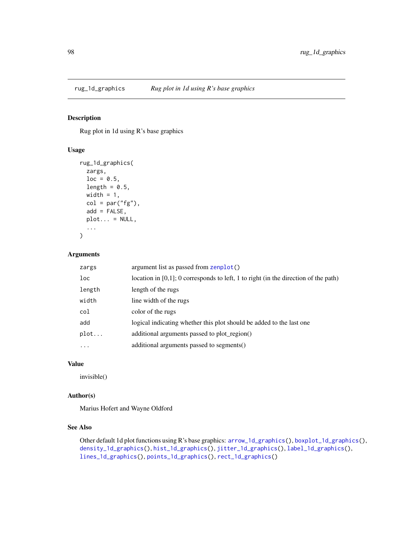<span id="page-97-0"></span>

Rug plot in 1d using R's base graphics

## Usage

```
rug_1d_graphics(
 zargs,
 loc = 0.5,
 length = 0.5,
 width = 1,
 col = par("fg"),add = FALSE,plot... = NULL,...
)
```
## Arguments

| zargs    | argument list as passed from zenplot()                                                 |
|----------|----------------------------------------------------------------------------------------|
| loc      | location in $[0,1]$ ; 0 corresponds to left, 1 to right (in the direction of the path) |
| length   | length of the rugs                                                                     |
| width    | line width of the rugs                                                                 |
| col      | color of the rugs                                                                      |
| add      | logical indicating whether this plot should be added to the last one                   |
| plot     | additional arguments passed to plot region()                                           |
| $\cdots$ | additional arguments passed to segments()                                              |
|          |                                                                                        |

# Value

invisible()

# Author(s)

Marius Hofert and Wayne Oldford

## See Also

Other default 1d plot functions using R's base graphics: [arrow\\_1d\\_graphics\(](#page-3-0)), [boxplot\\_1d\\_graphics\(](#page-15-0)), [density\\_1d\\_graphics\(](#page-24-0)), [hist\\_1d\\_graphics\(](#page-49-0)), [jitter\\_1d\\_graphics\(](#page-54-0)), [label\\_1d\\_graphics\(](#page-58-0)), [lines\\_1d\\_graphics\(](#page-69-0)), [points\\_1d\\_graphics\(](#page-80-0)), [rect\\_1d\\_graphics\(](#page-90-0))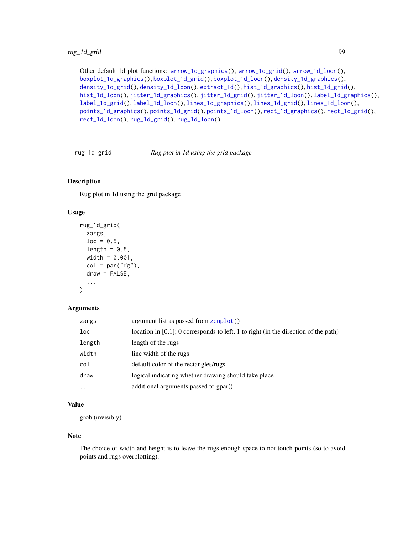# rug\_1d\_grid 99

Other default 1d plot functions: [arrow\\_1d\\_graphics\(](#page-3-0)), [arrow\\_1d\\_grid\(](#page-4-0)), [arrow\\_1d\\_loon\(](#page-6-0)), [boxplot\\_1d\\_graphics\(](#page-15-0)), [boxplot\\_1d\\_grid\(](#page-16-0)), [boxplot\\_1d\\_loon\(](#page-17-0)), [density\\_1d\\_graphics\(](#page-24-0)), [density\\_1d\\_grid\(](#page-25-0)), [density\\_1d\\_loon\(](#page-26-0)), [extract\\_1d\(](#page-34-0)), [hist\\_1d\\_graphics\(](#page-49-0)), [hist\\_1d\\_grid\(](#page-50-0)), [hist\\_1d\\_loon\(](#page-51-0)), [jitter\\_1d\\_graphics\(](#page-54-0)), [jitter\\_1d\\_grid\(](#page-55-0)), [jitter\\_1d\\_loon\(](#page-56-0)), [label\\_1d\\_graphics\(](#page-58-0)), [label\\_1d\\_grid\(](#page-59-0)), [label\\_1d\\_loon\(](#page-60-0)), [lines\\_1d\\_graphics\(](#page-69-0)), [lines\\_1d\\_grid\(](#page-70-0)), [lines\\_1d\\_loon\(](#page-71-0)), [points\\_1d\\_graphics\(](#page-80-0)), [points\\_1d\\_grid\(](#page-81-0)), [points\\_1d\\_loon\(](#page-82-0)), [rect\\_1d\\_graphics\(](#page-90-0)), [rect\\_1d\\_grid\(](#page-91-0)), [rect\\_1d\\_loon\(](#page-92-0)), [rug\\_1d\\_grid\(](#page-98-0)), [rug\\_1d\\_loon\(](#page-99-0))

<span id="page-98-0"></span>rug\_1d\_grid *Rug plot in 1d using the grid package*

# Description

Rug plot in 1d using the grid package

# Usage

```
rug_1d_grid(
 zargs,
 loc = 0.5,
 length = 0.5,
 width = 0.001,col = par("fg"),
  draw = FALSE,
  ...
)
```
## Arguments

| zargs    | argument list as passed from zenplot()                                                 |
|----------|----------------------------------------------------------------------------------------|
| loc      | location in $[0,1]$ ; 0 corresponds to left, 1 to right (in the direction of the path) |
| length   | length of the rugs                                                                     |
| width    | line width of the rugs                                                                 |
| col      | default color of the rectangles/rugs                                                   |
| draw     | logical indicating whether drawing should take place                                   |
| $\cdots$ | additional arguments passed to gpar()                                                  |

# Value

grob (invisibly)

#### Note

The choice of width and height is to leave the rugs enough space to not touch points (so to avoid points and rugs overplotting).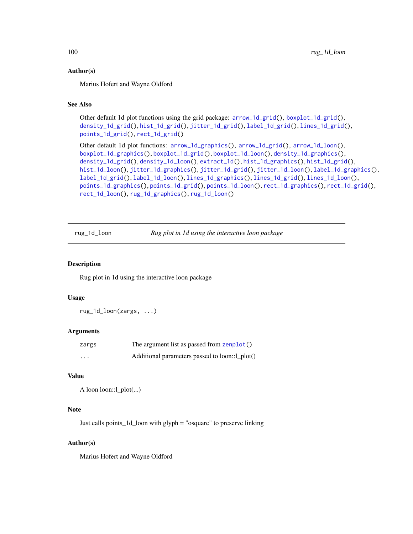## Author(s)

Marius Hofert and Wayne Oldford

# See Also

```
Other default 1d plot functions using the grid package: arrow_1d_grid(), boxplot_1d_grid(),
density_1d_grid(), hist_1d_grid(), jitter_1d_grid(), label_1d_grid(), lines_1d_grid(),
points_1d_grid(), rect_1d_grid()
```

```
Other default 1d plot functions: arrow_1d_graphics(), arrow_1d_grid(), arrow_1d_loon(),
boxplot_1d_graphics(), boxplot_1d_grid(), boxplot_1d_loon(), density_1d_graphics(),
density_1d_grid(), density_1d_loon(), extract_1d(), hist_1d_graphics(), hist_1d_grid(),
hist_1d_loon(), jitter_1d_graphics(), jitter_1d_grid(), jitter_1d_loon(), label_1d_graphics(),
label_1d_grid(), label_1d_loon(), lines_1d_graphics(), lines_1d_grid(), lines_1d_loon(),
points_1d_graphics(), points_1d_grid(), points_1d_loon(), rect_1d_graphics(), rect_1d_grid(),
rect_1d_loon(), rug_1d_graphics(), rug_1d_loon()
```
<span id="page-99-0"></span>rug\_1d\_loon *Rug plot in 1d using the interactive loon package*

## Description

Rug plot in 1d using the interactive loon package

## Usage

rug\_1d\_loon(zargs, ...)

#### Arguments

| zargs    | The argument list as passed from zenplot()     |
|----------|------------------------------------------------|
| $\cdots$ | Additional parameters passed to loon::1_plot() |

# Value

```
A loon loon::l_plot(...)
```
#### **Note**

Just calls points\_1d\_loon with glyph = "osquare" to preserve linking

#### Author(s)

Marius Hofert and Wayne Oldford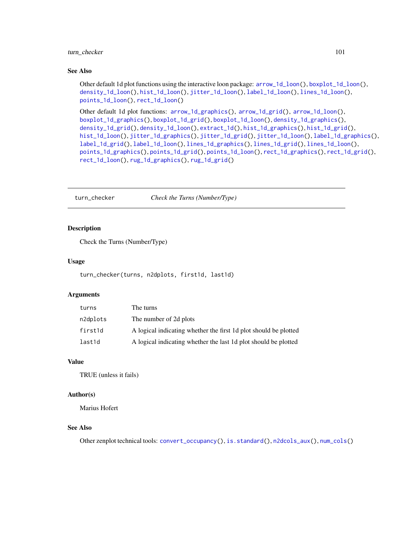## turn\_checker 101

## See Also

Other default 1d plot functions using the interactive loon package: [arrow\\_1d\\_loon\(](#page-6-0)), [boxplot\\_1d\\_loon\(](#page-17-0)), [density\\_1d\\_loon\(](#page-26-0)), [hist\\_1d\\_loon\(](#page-51-0)), [jitter\\_1d\\_loon\(](#page-56-0)), [label\\_1d\\_loon\(](#page-60-0)), [lines\\_1d\\_loon\(](#page-71-0)), [points\\_1d\\_loon\(](#page-82-0)), [rect\\_1d\\_loon\(](#page-92-0))

Other default 1d plot functions: [arrow\\_1d\\_graphics\(](#page-3-0)), [arrow\\_1d\\_grid\(](#page-4-0)), [arrow\\_1d\\_loon\(](#page-6-0)), [boxplot\\_1d\\_graphics\(](#page-15-0)), [boxplot\\_1d\\_grid\(](#page-16-0)), [boxplot\\_1d\\_loon\(](#page-17-0)), [density\\_1d\\_graphics\(](#page-24-0)), [density\\_1d\\_grid\(](#page-25-0)), [density\\_1d\\_loon\(](#page-26-0)), [extract\\_1d\(](#page-34-0)), [hist\\_1d\\_graphics\(](#page-49-0)), [hist\\_1d\\_grid\(](#page-50-0)), [hist\\_1d\\_loon\(](#page-51-0)), [jitter\\_1d\\_graphics\(](#page-54-0)), [jitter\\_1d\\_grid\(](#page-55-0)), [jitter\\_1d\\_loon\(](#page-56-0)), [label\\_1d\\_graphics\(](#page-58-0)), [label\\_1d\\_grid\(](#page-59-0)), [label\\_1d\\_loon\(](#page-60-0)), [lines\\_1d\\_graphics\(](#page-69-0)), [lines\\_1d\\_grid\(](#page-70-0)), [lines\\_1d\\_loon\(](#page-71-0)), [points\\_1d\\_graphics\(](#page-80-0)), [points\\_1d\\_grid\(](#page-81-0)), [points\\_1d\\_loon\(](#page-82-0)), [rect\\_1d\\_graphics\(](#page-90-0)), [rect\\_1d\\_grid\(](#page-91-0)), [rect\\_1d\\_loon\(](#page-92-0)), [rug\\_1d\\_graphics\(](#page-97-0)), [rug\\_1d\\_grid\(](#page-98-0))

<span id="page-100-0"></span>turn\_checker *Check the Turns (Number/Type)*

#### Description

Check the Turns (Number/Type)

#### Usage

turn\_checker(turns, n2dplots, first1d, last1d)

#### Arguments

| turns    | The turns                                                        |
|----------|------------------------------------------------------------------|
| n2dplots | The number of 2d plots                                           |
| first1d  | A logical indicating whether the first 1d plot should be plotted |
| last1d   | A logical indicating whether the last 1d plot should be plotted  |

## Value

TRUE (unless it fails)

#### Author(s)

Marius Hofert

## See Also

Other zenplot technical tools: [convert\\_occupancy\(](#page-23-0)), [is.standard\(](#page-53-0)), [n2dcols\\_aux\(](#page-74-0)), [num\\_cols\(](#page-76-0))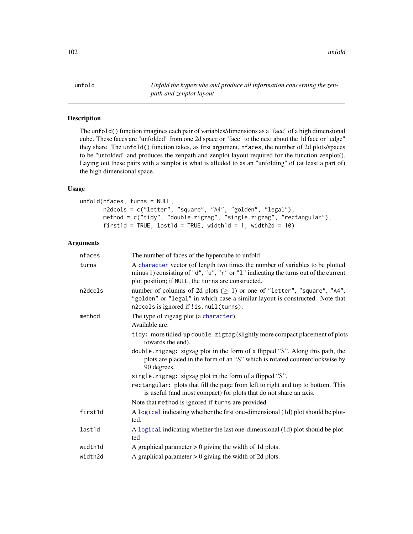unfold *Unfold the hypercube and produce all information concerning the zenpath and zenplot layout*

# Description

The unfold() function imagines each pair of variables/dimensions as a "face" of a high dimensional cube. These faces are "unfolded" from one 2d space or "face" to the next about the 1d face or "edge" they share. The unfold() function takes, as first argument, nfaces, the number of 2d plots/spaces to be "unfolded" and produces the zenpath and zenplot layout required for the function zenplot(). Laying out these pairs with a zenplot is what is alluded to as an "unfolding" of (at least a part of) the high dimensional space.

# Usage

```
unfold(nfaces, turns = NULL,
       n2dcols = c("letter", "square", "A4", "golden", "legal"),
       method = c("tidy", "double.zigzag", "single.zigzag", "rectangular"),
       first1d = TRUE, last1d = TRUE, width1d = 1, width2d = 10)
```
# Arguments

| nfaces  | The number of faces of the hypercube to unfold                                                                                                                                                          |
|---------|---------------------------------------------------------------------------------------------------------------------------------------------------------------------------------------------------------|
| turns   | A character vector (of length two times the number of variables to be plotted<br>minus 1) consisting of "d", "u", "r" or "1" indicating the turns out of the current                                    |
|         | plot position; if NULL, the turns are constructed.                                                                                                                                                      |
| n2dcols | number of columns of 2d plots ( $\geq$ 1) or one of "letter", "square", "A4",<br>"golden" or "legal" in which case a similar layout is constructed. Note that<br>n2dcols is ignored if !is.null(turns). |
| method  | The type of zigzag plot (a character).                                                                                                                                                                  |
|         | Available are:                                                                                                                                                                                          |
|         | tidy: more tidied-up double. zigzag (slightly more compact placement of plots<br>towards the end).                                                                                                      |
|         | double.zigzag: zigzag plot in the form of a flipped "S". Along this path, the<br>plots are placed in the form of an "S" which is rotated counterclockwise by<br>90 degrees.                             |
|         | single.zigzag: zigzag plot in the form of a flipped "S".                                                                                                                                                |
|         | rectangular: plots that fill the page from left to right and top to bottom. This<br>is useful (and most compact) for plots that do not share an axis.                                                   |
|         | Note that method is ignored if turns are provided.                                                                                                                                                      |
| first1d | A logical indicating whether the first one-dimensional (1d) plot should be plot-<br>ted.                                                                                                                |
| last1d  | A logical indicating whether the last one-dimensional (1d) plot should be plot-<br>ted                                                                                                                  |
| width1d | A graphical parameter $> 0$ giving the width of 1d plots.                                                                                                                                               |
| width2d | A graphical parameter $> 0$ giving the width of 2d plots.                                                                                                                                               |
|         |                                                                                                                                                                                                         |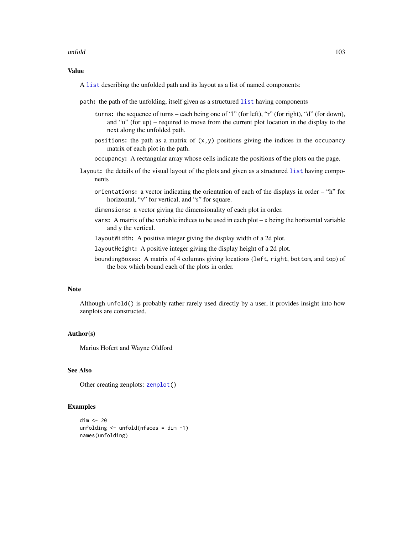#### unfold the contract of the contract of the contract of the contract of the contract of the contract of the contract of the contract of the contract of the contract of the contract of the contract of the contract of the con

# Value

A [list](#page-0-0) describing the unfolded path and its layout as a list of named components:

path: the path of the unfolding, itself given as a structured [list](#page-0-0) having components

- turns: the sequence of turns each being one of "l" (for left), "r" (for right), "d" (for down), and "u" (for up) – required to move from the current plot location in the display to the next along the unfolded path.
- positions: the path as a matrix of  $(x, y)$  positions giving the indices in the occupancy matrix of each plot in the path.
- occupancy: A rectangular array whose cells indicate the positions of the plots on the page.
- layout: the details of the visual layout of the plots and given as a structured [list](#page-0-0) having components
	- orientations: a vector indicating the orientation of each of the displays in order "h" for horizontal, "v" for vertical, and "s" for square.
	- dimensions: a vector giving the dimensionality of each plot in order.
	- vars: A matrix of the variable indices to be used in each plot x being the horizontal variable and y the vertical.

layoutWidth: A positive integer giving the display width of a 2d plot.

layoutHeight: A positive integer giving the display height of a 2d plot.

boundingBoxes: A matrix of 4 columns giving locations (left, right, bottom, and top) of the box which bound each of the plots in order.

## Note

Although unfold() is probably rather rarely used directly by a user, it provides insight into how zenplots are constructed.

# Author(s)

Marius Hofert and Wayne Oldford

# See Also

Other creating zenplots: [zenplot\(](#page-107-0))

#### Examples

```
dim <- 20
unfolding \leq unfold(nfaces = dim -1)
names(unfolding)
```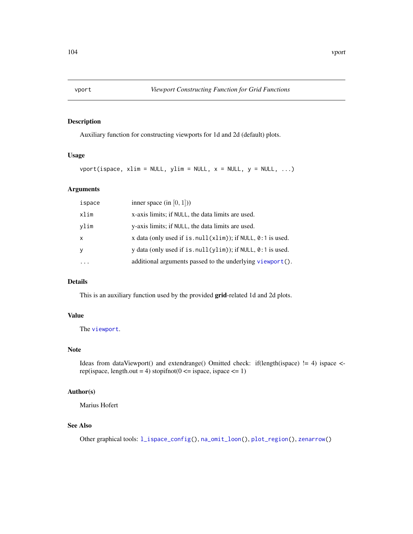<span id="page-103-0"></span>

Auxiliary function for constructing viewports for 1d and 2d (default) plots.

# Usage

 $vport(ispace, xlim = NULL, ylim = NULL, x = NULL, y = NULL, ...)$ 

# Arguments

| inner space (in $[0, 1]$ ))<br>ispace                     |                                                                  |
|-----------------------------------------------------------|------------------------------------------------------------------|
| x-axis limits; if NULL, the data limits are used.<br>xlim |                                                                  |
| y-axis limits; if NULL, the data limits are used.<br>ylim |                                                                  |
| $\boldsymbol{\mathsf{x}}$                                 | x data (only used if is. $null(xlim)$ ); if NULL, $0:1$ is used. |
| <b>V</b>                                                  | y data (only used if is $null(ylim)$ ); if NULL, $0:1$ is used.  |
|                                                           | additional arguments passed to the underlying viewport().        |

# Details

This is an auxiliary function used by the provided grid-related 1d and 2d plots.

# Value

The [viewport](#page-0-0).

# Note

Ideas from dataViewport() and extendrange() Omitted check: if(length(ispace) != 4) ispace < rep(ispace, length.out = 4) stopifnot( $0 \le$  ispace, ispace  $\le$  = 1)

#### Author(s)

Marius Hofert

#### See Also

Other graphical tools: [l\\_ispace\\_config\(](#page-73-0)), [na\\_omit\\_loon\(](#page-75-0)), [plot\\_region\(](#page-79-0)), [zenarrow\(](#page-105-0))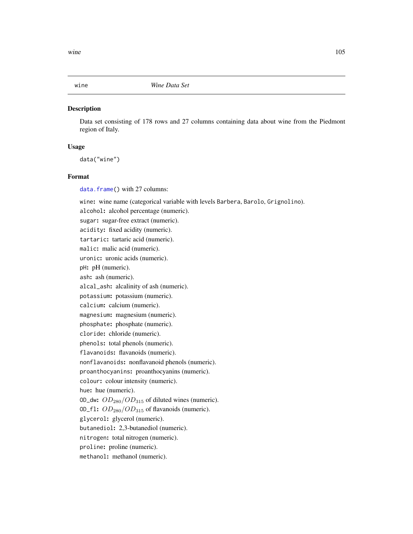Data set consisting of 178 rows and 27 columns containing data about wine from the Piedmont region of Italy.

## Usage

data("wine")

# Format

[data.frame\(](#page-0-0)) with 27 columns:

wine: wine name (categorical variable with levels Barbera, Barolo, Grignolino).

alcohol: alcohol percentage (numeric). sugar: sugar-free extract (numeric). acidity: fixed acidity (numeric). tartaric: tartaric acid (numeric). malic: malic acid (numeric). uronic: uronic acids (numeric). pH: pH (numeric). ash: ash (numeric). alcal\_ash: alcalinity of ash (numeric). potassium: potassium (numeric). calcium: calcium (numeric). magnesium: magnesium (numeric). phosphate: phosphate (numeric). cloride: chloride (numeric). phenols: total phenols (numeric). flavanoids: flavanoids (numeric). nonflavanoids: nonflavanoid phenols (numeric). proanthocyanins: proanthocyanins (numeric). colour: colour intensity (numeric). hue: hue (numeric). OD\_dw:  $OD_{280}/OD_{315}$  of diluted wines (numeric). OD\_f1:  $OD_{280}/OD_{315}$  of flavanoids (numeric). glycerol: glycerol (numeric). butanediol: 2,3-butanediol (numeric). nitrogen: total nitrogen (numeric). proline: proline (numeric). methanol: methanol (numeric).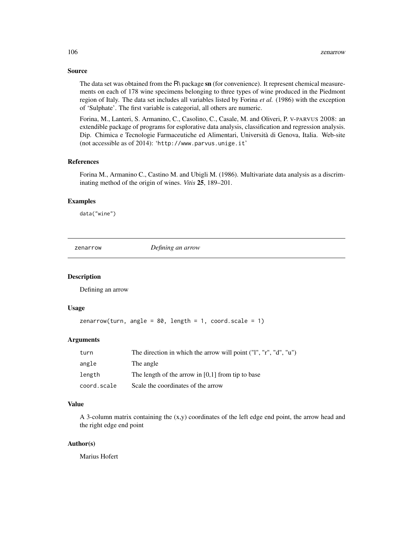## Source

The data set was obtained from the R\ package sn (for convenience). It represent chemical measurements on each of 178 wine specimens belonging to three types of wine produced in the Piedmont region of Italy. The data set includes all variables listed by Forina *et al.* (1986) with the exception of 'Sulphate'. The first variable is categorial, all others are numeric.

Forina, M., Lanteri, S. Armanino, C., Casolino, C., Casale, M. and Oliveri, P. V-PARVUS 2008: an extendible package of programs for esplorative data analysis, classification and regression analysis. Dip. Chimica e Tecnologie Farmaceutiche ed Alimentari, Università di Genova, Italia. Web-site (not accessible as of 2014): 'http://www.parvus.unige.it'

### References

Forina M., Armanino C., Castino M. and Ubigli M. (1986). Multivariate data analysis as a discriminating method of the origin of wines. *Vitis* 25, 189–201.

#### Examples

data("wine")

<span id="page-105-0"></span>zenarrow *Defining an arrow*

#### Description

Defining an arrow

## Usage

```
zenarrow(turn, angle = 80, length = 1, coord.scale = 1)
```
## Arguments

| turn        | The direction in which the arrow will point ("1", "r", "d", "u") |
|-------------|------------------------------------------------------------------|
| angle       | The angle                                                        |
| length      | The length of the arrow in $[0,1]$ from tip to base              |
| coord.scale | Scale the coordinates of the arrow                               |

## Value

A 3-column matrix containing the (x,y) coordinates of the left edge end point, the arrow head and the right edge end point

#### Author(s)

Marius Hofert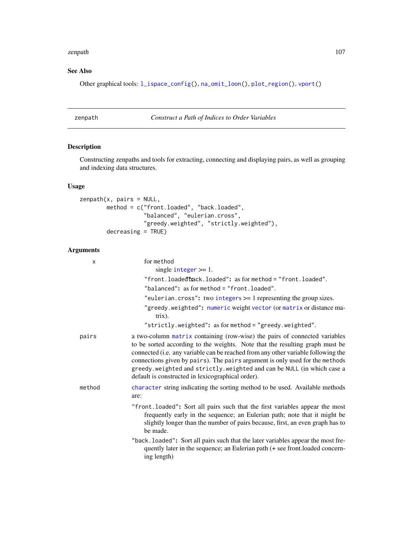#### zenpath and the set of the set of the set of the set of the set of the set of the set of the set of the set of the set of the set of the set of the set of the set of the set of the set of the set of the set of the set of t

# See Also

Other graphical tools: [l\\_ispace\\_config\(](#page-73-0)), [na\\_omit\\_loon\(](#page-75-0)), [plot\\_region\(](#page-79-0)), [vport\(](#page-103-0))

zenpath *Construct a Path of Indices to Order Variables*

# Description

Constructing zenpaths and tools for extracting, connecting and displaying pairs, as well as grouping and indexing data structures.

# Usage

```
zenpath(x, pairs = NULL,
        method = c("front.loaded", "back.loaded",
                   "balanced", "eulerian.cross",
                   "greedy.weighted", "strictly.weighted"),
        decreasing = TRUE)
```
## Arguments

| X      | for method<br>single integer $>= 1$ .                                                                                                                                                                                                                                                                                                                                                                                                                            |
|--------|------------------------------------------------------------------------------------------------------------------------------------------------------------------------------------------------------------------------------------------------------------------------------------------------------------------------------------------------------------------------------------------------------------------------------------------------------------------|
|        | "front.loaded" $\texttt{back}$ .loaded": as formethod = "front.loaded".                                                                                                                                                                                                                                                                                                                                                                                          |
|        | "balanced": as for method = "front. loaded".                                                                                                                                                                                                                                                                                                                                                                                                                     |
|        | "eulerian.cross": two integers $\geq$ 1 representing the group sizes.                                                                                                                                                                                                                                                                                                                                                                                            |
|        | "greedy.weighted": numeric weight vector (or matrix or distance ma-<br>$trix)$ .                                                                                                                                                                                                                                                                                                                                                                                 |
|        | "strictly.weighted": as for method = "greedy.weighted".                                                                                                                                                                                                                                                                                                                                                                                                          |
| pairs  | a two-column matrix containing (row-wise) the pairs of connected variables<br>to be sorted according to the weights. Note that the resulting graph must be<br>connected (i.e. any variable can be reached from any other variable following the<br>connections given by pairs). The pairs argument is only used for the methods<br>greedy. weighted and strictly. weighted and can be NULL (in which case a<br>default is constructed in lexicographical order). |
| method | character string indicating the sorting method to be used. Available methods<br>are:                                                                                                                                                                                                                                                                                                                                                                             |
|        | "front.loaded": Sort all pairs such that the first variables appear the most<br>frequently early in the sequence; an Eulerian path; note that it might be<br>slightly longer than the number of pairs because, first, an even graph has to<br>be made.                                                                                                                                                                                                           |
|        | "back. loaded": Sort all pairs such that the later variables appear the most fre-<br>quently later in the sequence; an Eulerian path (+ see front.loaded concern-<br>ing length)                                                                                                                                                                                                                                                                                 |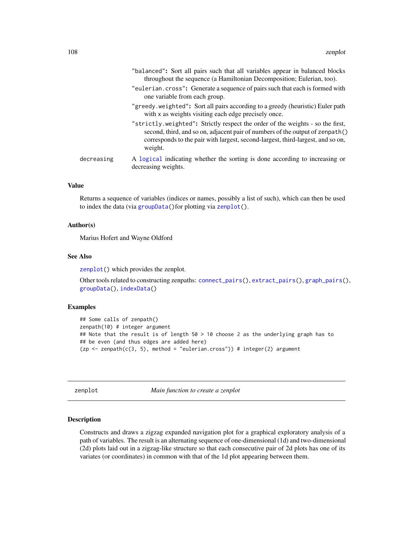|            | "balanced": Sort all pairs such that all variables appear in balanced blocks<br>throughout the sequence (a Hamiltonian Decomposition; Eulerian, too).                                                                                                         |
|------------|---------------------------------------------------------------------------------------------------------------------------------------------------------------------------------------------------------------------------------------------------------------|
|            | "eulerian.cross": Generate a sequence of pairs such that each is formed with<br>one variable from each group.                                                                                                                                                 |
|            | "greedy weighted": Sort all pairs according to a greedy (heuristic) Euler path<br>with x as weights visiting each edge precisely once.                                                                                                                        |
|            | "strictly.weighted": Strictly respect the order of the weights - so the first,<br>second, third, and so on, adjacent pair of numbers of the output of zenpath()<br>corresponds to the pair with largest, second-largest, third-largest, and so on,<br>weight. |
| decreasing | A logical indicating whether the sorting is done according to increasing or<br>decreasing weights.                                                                                                                                                            |

# Value

Returns a sequence of variables (indices or names, possibly a list of such), which can then be used to index the data (via [groupData\(](#page-43-0))for plotting via [zenplot\(](#page-107-0)).

## Author(s)

Marius Hofert and Wayne Oldford

## See Also

[zenplot\(](#page-107-0)) which provides the zenplot.

Other tools related to constructing zenpaths: [connect\\_pairs\(](#page-22-0)), [extract\\_pairs\(](#page-38-0)), [graph\\_pairs\(](#page-41-0)), [groupData\(](#page-43-0)), [indexData\(](#page-52-0))

## Examples

```
## Some calls of zenpath()
zenpath(10) # integer argument
## Note that the result is of length 50 > 10 choose 2 as the underlying graph has to
## be even (and thus edges are added here)
(zp \le zenpath(c(3, 5), method = "eulerian.cross")) # integer(2) argument
```
<span id="page-107-0"></span>zenplot *Main function to create a zenplot*

## Description

Constructs and draws a zigzag expanded navigation plot for a graphical exploratory analysis of a path of variables. The result is an alternating sequence of one-dimensional (1d) and two-dimensional (2d) plots laid out in a zigzag-like structure so that each consecutive pair of 2d plots has one of its variates (or coordinates) in common with that of the 1d plot appearing between them.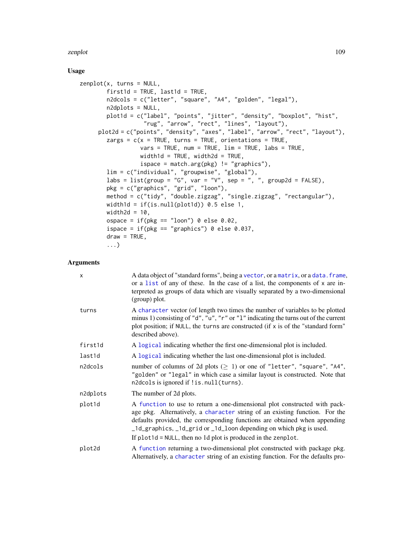# <span id="page-108-0"></span>Usage

```
zenplot(x, turns = NULL,first1d = TRUE, last1d = TRUE,n2dcols = c("letter", "square", "A4", "golden", "legal"),
       n2dplots = NULL,
       plot1d = c("label", "points", "jitter", "density", "boxplot", "hist",
                   "rug", "arrow", "rect", "lines", "layout"),
     plot2d = c("points", "density", "axes", "label", "arrow", "rect", "layout"),
        zargs = c(x = TRUE, turns = TRUE, orientation = TRUE,vars = TRUE, num = TRUE, lim = TRUE, labs = TRUE,width1d = TRUE, width2d = TRUE,
                  ispace = match.argv(pkg) != "graphics"),lim = c("individual", "groupwise", "global"),
       labs = list(group = "G", var = "V", sep = ", ", group2d = FALSE),
        pkg = c("graphics", "grid", "loon"),
        method = c("tidy", "double.zigzag", "single.zigzag", "rectangular"),
       width1d = if(is.null(plot1d)) 0.5 else 1,
       width2d = 10,
       ospace = if(\n{pkg == "loon") \n0 else 0.02},
       ispace = if(pkg == "graphics") 0 else 0.037,
       draw = TRUE,...)
```
# Arguments

| $\times$ | A data object of "standard forms", being a vector, or a matrix, or a data. frame,<br>or a list of any of these. In the case of a list, the components of x are in-<br>terpreted as groups of data which are visually separated by a two-dimensional<br>(group) plot.                                                                                                             |
|----------|----------------------------------------------------------------------------------------------------------------------------------------------------------------------------------------------------------------------------------------------------------------------------------------------------------------------------------------------------------------------------------|
| turns    | A character vector (of length two times the number of variables to be plotted<br>minus 1) consisting of "d", "u", "r" or "1" indicating the turns out of the current<br>plot position; if NULL, the turns are constructed (if x is of the "standard form"<br>described above).                                                                                                   |
| first1d  | A logical indicating whether the first one-dimensional plot is included.                                                                                                                                                                                                                                                                                                         |
| last1d   | A logical indicating whether the last one-dimensional plot is included.                                                                                                                                                                                                                                                                                                          |
| n2dcols  | number of columns of 2d plots $( \geq 1)$ or one of "letter", "square", "A4",<br>"golden" or "legal" in which case a similar layout is constructed. Note that<br>n2dcols is ignored if !is.null(turns).                                                                                                                                                                          |
| n2dplots | The number of 2d plots.                                                                                                                                                                                                                                                                                                                                                          |
| plot1d   | A function to use to return a one-dimensional plot constructed with pack-<br>age pkg. Alternatively, a character string of an existing function. For the<br>defaults provided, the corresponding functions are obtained when appending<br>_1d_graphics, _1d_grid or _1d_loon depending on which pkg is used.<br>If $plot1d = NULL$ , then no 1d plot is produced in the zenplot. |
| plot2d   | A function returning a two-dimensional plot constructed with package pkg.<br>Alternatively, a character string of an existing function. For the defaults pro-                                                                                                                                                                                                                    |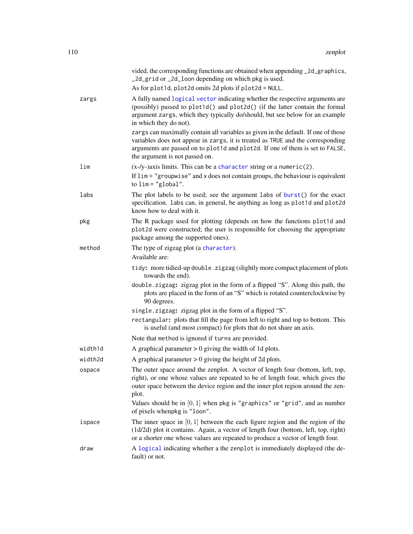<span id="page-109-0"></span>

|         | vided, the corresponding functions are obtained when appending _2d_graphics,<br>_2d_grid or _2d_loon depending on which pkg is used.<br>As for plot1d, plot2d omits 2d plots if plot2d = NULL.                                                                                           |
|---------|------------------------------------------------------------------------------------------------------------------------------------------------------------------------------------------------------------------------------------------------------------------------------------------|
| zargs   | A fully named logical vector indicating whether the respective arguments are<br>(possibly) passed to plot1d() and plot2d() (if the latter contain the formal<br>argument zargs, which they typically do/should, but see below for an example<br>in which they do not).                   |
|         | zargs can maximally contain all variables as given in the default. If one of those<br>variables does not appear in zargs, it is treated as TRUE and the corresponding<br>arguments are passed on to plot1d and plot2d. If one of them is set to FALSE,<br>the argument is not passed on. |
| lim     | $(x-y)$ -axis limits. This can be a character string or a numeric(2).<br>If $\lim$ = "groupwise" and x does not contain groups, the behaviour is equivalent<br>to $\lim$ = "global".                                                                                                     |
| labs    | The plot labels to be used; see the argument labs of burst() for the exact<br>specification. labs can, in general, be anything as long as plot1d and plot2d<br>know how to deal with it.                                                                                                 |
| pkg     | The R package used for plotting (depends on how the functions plot1d and<br>plot2d were constructed; the user is responsible for choosing the appropriate<br>package among the supported ones).                                                                                          |
| method  | The type of zigzag plot (a character).<br>Available are:                                                                                                                                                                                                                                 |
|         | tidy: more tidied-up double.zigzag (slightly more compact placement of plots<br>towards the end).                                                                                                                                                                                        |
|         | double.zigzag: zigzag plot in the form of a flipped "S". Along this path, the<br>plots are placed in the form of an "S" which is rotated counterclockwise by<br>90 degrees.                                                                                                              |
|         | single.zigzag: zigzag plot in the form of a flipped "S".                                                                                                                                                                                                                                 |
|         | rectangular: plots that fill the page from left to right and top to bottom. This<br>is useful (and most compact) for plots that do not share an axis.                                                                                                                                    |
|         | Note that method is ignored if turns are provided.                                                                                                                                                                                                                                       |
| width1d | A graphical parameter $> 0$ giving the width of 1d plots.                                                                                                                                                                                                                                |
| width2d | A graphical parameter $> 0$ giving the height of 2d plots.                                                                                                                                                                                                                               |
| ospace  | The outer space around the zenplot. A vector of length four (bottom, left, top,<br>right), or one whose values are repeated to be of length four, which gives the<br>outer space between the device region and the inner plot region around the zen-<br>plot.                            |
|         | Values should be in $[0, 1]$ when pkg is "graphics" or "grid", and as number<br>of pixels whenpkg is "loon".                                                                                                                                                                             |
| ispace  | The inner space in $[0, 1]$ between the each figure region and the region of the<br>(1d/2d) plot it contains. Again, a vector of length four (bottom, left, top, right)<br>or a shorter one whose values are repeated to produce a vector of length four.                                |
| draw    | A logical indicating whether a the zenplot is immediately displayed (the de-<br>fault) or not.                                                                                                                                                                                           |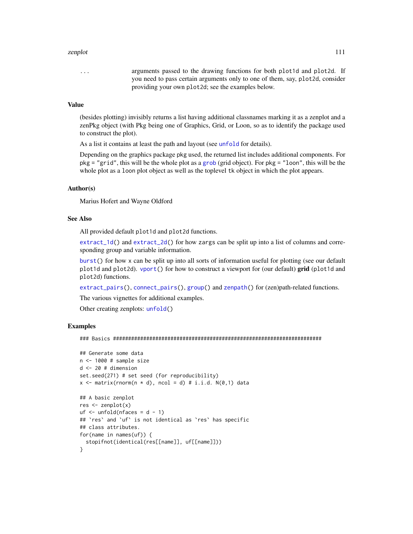<span id="page-110-0"></span>... arguments passed to the drawing functions for both plot1d and plot2d. If you need to pass certain arguments only to one of them, say, plot2d, consider providing your own plot2d; see the examples below.

## Value

(besides plotting) invisibly returns a list having additional classnames marking it as a zenplot and a zenPkg object (with Pkg being one of Graphics, Grid, or Loon, so as to identify the package used to construct the plot).

As a list it contains at least the path and layout (see [unfold](#page-101-0) for details).

Depending on the graphics package pkg used, the returned list includes additional components. For pkg = "grid", this will be the whole plot as a [grob](#page-0-0) (grid object). For pkg = "loon", this will be the whole plot as a loon plot object as well as the toplevel tk object in which the plot appears.

## Author(s)

Marius Hofert and Wayne Oldford

## See Also

All provided default plot1d and plot2d functions.

[extract\\_1d\(](#page-34-0)) and [extract\\_2d\(](#page-36-0)) for how zargs can be split up into a list of columns and corresponding group and variable information.

[burst\(](#page-19-0)) for how x can be split up into all sorts of information useful for plotting (see our default plot1d and plot2d). [vport\(](#page-103-0)) for how to construct a viewport for (our default) grid (plot1d and plot2d) functions.

[extract\\_pairs\(](#page-38-0)), [connect\\_pairs\(](#page-22-0)), [group\(](#page-0-0)) and [zenpath\(](#page-106-0)) for (zen)path-related functions.

The various vignettes for additional examples.

Other creating zenplots: [unfold\(](#page-101-0))

# Examples

### Basics #####################################################################

```
## Generate some data
n <- 1000 # sample size
d <- 20 # dimension
set.seed(271) # set seed (for reproducibility)
x \le matrix(rnorm(n * d), ncol = d) # i.i.d. N(0,1) data
## A basic zenplot
```

```
res <- zenplot(x)
uf \leq unfold(nfaces = d - 1)
## `res` and `uf` is not identical as `res` has specific
## class attributes.
for(name in names(uf)) {
  stopifnot(identical(res[[name]], uf[[name]]))
}
```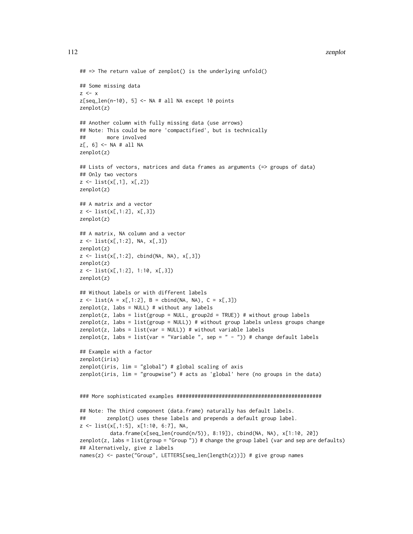```
## => The return value of zenplot() is the underlying unfold()
## Some missing data
z < - xz[seq\_len(n-10), 5] \leq NA \# all NA except 10 pointszenplot(z)
## Another column with fully missing data (use arrows)
## Note: This could be more 'compactified', but is technically
## more involved
z[, 6] <- NA # all NA
zenplot(z)
## Lists of vectors, matrices and data frames as arguments (=> groups of data)
## Only two vectors
z <- list(x[,1], x[,2])
zenplot(z)
## A matrix and a vector
z \leftarrow list(x[,1:2], x[,3])
zenplot(z)
## A matrix, NA column and a vector
z <- list(x[,1:2], NA, x[,3])
zenplot(z)
z \leftarrow list(x[,1:2], cbind(NA, NA), x[,3])
zenplot(z)
z <- list(x[,1:2], 1:10, x[,3])
zenplot(z)
## Without labels or with different labels
z \le - list(A = x[,1:2], B = cbind(NA, NA), C = x[,3])
zenplot(z, labs = NULL) # without any labels
zenplot(z, labs = list(group = NULL, group2d = TRUE)) # without group labels
zenplot(z, labs = list(group = NULL)) # without group labels unless groups change
zenplot(z, labs = list(var = NULL)) # without variable labels
zenplot(z, labs = list(var = "Variable ", sep = " - ")) # change default labels
## Example with a factor
zenplot(iris)
zenplot(iris, lim = "global") # global scaling of axis
zenplot(iris, lim = "groupwise") # acts as 'global' here (no groups in the data)
### More sophisticated examples ################################################
## Note: The third component (data.frame) naturally has default labels.
## zenplot() uses these labels and prepends a default group label.
z <- list(x[,1:5], x[1:10, 6:7], NA,
          data.frame(x[seq_len(round(n/5)), 8:19]), cbind(NA, NA), x[1:10, 20])
zenplot(z, labs = list(group = "Group ")) # change the group label (var and sep are defaults)
## Alternatively, give z labels
names(z) <- paste("Group", LETTERS[seq_len(length(z))]) # give group names
```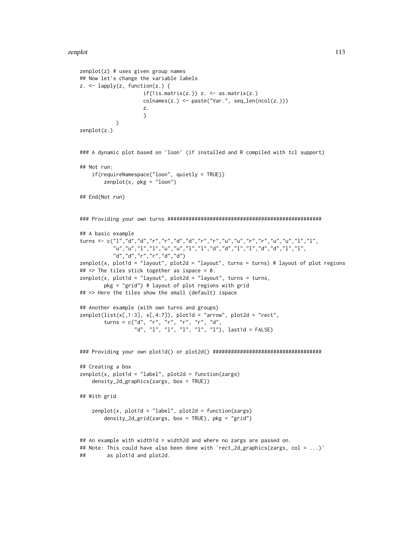```
zenplot(z) # uses given group names
## Now let's change the variable labels
z. <- lapply(z, function(z.) {
                     if(!is.matrix(z.)) z. < -as.matrix(z.)colnames(z.) <- paste("Var.", seq_len(ncol(z.)))
                     z.
                     }
            )
zenplot(z.)
### A dynamic plot based on 'loon' (if installed and R compiled with tcl support)
## Not run:
    if(requireNamespace("loon", quietly = TRUE))
        zenplot(x, pkg = "loon")## End(Not run)
### Providing your own turns ###################################################
## A basic example
turns <- c("l","d","d","r","r","d","d","r","r","u","u","r","r","u","u","l","l",
           "u","u","l","l","u","u","l","l","d","d","l","l","d","d","l","l",
           "d","d","r","r","d","d")
zenplot(x, plot1d = "layout", plot2d = "layout", turns = turns) # layout of plot regions
## => The tiles stick together as ispace = 0.
zenplot(x, plot1d = "layout", plot2d = "layout", turns = turns,pkg = "grid") # layout of plot regions with grid
## => Here the tiles show the small (default) ispace
## Another example (with own turns and groups)
zenplot(list(x[,1:3], x[,4:7]), plot1d = "arrow", plot2d = "rect",turns = c("d", "r", "r", "r", "r", "d",
                  "d", "l", "l", "l", "l", "l"), last1d = FALSE)
### Providing your own plot1d() or plot2d() ####################################
## Creating a box
zenplot(x, plot1d = "label", plot2d = function(zargs)
    density_2d_graphics(zargs, box = TRUE))
## With grid
    zenplot(x, plot1d = "label", plot2d = function(zargs)density_2d_grid(zargs, box = TRUE), pkg = "grid")
## An example with width1d = width2d and where no zargs are passed on.
## Note: This could have also been done with 'rect_2d_graphics(zargs, col = ...)'
## as plot1d and plot2d.
```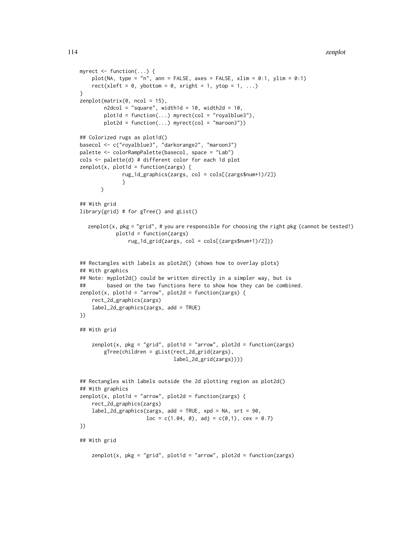```
114 zenplot
```

```
myrect <- function(...) {
   plot(NA, type = "n", ann = FALSE, axes = FALSE, xlim = 0:1, ylim = 0:1)
   rect(xleft = 0, ybottom = 0, xright = 1, ytop = 1, ...)
}
zenplot(matrix(0, ncol = 15),n2dcol = "square", width1d = 10, width2d = 10,plot1d = function(...) myrect(col = "royalblue3"),
       plot2d = function(...) myrect(col = "maroon3"))
## Colorized rugs as plot1d()
basecol <- c("royalblue3", "darkorange2", "maroon3")
palette <- colorRampPalette(basecol, space = "Lab")
cols <- palette(d) # different color for each 1d plot
zenplot(x, plot1d = function(zargs) {
             rug_1d_graphics(zargs, col = cols[(zargs$num+1)/2])
              }
      )
## With grid
library(grid) # for gTree() and gList()
  zenplot(x, pkg = "grid", # you are responsible for choosing the right pkg (cannot be tested!)plot1d = function(zargs)
                rug_1d_grid(zargs, col = cols[(zargs$num+1)/2]))
## Rectangles with labels as plot2d() (shows how to overlay plots)
## With graphics
## Note: myplot2d() could be written directly in a simpler way, but is
## based on the two functions here to show how they can be combined.
zenplot(x, plot1d = "arrow", plot2d = function(zargs)rect_2d_graphics(zargs)
    label_2d_graphics(zargs, add = TRUE)
})
## With grid
   zenplot(x, pkg = "grid", plot1d = "arrow", plot2d = function(zargs)gTree(children = gList(rect_2d_grid(zargs),
                               label_2d_grid(zargs))))
## Rectangles with labels outside the 2d plotting region as plot2d()
## With graphics
zenplot(x, plot1d = "arrow", plot2d = function(zargs)rect_2d_graphics(zargs)
   label_2d_graphics(zargs, add = TRUE, xpd = NA, srt = 90,
                     loc = c(1.04, 0), adj = c(0,1), cex = 0.7)})
## With grid
    zenplot(x, pkg = "grid", plot1d = "arrow", plot2d = function(zargs)
```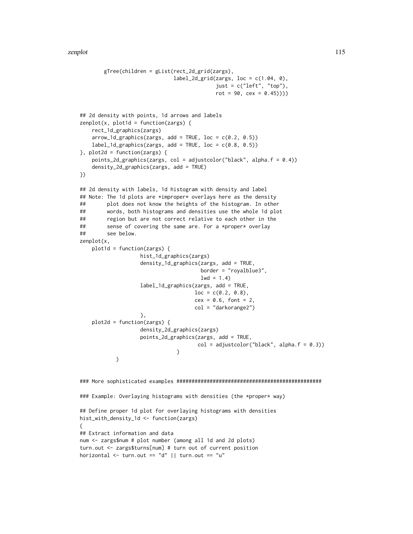```
gTree(children = gList(rect_2d_grid(zargs),
                               label_2d_grid(zargs, loc = c(1.04, 0),just = c("left", "top"),rot = 90, cex = 0.45))))## 2d density with points, 1d arrows and labels
zenplot(x, plot1d = function(zargs) {
    rect_1d_graphics(zargs)
    arrow\_1d\_graphics(zargs, add = TRUE, loc = c(0.2, 0.5))label_1d_graphics(zargs, add = TRUE, loc = c(0.8, 0.5))\}, plot2d = function(zargs) {
    points_2d_graphics(zargs, col = adjustcolor("black", alpha.f = 0.4))
    density_2d_graphics(zargs, add = TRUE)
})
## 2d density with labels, 1d histogram with density and label
## Note: The 1d plots are *improper* overlays here as the density
## plot does not know the heights of the histogram. In other
## words, both histograms and densities use the whole 1d plot
## region but are not correct relative to each other in the
## sense of covering the same are. For a *proper* overlay
## see below.
zenplot(x,
    plot1d = function(zargs) {
                    hist_1d_graphics(zargs)
                    density_1d_graphics(zargs, add = TRUE,
                                       border = "royalblue3",
                                       1wd = 1.4)
                    label_1d_graphics(zargs, add = TRUE,
                                     loc = c(0.2, 0.8),cex = 0.6, font = 2,
                                     col = "darkorange2")
                    },
    plot2d = function(zargs) {
                    density_2d_graphics(zargs)
                    points_2d_graphics(zargs, add = TRUE,
                                      col = adjustcolor("black", alpha.f = 0.3))}
            )
### More sophisticated examples ################################################
### Example: Overlaying histograms with densities (the *proper* way)
## Define proper 1d plot for overlaying histograms with densities
hist_with_density_1d <- function(zargs)
{
## Extract information and data
num <- zargs$num # plot number (among all 1d and 2d plots)
turn.out <- zargs$turns[num] # turn out of current position
horizontal \le turn.out == "d" || turn.out == "u"
```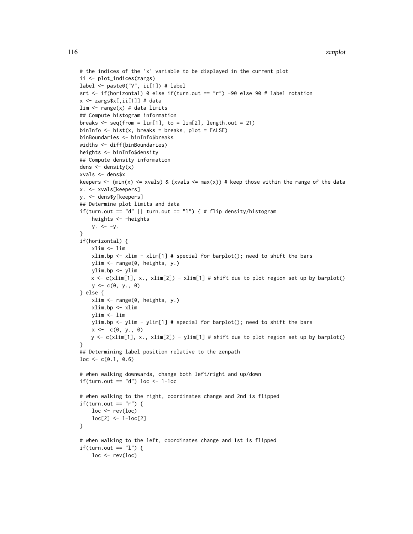```
# the indices of the 'x' variable to be displayed in the current plot
ii <- plot_indices(zargs)
label <- paste0("V", ii[1]) # label
srt <- if(horizontal) 0 else if(turn.out == "r") -90 else 90 # label rotation
x <- zargs$x[,ii[1]] # data
lim \leq range(x) # data limits
## Compute histogram information
breaks \leq seq(from = lim[1], to = lim[2], length.out = 21)
binInfo \leq - hist(x, breaks = breaks, plot = FALSE)
binBoundaries <- binInfo$breaks
widths <- diff(binBoundaries)
heights <- binInfo$density
## Compute density information
dens \leftarrow density(x)
xvals <- dens$x
keepers \le (min(x) \le xvals) & (xvals \le max(x)) # keep those within the range of the data
x. <- xvals[keepers]
y. <- dens$y[keepers]
## Determine plot limits and data
if(turn.out == "d" || turn.out == "l") { # flip density/histogram
    heights <- -heights
    y. \le -y.}
if(horizontal) {
    xlim <- lim
    xlim.bp \le xlim - xlim[1] # special for barplot(); need to shift the bars
    ylim <- range(0, heights, y.)
    ylim.bp <- ylim
    x <- c(xlim[1], x., xlim[2]) - xlim[1] # shift due to plot region set up by barplot()
    y \leq -c(0, y_-, 0)} else {
    xlim <- range(0, heights, y.)
    xlim.bp <- xlim
    ylim <- lim
    ylim.bp <- ylim - ylim[1] # special for barplot(); need to shift the bars
    x \leftarrow c(0, y., 0)y \leftarrow c(xlim[1], x., xlim[2]) - ylim[1] \# shift due to plot region set up by barplot()}
## Determining label position relative to the zenpath
loc \leftarrow c(0.1, 0.6)# when walking downwards, change both left/right and up/down
if(turn.out == "d") loc <- 1-loc
# when walking to the right, coordinates change and 2nd is flipped
if(turn.out == "r") {
    loc \leftarrow rev(loc)loc[2] <- 1-loc[2]
}
# when walking to the left, coordinates change and 1st is flipped
if(turn.out == "l") {
    loc \leftarrow rev(loc)
```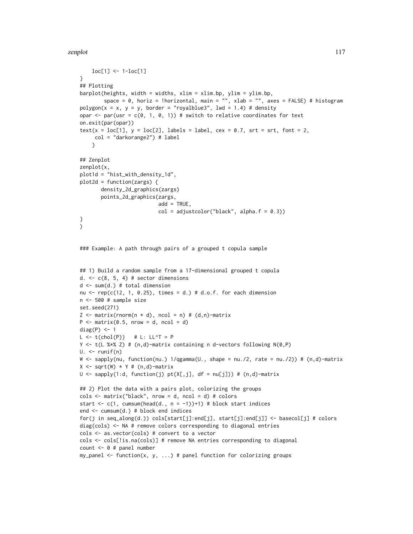```
loc[1] <- 1-loc[1]
}
## Plotting
barplot(heights, width = widths, xlim = xlim.bp, ylim = ylim.bp,
        space = 0, horiz = !horizontal, main = "", xlab = "", axes = FALSE) # histogram
polygon(x = x, y = y, border = "royalblue3", lwd = 1.4) # densityopar \leq par(usr = c(0, 1, 0, 1)) # switch to relative coordinates for text
on.exit(par(opar))
text(x = loc[1], y = loc[2], labels = label, cex = 0.7, srt = srt, font = 2,
     col = "darkorange2") # label
    }
## Zenplot
zenplot(x,
plot1d = "hist_with_density_1d",
plot2d = function(zargs) {
       density_2d_graphics(zargs)
       points_2d_graphics(zargs,
                          add = TRUE,
                          col = adjustcolor("black", alpha.f = 0.3))}
\lambda### Example: A path through pairs of a grouped t copula sample
## 1) Build a random sample from a 17-dimensional grouped t copula
d. \leq c(8, 5, 4) # sector dimensions
d <- sum(d.) # total dimension
nu \leq rep(c(12, 1, 0.25), times = d.) # d.o.f. for each dimension
n <- 500 # sample size
set.seed(271)
Z \leq matrix(rnorm(n * d), ncol = n) # (d,n)-matrix
P \leq - matrix(0.5, nrow = d, ncol = d)
diag(P) <- 1
L \leftarrow t(chol(P)) # L: LL^T = PY <- t(L %*% Z) # (n,d)-matrix containing n d-vectors following N(0,P)
U. <- runif(n)
W \le sapply(nu, function(nu.) 1/qgamma(U., shape = nu./2, rate = nu./2)) # (n,d)-matrix
X \leftarrow sqrt(W) * Y # (n,d)-matrix
U <- sapply(1:d, function(j) pt(X[,j], df = nu[j]) # (n,d)-matrix
## 2) Plot the data with a pairs plot, colorizing the groups
cols \le matrix("black", nrow = d, ncol = d) # colors
start \leq c(1, cumsum(head(d., n = -1))+1) # block start indices
end <- cumsum(d.) # block end indices
for(j in seq_along(d.)) cols[start[j]:end[j], start[j]:end[j]] <- basecol[j] # colors
diag(cols) <- NA # remove colors corresponding to diagonal entries
cols <- as.vector(cols) # convert to a vector
cols <- cols[!is.na(cols)] # remove NA entries corresponding to diagonal
count <- 0 # panel number
my\_panel \le function(x, y, ...) # panel function for colorizing groups
```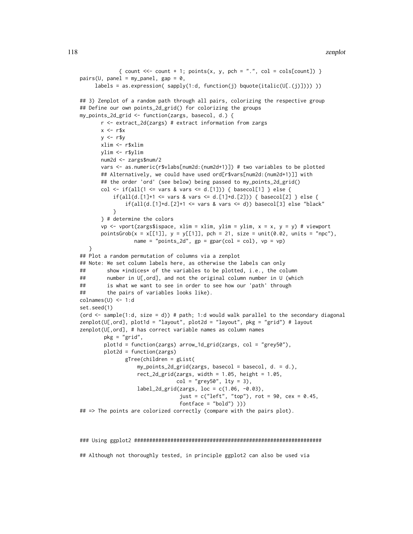## 118 zenplot

```
{ count <<- count + 1; points(x, y, pch = ".", col = cols[count]) }
pairs(U, panel = my\_panel, gap = 0,labels = as.expression( sapply(1:d, function(j) bquote(italic(U[.(j)]))))))
## 3) Zenplot of a random path through all pairs, colorizing the respective group
## Define our own points_2d_grid() for colorizing the groups
my_points_2d_grid <- function(zargs, basecol, d.) {
      r <- extract_2d(zargs) # extract information from zargs
      x < -r$x
      y \leq -r$y
      xlim <- r$xlim
      ylim <- r$ylim
      num2d <- zargs$num/2
      vars <- as.numeric(r$vlabs[num2d:(num2d+1)]) # two variables to be plotted
      ## Alternatively, we could have used ord[r$vars[num2d:(num2d+1)]] with
      ## the order 'ord' (see below) being passed to my_points_2d_grid()
      col <- if(all(1 <= vars & vars <= d.[1])) { basecol[1] } else {
           if(all(d.[1]+1 \leq vars & vars \leq d.[1]+d.[2])) { basecol[2] } else { }if(all(d.[1]+d.[2]+1 \leq vars & vars \leq d) basecol[3] else "black"
          }
      } # determine the colors
      vp \le vport(zargs$ispace, xlim = xlim, ylim = ylim, x = x, y = y) # viewport
      pointsGrob(x = x[[1]], y = y[[1]], pch = 21, size = unit(0.02, units = "npc"),
                 name = "points_2d", gp = gpar(col = col), vp = vp)
   }
## Plot a random permutation of columns via a zenplot
## Note: We set column labels here, as otherwise the labels can only
## show *indices* of the variables to be plotted, i.e., the column
## number in U[,ord], and not the original column number in U (which
## is what we want to see in order to see how our 'path' through
## the pairs of variables looks like).
colnames(U) <- 1:d
set.seed(1)
(ord \le sample(1:d, size = d)) # path; 1:d would walk parallel to the secondary diagonal
zenplot(U[,ord], plot1d = "layout", plot2d = "layout", pkg = "grid") # layoutzenplot(U[,ord], # has correct variable names as column names
       pkg = "grid",
       plot1d = function(zargs) arrow_1d_grid(zargs, col = "grey50"),
       plot2d = function(zargs)
               gTree(children = gList(
                  my_points_2d_grid(zargs, basecol = basecol, d. = d.),
                  rect_2d_grid(zargs, width = 1.05, height = 1.05,
                                col = "grey50", lty = 3),label_2d_grid(zargs, loc = c(1.06, -0.03),just = c("left", "top"), rot = 90, cex = 0.45,fontface = "bold") )))
## => The points are colorized correctly (compare with the pairs plot).
```
#### ### Using ggplot2 ##############################################################

## Although not thoroughly tested, in principle ggplot2 can also be used via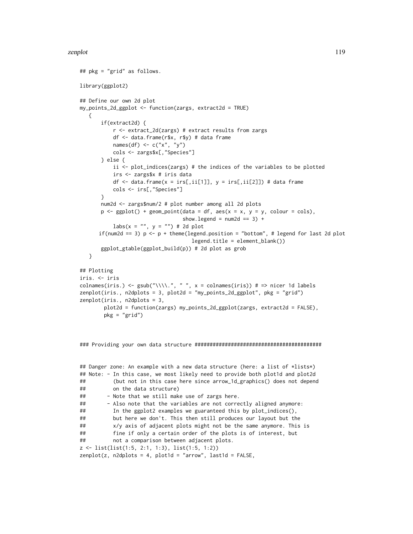```
## pkg = "grid" as follows.
library(ggplot2)
## Define our own 2d plot
my_points_2d_ggplot <- function(zargs, extract2d = TRUE)
   {
       if(extract2d) {
           r <- extract_2d(zargs) # extract results from zargs
           df <- data.frame(r$x, r$y) # data frame
           names(df) <- c("x", "y")
           cols <- zargs$x[,"Species"]
       } else {
           ii \le- plot_indices(zargs) # the indices of the variables to be plotted
           irs <- zargs$x # iris data
           df \le data.frame(x = irs[,ii[1]], y = irs[,ii[2]]) # data frame
           cols <- irs[,"Species"]
       }
       num2d <- zargs$num/2 # plot number among all 2d plots
       p \leq - ggplot() + geom_point(data = df, aes(x = x, y = y, colour = cols),
                                   show.legend = num2d == 3) +\text{labs}(x = \text{""}, y = \text{""}) # 2d plot
      if(num2d == 3) p \leftarrow p + theme(legend.position = "bottom", # legend for last 2d plot
                                      legend.title = element_blank())
       ggplot_gtable(ggplot_build(p)) # 2d plot as grob
   }
## Plotting
iris. <- iris
colnames(iris.) <- gsub("\\\\.", " ", x = colnames(iris)) # => nicer 1d labels
zenplot(iris., n2dplots = 3, plot2d = "my_points_2d_ggplot", pkg = "grid")
zenplot(iris., n2dplots = 3,
        plot2d = function(zargs) my_points_2d_ggplot(zargs, extract2d = FALSE),
        pkg = "grid")
```

```
### Providing your own data structure ##########################################
```

```
## Danger zone: An example with a new data structure (here: a list of *lists*)
## Note: - In this case, we most likely need to provide both plot1d and plot2d
## (but not in this case here since arrow_1d_graphics() does not depend
## on the data structure)
## - Note that we still make use of zargs here.
## - Also note that the variables are not correctly aligned anymore:
## In the ggplot2 examples we guaranteed this by plot_indices(),
## but here we don't. This then still produces our layout but the
## x/y axis of adjacent plots might not be the same anymore. This is
## fine if only a certain order of the plots is of interest, but
## not a comparison between adjacent plots.
z <- list(list(1:5, 2:1, 1:3), list(1:5, 1:2))
zenplot(z, n2dplots = 4, plot1d = "arrow", last1d = FALSE,
```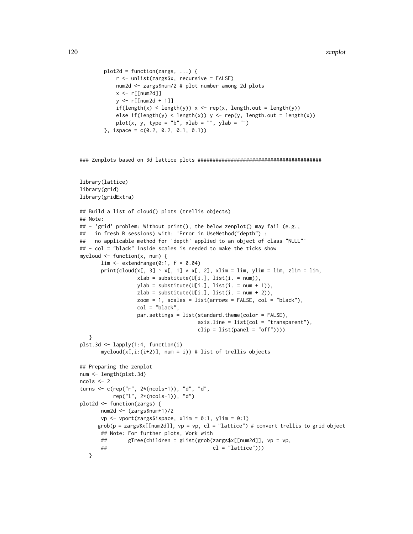```
plot2d = function(zargs, \ldots) {
    r <- unlist(zargs$x, recursive = FALSE)
    num2d <- zargs$num/2 # plot number among 2d plots
    x < -r[[num2d]]
    y <- r[[num2d + 1]]
    if(length(x) < length(y)) x < - rep(x, length.out = length(y))else if(length(y) < length(x)) y \leftarrow \text{rep}(y, \text{length.out} = \text{length}(x))plot(x, y, type = "b", xlab = "", ylab = "")
\}, ispace = c(0.2, 0.2, 0.1, 0.1))
```
### Zenplots based on 3d lattice plots #########################################

```
library(lattice)
library(grid)
library(gridExtra)
## Build a list of cloud() plots (trellis objects)
## Note:
## - 'grid' problem: Without print(), the below zenplot() may fail (e.g.,
## in fresh R sessions) with: 'Error in UseMethod("depth") :
## no applicable method for 'depth' applied to an object of class "NULL"'
## - col = "black" inside scales is needed to make the ticks show
mycloud \leq function(x, num) {
      \lim <- extendrange(0:1, f = 0.04)
      print(cloud(x[, 3] \sim x[, 1] \star x[, 2], xlim = lim, ylim = lim, zlim = lim,
                  xlab = substitute(U[i.], list(i. = num)),ylab = substitute(U[i.], list(i. = num + 1)),zlab = substitute(U[i.], list(i. = num + 2)),zoom = 1, scales = list(arrows = FALSE, col = "black"),
                  col = "black",par.settings = list(standard.theme(color = FALSE),axisu. line = list(col = "transparent"),
                                      clip = list(panel = "off"))}
plst.3d <- lapply(1:4, function(i)
      mycloud(x[,i:(i+2)], num = i)) # list of trellis objects
## Preparing the zenplot
num <- length(plst.3d)
ncols <- 2
turns <- c(rep("r", 2*(ncols-1)), "d", "d",
          rep("l", 2*(ncols-1)), "d")
plot2d <- function(zargs) {
      num2d <- (zargs$num+1)/2
      vp \le vport(zargs$ispace, xlim = 0:1, ylim = 0:1)
     grob(p = zargs$x[[num2d]], vp = vp, cl = "lattice") # convert trellis to grid object
      ## Note: For further plots, Work with
      ## gTree(children = gList(grob(zargs$x[[num2d]], vp = vp,
      ## cl = "lattice")))
   }
```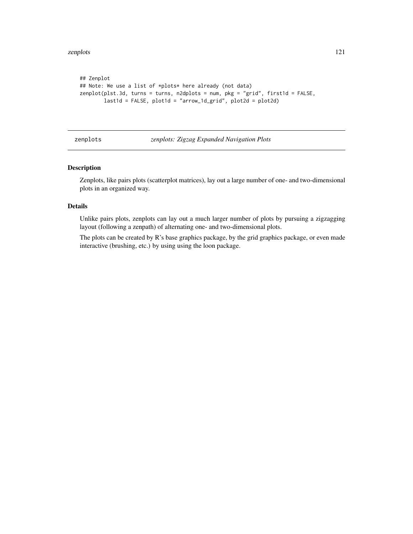```
## Zenplot
## Note: We use a list of *plots* here already (not data)
zenplot(plst.3d, turns = turns, n2dplots = num, pkg = "grid", first1d = FALSE,
       last1d = FALSE, plot1d = "arrow_1d\_grid", plot2d = plot2d)
```
# zenplots *zenplots: Zigzag Expanded Navigation Plots*

# Description

Zenplots, like pairs plots (scatterplot matrices), lay out a large number of one- and two-dimensional plots in an organized way.

# Details

Unlike pairs plots, zenplots can lay out a much larger number of plots by pursuing a zigzagging layout (following a zenpath) of alternating one- and two-dimensional plots.

The plots can be created by R's base graphics package, by the grid graphics package, or even made interactive (brushing, etc.) by using using the loon package.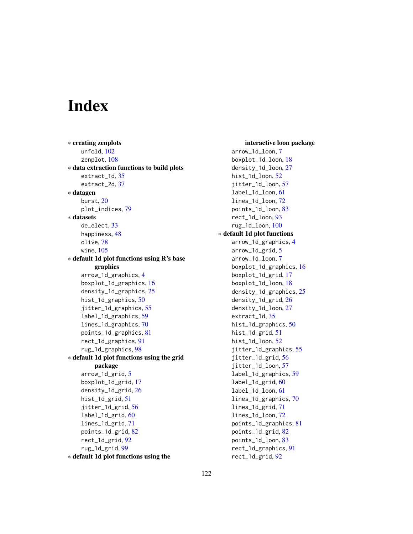# Index

∗ creating zenplots unfold, [102](#page-101-1) zenplot, [108](#page-107-0) ∗ data extraction functions to build plots extract\_1d, [35](#page-34-1) extract\_2d, [37](#page-36-1) ∗ datagen burst, [20](#page-19-1) plot\_indices, [79](#page-78-0) ∗ datasets de\_elect, [33](#page-32-0) happiness, [48](#page-47-0) olive, [78](#page-77-0) wine, [105](#page-104-0) ∗ default 1d plot functions using R's base graphics arrow\_1d\_graphics, [4](#page-3-0) boxplot\_1d\_graphics, [16](#page-15-0) density\_1d\_graphics, [25](#page-24-0) hist\_1d\_graphics, [50](#page-49-0) jitter\_1d\_graphics, [55](#page-54-0) label\_1d\_graphics, [59](#page-58-0) lines\_1d\_graphics, [70](#page-69-0) points\_1d\_graphics, [81](#page-80-0) rect\_1d\_graphics, [91](#page-90-0) rug\_1d\_graphics, [98](#page-97-0) ∗ default 1d plot functions using the grid package arrow\_1d\_grid, [5](#page-4-0) boxplot\_1d\_grid, [17](#page-16-0) density\_1d\_grid, [26](#page-25-0) hist\_1d\_grid, [51](#page-50-0) jitter\_1d\_grid, [56](#page-55-0) label\_1d\_grid, [60](#page-59-0) lines\_1d\_grid, [71](#page-70-0) points\_1d\_grid, [82](#page-81-0) rect\_1d\_grid, [92](#page-91-0) rug\_1d\_grid, [99](#page-98-0) ∗ default 1d plot functions using the

interactive loon package arrow\_1d\_loon, [7](#page-6-0) boxplot\_1d\_loon, [18](#page-17-0) density\_1d\_loon, [27](#page-26-0) hist\_1d\_loon, [52](#page-51-0) jitter\_1d\_loon, [57](#page-56-0) label\_1d\_loon, [61](#page-60-0) lines\_1d\_loon, [72](#page-71-0) points\_1d\_loon, [83](#page-82-0) rect\_1d\_loon, [93](#page-92-0) rug\_1d\_loon, [100](#page-99-0) ∗ default 1d plot functions arrow\_1d\_graphics, [4](#page-3-0) arrow\_1d\_grid, [5](#page-4-0) arrow\_1d\_loon, [7](#page-6-0) boxplot\_1d\_graphics, [16](#page-15-0) boxplot\_1d\_grid, [17](#page-16-0) boxplot\_1d\_loon, [18](#page-17-0) density\_1d\_graphics, [25](#page-24-0) density\_1d\_grid, [26](#page-25-0) density\_1d\_loon, [27](#page-26-0) extract\_1d, [35](#page-34-1) hist\_1d\_graphics, [50](#page-49-0) hist\_1d\_grid, [51](#page-50-0) hist\_1d\_loon, [52](#page-51-0) jitter\_1d\_graphics, [55](#page-54-0) jitter\_1d\_grid, [56](#page-55-0) jitter\_1d\_loon, [57](#page-56-0) label\_1d\_graphics, [59](#page-58-0) label\_1d\_grid, [60](#page-59-0) label\_1d\_loon, [61](#page-60-0) lines\_1d\_graphics, [70](#page-69-0) lines\_1d\_grid, [71](#page-70-0) lines\_1d\_loon, [72](#page-71-0) points\_1d\_graphics, [81](#page-80-0) points\_1d\_grid, [82](#page-81-0) points\_1d\_loon, [83](#page-82-0) rect\_1d\_graphics, [91](#page-90-0) rect\_1d\_grid, [92](#page-91-0)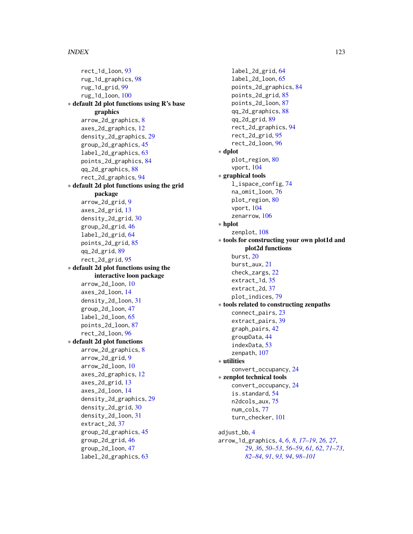## INDEX 123

rect\_1d\_loon, [93](#page-92-0) rug\_1d\_graphics, [98](#page-97-0) rug\_1d\_grid, [99](#page-98-0) rug\_1d\_loon, [100](#page-99-0) ∗ default 2d plot functions using R's base graphics arrow\_2d\_graphics, [8](#page-7-0) axes\_2d\_graphics, [12](#page-11-0) density\_2d\_graphics, [29](#page-28-0) group\_2d\_graphics, [45](#page-44-0) label\_2d\_graphics, [63](#page-62-0) points\_2d\_graphics, [84](#page-83-0) qq\_2d\_graphics, [88](#page-87-0) rect\_2d\_graphics, [94](#page-93-0) ∗ default 2d plot functions using the grid package arrow\_2d\_grid, [9](#page-8-0) axes\_2d\_grid, [13](#page-12-0) density\_2d\_grid, [30](#page-29-0) group\_2d\_grid, [46](#page-45-0) label\_2d\_grid, [64](#page-63-0) points\_2d\_grid, [85](#page-84-0) qq\_2d\_grid, [89](#page-88-0) rect\_2d\_grid, [95](#page-94-0) ∗ default 2d plot functions using the interactive loon package arrow\_2d\_loon, [10](#page-9-0) axes\_2d\_loon, [14](#page-13-0) density\_2d\_loon, [31](#page-30-0) group\_2d\_loon, [47](#page-46-0) label\_2d\_loon, [65](#page-64-0) points\_2d\_loon, [87](#page-86-0) rect\_2d\_loon, [96](#page-95-0) ∗ default 2d plot functions arrow\_2d\_graphics, [8](#page-7-0) arrow\_2d\_grid, [9](#page-8-0) arrow\_2d\_loon, [10](#page-9-0) axes\_2d\_graphics, [12](#page-11-0) axes\_2d\_grid, [13](#page-12-0) axes\_2d\_loon, [14](#page-13-0) density\_2d\_graphics, [29](#page-28-0) density\_2d\_grid, [30](#page-29-0) density\_2d\_loon, [31](#page-30-0) extract\_2d, [37](#page-36-1) group\_2d\_graphics, [45](#page-44-0) group\_2d\_grid, [46](#page-45-0) group\_2d\_loon, [47](#page-46-0) label\_2d\_graphics, [63](#page-62-0)

label\_2d\_grid, [64](#page-63-0) label\_2d\_loon, [65](#page-64-0) points\_2d\_graphics, [84](#page-83-0) points\_2d\_grid, [85](#page-84-0) points\_2d\_loon, [87](#page-86-0) qq\_2d\_graphics, [88](#page-87-0) qq\_2d\_grid, [89](#page-88-0) rect\_2d\_graphics, [94](#page-93-0) rect\_2d\_grid, [95](#page-94-0) rect\_2d\_loon, [96](#page-95-0) ∗ dplot plot\_region, [80](#page-79-0) vport, [104](#page-103-1) ∗ graphical tools l\_ispace\_config, [74](#page-73-0) na\_omit\_loon, [76](#page-75-0) plot\_region, [80](#page-79-0) vport, [104](#page-103-1) zenarrow, [106](#page-105-0) ∗ hplot zenplot, [108](#page-107-0) ∗ tools for constructing your own plot1d and plot2d functions burst, [20](#page-19-1) burst\_aux, [21](#page-20-0) check\_zargs, [22](#page-21-0) extract\_1d, [35](#page-34-1) extract\_2d, [37](#page-36-1) plot\_indices, [79](#page-78-0) ∗ tools related to constructing zenpaths connect\_pairs, [23](#page-22-1) extract\_pairs, [39](#page-38-1) graph\_pairs, [42](#page-41-0) groupData, [44](#page-43-0) indexData, [53](#page-52-0) zenpath, [107](#page-106-1) ∗ utilities convert\_occupancy, [24](#page-23-0) ∗ zenplot technical tools convert\_occupancy, [24](#page-23-0) is.standard, [54](#page-53-0) n2dcols\_aux, [75](#page-74-0) num\_cols, [77](#page-76-0) turn\_checker, [101](#page-100-0) adjust\_bb, [4](#page-3-0) arrow\_1d\_graphics, [4,](#page-3-0) *[6](#page-5-0)*, *[8](#page-7-0)*, *[17](#page-16-0)[–19](#page-18-0)*, *[26,](#page-25-0) [27](#page-26-0)*,

*[29](#page-28-0)*, *[36](#page-35-0)*, *[50](#page-49-0)[–53](#page-52-0)*, *[56](#page-55-0)[–59](#page-58-0)*, *[61,](#page-60-0) [62](#page-61-0)*, *[71](#page-70-0)[–73](#page-72-0)*, *[82](#page-81-0)[–84](#page-83-0)*, *[91](#page-90-0)*, *[93,](#page-92-0) [94](#page-93-0)*, *[98](#page-97-0)[–101](#page-100-0)*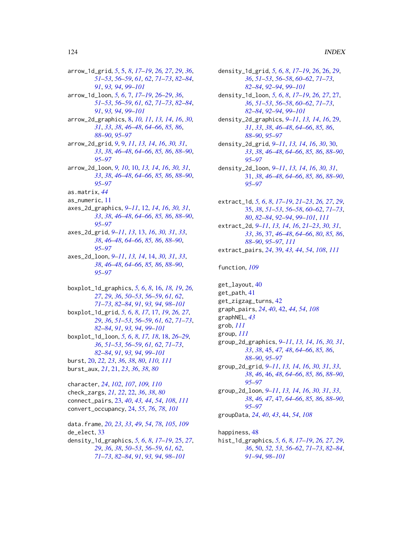arrow\_1d\_grid, *[5](#page-4-0)*, [5,](#page-4-0) *[8](#page-7-0)*, *[17–](#page-16-0)[19](#page-18-0)*, *[26,](#page-25-0) [27](#page-26-0)*, *[29](#page-28-0)*, *[36](#page-35-0)*, *[51](#page-50-0)[–53](#page-52-0)*, *[56](#page-55-0)[–59](#page-58-0)*, *[61,](#page-60-0) [62](#page-61-0)*, *[71–](#page-70-0)[73](#page-72-0)*, *[82–](#page-81-0)[84](#page-83-0)*, *[91](#page-90-0)*, *[93,](#page-92-0) [94](#page-93-0)*, *[99–](#page-98-0)[101](#page-100-0)* arrow\_1d\_loon, *[5,](#page-4-0) [6](#page-5-0)*, [7,](#page-6-0) *[17–](#page-16-0)[19](#page-18-0)*, *[26–](#page-25-0)[29](#page-28-0)*, *[36](#page-35-0)*, *[51](#page-50-0)[–53](#page-52-0)*, *[56](#page-55-0)[–59](#page-58-0)*, *[61,](#page-60-0) [62](#page-61-0)*, *[71–](#page-70-0)[73](#page-72-0)*, *[82–](#page-81-0)[84](#page-83-0)*, *[91](#page-90-0)*, *[93,](#page-92-0) [94](#page-93-0)*, *[99–](#page-98-0)[101](#page-100-0)* arrow\_2d\_graphics, [8,](#page-7-0) *[10,](#page-9-0) [11](#page-10-0)*, *[13,](#page-12-0) [14](#page-13-0)*, *[16](#page-15-0)*, *[30,](#page-29-0) [31](#page-30-0)*, *[33](#page-32-0)*, *[38](#page-37-0)*, *[46–](#page-45-0)[48](#page-47-0)*, *[64–](#page-63-0)[66](#page-65-0)*, *[85,](#page-84-0) [86](#page-85-0)*, *[88](#page-87-0)[–90](#page-89-0)*, *[95](#page-94-0)[–97](#page-96-0)* arrow\_2d\_grid, *[9](#page-8-0)*, [9,](#page-8-0) *[11](#page-10-0)*, *[13,](#page-12-0) [14](#page-13-0)*, *[16](#page-15-0)*, *[30,](#page-29-0) [31](#page-30-0)*, *[33](#page-32-0)*, *[38](#page-37-0)*, *[46](#page-45-0)[–48](#page-47-0)*, *[64–](#page-63-0)[66](#page-65-0)*, *[85,](#page-84-0) [86](#page-85-0)*, *[88–](#page-87-0)[90](#page-89-0)*, *[95](#page-94-0)[–97](#page-96-0)* arrow\_2d\_loon, *[9,](#page-8-0) [10](#page-9-0)*, [10,](#page-9-0) *[13,](#page-12-0) [14](#page-13-0)*, *[16](#page-15-0)*, *[30,](#page-29-0) [31](#page-30-0)*, *[33](#page-32-0)*, *[38](#page-37-0)*, *[46](#page-45-0)[–48](#page-47-0)*, *[64–](#page-63-0)[66](#page-65-0)*, *[85,](#page-84-0) [86](#page-85-0)*, *[88–](#page-87-0)[90](#page-89-0)*, *[95](#page-94-0)[–97](#page-96-0)* as.matrix, *[44](#page-43-0)* as\_numeric, [11](#page-10-0) axes\_2d\_graphics, *[9](#page-8-0)[–11](#page-10-0)*, [12,](#page-11-0) *[14](#page-13-0)*, *[16](#page-15-0)*, *[30,](#page-29-0) [31](#page-30-0)*, *[33](#page-32-0)*, *[38](#page-37-0)*, *[46](#page-45-0)[–48](#page-47-0)*, *[64–](#page-63-0)[66](#page-65-0)*, *[85,](#page-84-0) [86](#page-85-0)*, *[88–](#page-87-0)[90](#page-89-0)*, *[95](#page-94-0)[–97](#page-96-0)* axes\_2d\_grid, *[9](#page-8-0)[–11](#page-10-0)*, *[13](#page-12-0)*, [13,](#page-12-0) *[16](#page-15-0)*, *[30,](#page-29-0) [31](#page-30-0)*, *[33](#page-32-0)*, *[38](#page-37-0)*, *[46](#page-45-0)[–48](#page-47-0)*, *[64–](#page-63-0)[66](#page-65-0)*, *[85,](#page-84-0) [86](#page-85-0)*, *[88–](#page-87-0)[90](#page-89-0)*, *[95](#page-94-0)[–97](#page-96-0)* axes\_2d\_loon, *[9](#page-8-0)[–11](#page-10-0)*, *[13,](#page-12-0) [14](#page-13-0)*, [14,](#page-13-0) *[30,](#page-29-0) [31](#page-30-0)*, *[33](#page-32-0)*, *[38](#page-37-0)*, *[46](#page-45-0)[–48](#page-47-0)*, *[64–](#page-63-0)[66](#page-65-0)*, *[85,](#page-84-0) [86](#page-85-0)*, *[88–](#page-87-0)[90](#page-89-0)*, *[95](#page-94-0)[–97](#page-96-0)*

boxplot\_1d\_graphics, *[5,](#page-4-0) [6](#page-5-0)*, *[8](#page-7-0)*, [16,](#page-15-0) *[18,](#page-17-0) [19](#page-18-0)*, *[26,](#page-25-0) [27](#page-26-0)*, *[29](#page-28-0)*, *[36](#page-35-0)*, *[50–](#page-49-0)[53](#page-52-0)*, *[56–](#page-55-0)[59](#page-58-0)*, *[61,](#page-60-0) [62](#page-61-0)*, *[71](#page-70-0)[–73](#page-72-0)*, *[82](#page-81-0)[–84](#page-83-0)*, *[91](#page-90-0)*, *[93,](#page-92-0) [94](#page-93-0)*, *[98–](#page-97-0)[101](#page-100-0)* boxplot\_1d\_grid, *[5,](#page-4-0) [6](#page-5-0)*, *[8](#page-7-0)*, *[17](#page-16-0)*, [17,](#page-16-0) *[19](#page-18-0)*, *[26,](#page-25-0) [27](#page-26-0)*, *[29](#page-28-0)*, *[36](#page-35-0)*, *[51](#page-50-0)[–53](#page-52-0)*, *[56–](#page-55-0)[59](#page-58-0)*, *[61,](#page-60-0) [62](#page-61-0)*, *[71–](#page-70-0)[73](#page-72-0)*, *[82](#page-81-0)[–84](#page-83-0)*, *[91](#page-90-0)*, *[93,](#page-92-0) [94](#page-93-0)*, *[99–](#page-98-0)[101](#page-100-0)* boxplot\_1d\_loon, *[5,](#page-4-0) [6](#page-5-0)*, *[8](#page-7-0)*, *[17,](#page-16-0) [18](#page-17-0)*, [18,](#page-17-0) *[26–](#page-25-0)[29](#page-28-0)*, *[36](#page-35-0)*, *[51](#page-50-0)[–53](#page-52-0)*, *[56–](#page-55-0)[59](#page-58-0)*, *[61,](#page-60-0) [62](#page-61-0)*, *[71–](#page-70-0)[73](#page-72-0)*, *[82](#page-81-0)[–84](#page-83-0)*, *[91](#page-90-0)*, *[93,](#page-92-0) [94](#page-93-0)*, *[99–](#page-98-0)[101](#page-100-0)* burst, [20,](#page-19-1) *[22,](#page-21-0) [23](#page-22-1)*, *[36](#page-35-0)*, *[38](#page-37-0)*, *[80](#page-79-0)*, *[110,](#page-109-0) [111](#page-110-0)* burst\_aux, *[21](#page-20-0)*, [21,](#page-20-0) *[23](#page-22-1)*, *[36](#page-35-0)*, *[38](#page-37-0)*, *[80](#page-79-0)*

character, *[24](#page-23-0)*, *[102](#page-101-1)*, *[107](#page-106-1)*, *[109,](#page-108-0) [110](#page-109-0)* check\_zargs, *[21,](#page-20-0) [22](#page-21-0)*, [22,](#page-21-0) *[36](#page-35-0)*, *[38](#page-37-0)*, *[80](#page-79-0)* connect\_pairs, [23,](#page-22-1) *[40](#page-39-0)*, *[43,](#page-42-0) [44](#page-43-0)*, *[54](#page-53-0)*, *[108](#page-107-0)*, *[111](#page-110-0)* convert\_occupancy, [24,](#page-23-0) *[55](#page-54-0)*, *[76](#page-75-0)*, *[78](#page-77-0)*, *[101](#page-100-0)*

data.frame, *[20](#page-19-1)*, *[23](#page-22-1)*, *[33](#page-32-0)*, *[49](#page-48-0)*, *[54](#page-53-0)*, *[78](#page-77-0)*, *[105](#page-104-0)*, *[109](#page-108-0)* de\_elect, [33](#page-32-0) density\_1d\_graphics, *[5,](#page-4-0) [6](#page-5-0)*, *[8](#page-7-0)*, *[17–](#page-16-0)[19](#page-18-0)*, [25,](#page-24-0) *[27](#page-26-0)*, *[29](#page-28-0)*, *[36](#page-35-0)*, *[38](#page-37-0)*, *[50–](#page-49-0)[53](#page-52-0)*, *[56–](#page-55-0)[59](#page-58-0)*, *[61,](#page-60-0) [62](#page-61-0)*, *[71](#page-70-0)[–73](#page-72-0)*, *[82](#page-81-0)[–84](#page-83-0)*, *[91](#page-90-0)*, *[93,](#page-92-0) [94](#page-93-0)*, *[98–](#page-97-0)[101](#page-100-0)*

- density\_1d\_grid, *[5,](#page-4-0) [6](#page-5-0)*, *[8](#page-7-0)*, *[17](#page-16-0)[–19](#page-18-0)*, *[26](#page-25-0)*, [26,](#page-25-0) *[29](#page-28-0)*, *[36](#page-35-0)*, *[51](#page-50-0)[–53](#page-52-0)*, *[56](#page-55-0)[–58](#page-57-0)*, *[60](#page-59-0)[–62](#page-61-0)*, *[71](#page-70-0)[–73](#page-72-0)*, *[82](#page-81-0)[–84](#page-83-0)*, *[92](#page-91-0)[–94](#page-93-0)*, *[99](#page-98-0)[–101](#page-100-0)*
- density\_1d\_loon, *[5,](#page-4-0) [6](#page-5-0)*, *[8](#page-7-0)*, *[17](#page-16-0)[–19](#page-18-0)*, *[26,](#page-25-0) [27](#page-26-0)*, [27,](#page-26-0) *[36](#page-35-0)*, *[51](#page-50-0)[–53](#page-52-0)*, *[56](#page-55-0)[–58](#page-57-0)*, *[60](#page-59-0)[–62](#page-61-0)*, *[71](#page-70-0)[–73](#page-72-0)*, *[82](#page-81-0)[–84](#page-83-0)*, *[92](#page-91-0)[–94](#page-93-0)*, *[99](#page-98-0)[–101](#page-100-0)*
- density\_2d\_graphics, *[9](#page-8-0)[–11](#page-10-0)*, *[13,](#page-12-0) [14](#page-13-0)*, *[16](#page-15-0)*, [29,](#page-28-0) *[31](#page-30-0)*, *[33](#page-32-0)*, *[38](#page-37-0)*, *[46](#page-45-0)[–48](#page-47-0)*, *[64](#page-63-0)[–66](#page-65-0)*, *[85,](#page-84-0) [86](#page-85-0)*, *[88](#page-87-0)[–90](#page-89-0)*, *[95](#page-94-0)[–97](#page-96-0)*
- density\_2d\_grid, *[9](#page-8-0)[–11](#page-10-0)*, *[13,](#page-12-0) [14](#page-13-0)*, *[16](#page-15-0)*, *[30](#page-29-0)*, [30,](#page-29-0) *[33](#page-32-0)*, *[38](#page-37-0)*, *[46](#page-45-0)[–48](#page-47-0)*, *[64](#page-63-0)[–66](#page-65-0)*, *[85,](#page-84-0) [86](#page-85-0)*, *[88](#page-87-0)[–90](#page-89-0)*, *[95](#page-94-0)[–97](#page-96-0)*
- density\_2d\_loon, *[9](#page-8-0)[–11](#page-10-0)*, *[13,](#page-12-0) [14](#page-13-0)*, *[16](#page-15-0)*, *[30,](#page-29-0) [31](#page-30-0)*, [31,](#page-30-0) *[38](#page-37-0)*, *[46](#page-45-0)[–48](#page-47-0)*, *[64](#page-63-0)[–66](#page-65-0)*, *[85,](#page-84-0) [86](#page-85-0)*, *[88](#page-87-0)[–90](#page-89-0)*, *[95](#page-94-0)[–97](#page-96-0)*
- extract\_1d, *[5,](#page-4-0) [6](#page-5-0)*, *[8](#page-7-0)*, *[17](#page-16-0)[–19](#page-18-0)*, *[21](#page-20-0)[–23](#page-22-1)*, *[26,](#page-25-0) [27](#page-26-0)*, *[29](#page-28-0)*, [35,](#page-34-1) *[38](#page-37-0)*, *[51](#page-50-0)[–53](#page-52-0)*, *[56](#page-55-0)[–58](#page-57-0)*, *[60](#page-59-0)[–62](#page-61-0)*, *[71](#page-70-0)[–73](#page-72-0)*, *[80](#page-79-0)*, *[82](#page-81-0)[–84](#page-83-0)*, *[92](#page-91-0)[–94](#page-93-0)*, *[99](#page-98-0)[–101](#page-100-0)*, *[111](#page-110-0)* extract\_2d, *[9](#page-8-0)[–11](#page-10-0)*, *[13,](#page-12-0) [14](#page-13-0)*, *[16](#page-15-0)*, *[21](#page-20-0)[–23](#page-22-1)*, *[30,](#page-29-0) [31](#page-30-0)*, *[33](#page-32-0)*, *[36](#page-35-0)*, [37,](#page-36-1) *[46](#page-45-0)[–48](#page-47-0)*, *[64](#page-63-0)[–66](#page-65-0)*, *[80](#page-79-0)*, *[85,](#page-84-0) [86](#page-85-0)*, *[88](#page-87-0)[–90](#page-89-0)*, *[95](#page-94-0)[–97](#page-96-0)*, *[111](#page-110-0)*
- extract\_pairs, *[24](#page-23-0)*, [39,](#page-38-1) *[43,](#page-42-0) [44](#page-43-0)*, *[54](#page-53-0)*, *[108](#page-107-0)*, *[111](#page-110-0)*

## function, *[109](#page-108-0)*

get\_layout, [40](#page-39-0) get\_path, [41](#page-40-0) get\_zigzag\_turns, [42](#page-41-0) graph\_pairs, *[24](#page-23-0)*, *[40](#page-39-0)*, [42,](#page-41-0) *[44](#page-43-0)*, *[54](#page-53-0)*, *[108](#page-107-0)* graphNEL, *[43](#page-42-0)* grob, *[111](#page-110-0)* group, *[111](#page-110-0)* group\_2d\_graphics, *[9](#page-8-0)[–11](#page-10-0)*, *[13,](#page-12-0) [14](#page-13-0)*, *[16](#page-15-0)*, *[30,](#page-29-0) [31](#page-30-0)*, *[33](#page-32-0)*, *[38](#page-37-0)*, [45,](#page-44-0) *[47,](#page-46-0) [48](#page-47-0)*, *[64](#page-63-0)[–66](#page-65-0)*, *[85,](#page-84-0) [86](#page-85-0)*, *[88](#page-87-0)[–90](#page-89-0)*, *[95](#page-94-0)[–97](#page-96-0)* group\_2d\_grid, *[9](#page-8-0)[–11](#page-10-0)*, *[13,](#page-12-0) [14](#page-13-0)*, *[16](#page-15-0)*, *[30,](#page-29-0) [31](#page-30-0)*, *[33](#page-32-0)*, *[38](#page-37-0)*, *[46](#page-45-0)*, [46,](#page-45-0) *[48](#page-47-0)*, *[64](#page-63-0)[–66](#page-65-0)*, *[85,](#page-84-0) [86](#page-85-0)*, *[88](#page-87-0)[–90](#page-89-0)*, *[95](#page-94-0)[–97](#page-96-0)* group\_2d\_loon, *[9](#page-8-0)[–11](#page-10-0)*, *[13,](#page-12-0) [14](#page-13-0)*, *[16](#page-15-0)*, *[30,](#page-29-0) [31](#page-30-0)*, *[33](#page-32-0)*, *[38](#page-37-0)*, *[46,](#page-45-0) [47](#page-46-0)*, [47,](#page-46-0) *[64](#page-63-0)[–66](#page-65-0)*, *[85,](#page-84-0) [86](#page-85-0)*, *[88](#page-87-0)[–90](#page-89-0)*, *[95](#page-94-0)[–97](#page-96-0)* groupData, *[24](#page-23-0)*, *[40](#page-39-0)*, *[43](#page-42-0)*, [44,](#page-43-0) *[54](#page-53-0)*, *[108](#page-107-0)*

happiness, [48](#page-47-0) hist\_1d\_graphics, *[5,](#page-4-0) [6](#page-5-0)*, *[8](#page-7-0)*, *[17](#page-16-0)[–19](#page-18-0)*, *[26,](#page-25-0) [27](#page-26-0)*, *[29](#page-28-0)*, *[36](#page-35-0)*, [50,](#page-49-0) *[52,](#page-51-0) [53](#page-52-0)*, *[56](#page-55-0)[–62](#page-61-0)*, *[71](#page-70-0)[–73](#page-72-0)*, *[82](#page-81-0)[–84](#page-83-0)*, *[91](#page-90-0)[–94](#page-93-0)*, *[98](#page-97-0)[–101](#page-100-0)*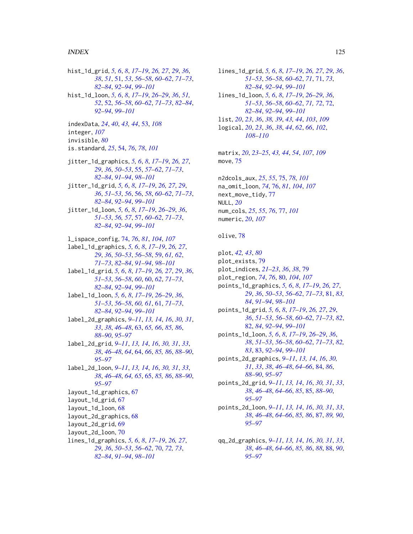hist\_1d\_grid, *[5,](#page-4-0) [6](#page-5-0)*, *[8](#page-7-0)*, *[17–](#page-16-0)[19](#page-18-0)*, *[26,](#page-25-0) [27](#page-26-0)*, *[29](#page-28-0)*, *[36](#page-35-0)*, *[38](#page-37-0)*, *[51](#page-50-0)*, [51,](#page-50-0) *[53](#page-52-0)*, *[56–](#page-55-0)[58](#page-57-0)*, *[60–](#page-59-0)[62](#page-61-0)*, *[71–](#page-70-0)[73](#page-72-0)*, *[82](#page-81-0)[–84](#page-83-0)*, *[92](#page-91-0)[–94](#page-93-0)*, *[99–](#page-98-0)[101](#page-100-0)* hist\_1d\_loon, *[5,](#page-4-0) [6](#page-5-0)*, *[8](#page-7-0)*, *[17–](#page-16-0)[19](#page-18-0)*, *[26–](#page-25-0)[29](#page-28-0)*, *[36](#page-35-0)*, *[51,](#page-50-0) [52](#page-51-0)*, [52,](#page-51-0) *[56](#page-55-0)[–58](#page-57-0)*, *[60–](#page-59-0)[62](#page-61-0)*, *[71–](#page-70-0)[73](#page-72-0)*, *[82–](#page-81-0)[84](#page-83-0)*, *[92](#page-91-0)[–94](#page-93-0)*, *[99](#page-98-0)[–101](#page-100-0)* indexData, *[24](#page-23-0)*, *[40](#page-39-0)*, *[43,](#page-42-0) [44](#page-43-0)*, [53,](#page-52-0) *[108](#page-107-0)* integer, *[107](#page-106-1)* invisible, *[80](#page-79-0)* is.standard, *[25](#page-24-0)*, [54,](#page-53-0) *[76](#page-75-0)*, *[78](#page-77-0)*, *[101](#page-100-0)* jitter\_1d\_graphics, *[5,](#page-4-0) [6](#page-5-0)*, *[8](#page-7-0)*, *[17–](#page-16-0)[19](#page-18-0)*, *[26,](#page-25-0) [27](#page-26-0)*, *[29](#page-28-0)*, *[36](#page-35-0)*, *[50](#page-49-0)[–53](#page-52-0)*, [55,](#page-54-0) *[57–](#page-56-0)[62](#page-61-0)*, *[71–](#page-70-0)[73](#page-72-0)*, *[82](#page-81-0)[–84](#page-83-0)*, *[91](#page-90-0)[–94](#page-93-0)*, *[98–](#page-97-0)[101](#page-100-0)* jitter\_1d\_grid, *[5,](#page-4-0) [6](#page-5-0)*, *[8](#page-7-0)*, *[17–](#page-16-0)[19](#page-18-0)*, *[26,](#page-25-0) [27](#page-26-0)*, *[29](#page-28-0)*, *[36](#page-35-0)*, *[51](#page-50-0)[–53](#page-52-0)*, *[56](#page-55-0)*, [56,](#page-55-0) *[58](#page-57-0)*, *[60–](#page-59-0)[62](#page-61-0)*, *[71–](#page-70-0)[73](#page-72-0)*, *[82](#page-81-0)[–84](#page-83-0)*, *[92](#page-91-0)[–94](#page-93-0)*, *[99–](#page-98-0)[101](#page-100-0)* jitter\_1d\_loon, *[5,](#page-4-0) [6](#page-5-0)*, *[8](#page-7-0)*, *[17–](#page-16-0)[19](#page-18-0)*, *[26–](#page-25-0)[29](#page-28-0)*, *[36](#page-35-0)*, *[51](#page-50-0)[–53](#page-52-0)*, *[56,](#page-55-0) [57](#page-56-0)*, [57,](#page-56-0) *[60–](#page-59-0)[62](#page-61-0)*, *[71–](#page-70-0)[73](#page-72-0)*, *[82](#page-81-0)[–84](#page-83-0)*, *[92](#page-91-0)[–94](#page-93-0)*, *[99–](#page-98-0)[101](#page-100-0)* l\_ispace\_config, [74,](#page-73-0) *[76](#page-75-0)*, *[81](#page-80-0)*, *[104](#page-103-1)*, *[107](#page-106-1)* label\_1d\_graphics, *[5,](#page-4-0) [6](#page-5-0)*, *[8](#page-7-0)*, *[17–](#page-16-0)[19](#page-18-0)*, *[26,](#page-25-0) [27](#page-26-0)*, *[29](#page-28-0)*, *[36](#page-35-0)*, *[50](#page-49-0)[–53](#page-52-0)*, *[56–](#page-55-0)[58](#page-57-0)*, [59,](#page-58-0) *[61,](#page-60-0) [62](#page-61-0)*, *[71](#page-70-0)[–73](#page-72-0)*, *[82](#page-81-0)[–84](#page-83-0)*, *[91–](#page-90-0)[94](#page-93-0)*, *[98–](#page-97-0)[101](#page-100-0)* label\_1d\_grid, *[5,](#page-4-0) [6](#page-5-0)*, *[8](#page-7-0)*, *[17–](#page-16-0)[19](#page-18-0)*, *[26,](#page-25-0) [27](#page-26-0)*, *[29](#page-28-0)*, *[36](#page-35-0)*, *[51](#page-50-0)[–53](#page-52-0)*, *[56](#page-55-0)[–58](#page-57-0)*, *[60](#page-59-0)*, [60,](#page-59-0) *[62](#page-61-0)*, *[71–](#page-70-0)[73](#page-72-0)*, *[82](#page-81-0)[–84](#page-83-0)*, *[92](#page-91-0)[–94](#page-93-0)*, *[99–](#page-98-0)[101](#page-100-0)* label\_1d\_loon, *[5,](#page-4-0) [6](#page-5-0)*, *[8](#page-7-0)*, *[17–](#page-16-0)[19](#page-18-0)*, *[26–](#page-25-0)[29](#page-28-0)*, *[36](#page-35-0)*, *[51](#page-50-0)[–53](#page-52-0)*, *[56](#page-55-0)[–58](#page-57-0)*, *[60,](#page-59-0) [61](#page-60-0)*, [61,](#page-60-0) *[71–](#page-70-0)[73](#page-72-0)*, *[82](#page-81-0)[–84](#page-83-0)*, *[92](#page-91-0)[–94](#page-93-0)*, *[99–](#page-98-0)[101](#page-100-0)* label\_2d\_graphics, *[9–](#page-8-0)[11](#page-10-0)*, *[13,](#page-12-0) [14](#page-13-0)*, *[16](#page-15-0)*, *[30,](#page-29-0) [31](#page-30-0)*, *[33](#page-32-0)*, *[38](#page-37-0)*, *[46](#page-45-0)[–48](#page-47-0)*, [63,](#page-62-0) *[65,](#page-64-0) [66](#page-65-0)*, *[85,](#page-84-0) [86](#page-85-0)*, *[88](#page-87-0)[–90](#page-89-0)*, *[95](#page-94-0)[–97](#page-96-0)* label\_2d\_grid, *[9](#page-8-0)[–11](#page-10-0)*, *[13,](#page-12-0) [14](#page-13-0)*, *[16](#page-15-0)*, *[30,](#page-29-0) [31](#page-30-0)*, *[33](#page-32-0)*, *[38](#page-37-0)*, *[46](#page-45-0)[–48](#page-47-0)*, *[64](#page-63-0)*, [64,](#page-63-0) *[66](#page-65-0)*, *[85,](#page-84-0) [86](#page-85-0)*, *[88–](#page-87-0)[90](#page-89-0)*, *[95](#page-94-0)[–97](#page-96-0)* label\_2d\_loon, *[9](#page-8-0)[–11](#page-10-0)*, *[13,](#page-12-0) [14](#page-13-0)*, *[16](#page-15-0)*, *[30,](#page-29-0) [31](#page-30-0)*, *[33](#page-32-0)*, *[38](#page-37-0)*, *[46](#page-45-0)[–48](#page-47-0)*, *[64,](#page-63-0) [65](#page-64-0)*, [65,](#page-64-0) *[85,](#page-84-0) [86](#page-85-0)*, *[88–](#page-87-0)[90](#page-89-0)*, *[95](#page-94-0)[–97](#page-96-0)* layout\_1d\_graphics, [67](#page-66-0) layout\_1d\_grid, [67](#page-66-0) layout\_1d\_loon, [68](#page-67-0) layout\_2d\_graphics, [68](#page-67-0) layout\_2d\_grid, [69](#page-68-0) layout\_2d\_loon, [70](#page-69-0) lines\_1d\_graphics, *[5,](#page-4-0) [6](#page-5-0)*, *[8](#page-7-0)*, *[17–](#page-16-0)[19](#page-18-0)*, *[26,](#page-25-0) [27](#page-26-0)*, *[29](#page-28-0)*, *[36](#page-35-0)*, *[50](#page-49-0)[–53](#page-52-0)*, *[56–](#page-55-0)[62](#page-61-0)*, [70,](#page-69-0) *[72,](#page-71-0) [73](#page-72-0)*, *[82](#page-81-0)[–84](#page-83-0)*, *[91](#page-90-0)[–94](#page-93-0)*, *[98–](#page-97-0)[101](#page-100-0)*

lines\_1d\_grid, *[5,](#page-4-0) [6](#page-5-0)*, *[8](#page-7-0)*, *[17](#page-16-0)[–19](#page-18-0)*, *[26,](#page-25-0) [27](#page-26-0)*, *[29](#page-28-0)*, *[36](#page-35-0)*, *[51](#page-50-0)[–53](#page-52-0)*, *[56](#page-55-0)[–58](#page-57-0)*, *[60](#page-59-0)[–62](#page-61-0)*, *[71](#page-70-0)*, [71,](#page-70-0) *[73](#page-72-0)*, *[82](#page-81-0)[–84](#page-83-0)*, *[92](#page-91-0)[–94](#page-93-0)*, *[99](#page-98-0)[–101](#page-100-0)* lines\_1d\_loon, *[5,](#page-4-0) [6](#page-5-0)*, *[8](#page-7-0)*, *[17](#page-16-0)[–19](#page-18-0)*, *[26](#page-25-0)[–29](#page-28-0)*, *[36](#page-35-0)*, *[51](#page-50-0)[–53](#page-52-0)*, *[56](#page-55-0)[–58](#page-57-0)*, *[60](#page-59-0)[–62](#page-61-0)*, *[71,](#page-70-0) [72](#page-71-0)*, [72,](#page-71-0) *[82](#page-81-0)[–84](#page-83-0)*, *[92](#page-91-0)[–94](#page-93-0)*, *[99](#page-98-0)[–101](#page-100-0)* list, *[20](#page-19-1)*, *[23](#page-22-1)*, *[36](#page-35-0)*, *[38,](#page-37-0) [39](#page-38-1)*, *[43,](#page-42-0) [44](#page-43-0)*, *[103](#page-102-0)*, *[109](#page-108-0)* logical, *[20](#page-19-1)*, *[23](#page-22-1)*, *[36](#page-35-0)*, *[38](#page-37-0)*, *[44](#page-43-0)*, *[62](#page-61-0)*, *[66](#page-65-0)*, *[102](#page-101-1)*, *[108](#page-107-0)[–110](#page-109-0)* matrix, *[20](#page-19-1)*, *[23](#page-22-1)[–25](#page-24-0)*, *[43,](#page-42-0) [44](#page-43-0)*, *[54](#page-53-0)*, *[107](#page-106-1)*, *[109](#page-108-0)* move, [75](#page-74-0) n2dcols\_aux, *[25](#page-24-0)*, *[55](#page-54-0)*, [75,](#page-74-0) *[78](#page-77-0)*, *[101](#page-100-0)* na\_omit\_loon, *[74](#page-73-0)*, [76,](#page-75-0) *[81](#page-80-0)*, *[104](#page-103-1)*, *[107](#page-106-1)* next\_move\_tidy, [77](#page-76-0) NULL, *[20](#page-19-1)* num\_cols, *[25](#page-24-0)*, *[55](#page-54-0)*, *[76](#page-75-0)*, [77,](#page-76-0) *[101](#page-100-0)* numeric, *[20](#page-19-1)*, *[107](#page-106-1)* olive, [78](#page-77-0) plot, *[42,](#page-41-0) [43](#page-42-0)*, *[80](#page-79-0)* plot\_exists, [79](#page-78-0) plot\_indices, *[21](#page-20-0)[–23](#page-22-1)*, *[36](#page-35-0)*, *[38](#page-37-0)*, [79](#page-78-0) plot\_region, *[74](#page-73-0)*, *[76](#page-75-0)*, [80,](#page-79-0) *[104](#page-103-1)*, *[107](#page-106-1)* points\_1d\_graphics, *[5,](#page-4-0) [6](#page-5-0)*, *[8](#page-7-0)*, *[17](#page-16-0)[–19](#page-18-0)*, *[26,](#page-25-0) [27](#page-26-0)*, *[29](#page-28-0)*, *[36](#page-35-0)*, *[50](#page-49-0)[–53](#page-52-0)*, *[56](#page-55-0)[–62](#page-61-0)*, *[71](#page-70-0)[–73](#page-72-0)*, [81,](#page-80-0) *[83,](#page-82-0) [84](#page-83-0)*, *[91](#page-90-0)[–94](#page-93-0)*, *[98](#page-97-0)[–101](#page-100-0)* points\_1d\_grid, *[5,](#page-4-0) [6](#page-5-0)*, *[8](#page-7-0)*, *[17](#page-16-0)[–19](#page-18-0)*, *[26,](#page-25-0) [27](#page-26-0)*, *[29](#page-28-0)*, *[36](#page-35-0)*, *[51](#page-50-0)[–53](#page-52-0)*, *[56](#page-55-0)[–58](#page-57-0)*, *[60](#page-59-0)[–62](#page-61-0)*, *[71](#page-70-0)[–73](#page-72-0)*, *[82](#page-81-0)*, [82,](#page-81-0) *[84](#page-83-0)*, *[92](#page-91-0)[–94](#page-93-0)*, *[99](#page-98-0)[–101](#page-100-0)* points\_1d\_loon, *[5,](#page-4-0) [6](#page-5-0)*, *[8](#page-7-0)*, *[17](#page-16-0)[–19](#page-18-0)*, *[26](#page-25-0)[–29](#page-28-0)*, *[36](#page-35-0)*, *[38](#page-37-0)*, *[51](#page-50-0)[–53](#page-52-0)*, *[56](#page-55-0)[–58](#page-57-0)*, *[60](#page-59-0)[–62](#page-61-0)*, *[71](#page-70-0)[–73](#page-72-0)*, *[82,](#page-81-0) [83](#page-82-0)*, [83,](#page-82-0) *[92](#page-91-0)[–94](#page-93-0)*, *[99](#page-98-0)[–101](#page-100-0)* points\_2d\_graphics, *[9](#page-8-0)[–11](#page-10-0)*, *[13,](#page-12-0) [14](#page-13-0)*, *[16](#page-15-0)*, *[30,](#page-29-0) [31](#page-30-0)*, *[33](#page-32-0)*, *[38](#page-37-0)*, *[46](#page-45-0)[–48](#page-47-0)*, *[64](#page-63-0)[–66](#page-65-0)*, [84,](#page-83-0) *[86](#page-85-0)*, *[88](#page-87-0)[–90](#page-89-0)*, *[95](#page-94-0)[–97](#page-96-0)* points\_2d\_grid, *[9](#page-8-0)[–11](#page-10-0)*, *[13,](#page-12-0) [14](#page-13-0)*, *[16](#page-15-0)*, *[30,](#page-29-0) [31](#page-30-0)*, *[33](#page-32-0)*, *[38](#page-37-0)*, *[46](#page-45-0)[–48](#page-47-0)*, *[64](#page-63-0)[–66](#page-65-0)*, *[85](#page-84-0)*, [85,](#page-84-0) *[88](#page-87-0)[–90](#page-89-0)*, *[95](#page-94-0)[–97](#page-96-0)* points\_2d\_loon, *[9](#page-8-0)[–11](#page-10-0)*, *[13,](#page-12-0) [14](#page-13-0)*, *[16](#page-15-0)*, *[30,](#page-29-0) [31](#page-30-0)*, *[33](#page-32-0)*, *[38](#page-37-0)*, *[46](#page-45-0)[–48](#page-47-0)*, *[64](#page-63-0)[–66](#page-65-0)*, *[85,](#page-84-0) [86](#page-85-0)*, [87,](#page-86-0) *[89,](#page-88-0) [90](#page-89-0)*, *[95](#page-94-0)[–97](#page-96-0)* qq\_2d\_graphics, *[9](#page-8-0)[–11](#page-10-0)*, *[13,](#page-12-0) [14](#page-13-0)*, *[16](#page-15-0)*, *[30,](#page-29-0) [31](#page-30-0)*, *[33](#page-32-0)*, *[38](#page-37-0)*, *[46](#page-45-0)[–48](#page-47-0)*, *[64](#page-63-0)[–66](#page-65-0)*, *[85,](#page-84-0) [86](#page-85-0)*, *[88](#page-87-0)*, [88,](#page-87-0) *[90](#page-89-0)*, *[95](#page-94-0)[–97](#page-96-0)*